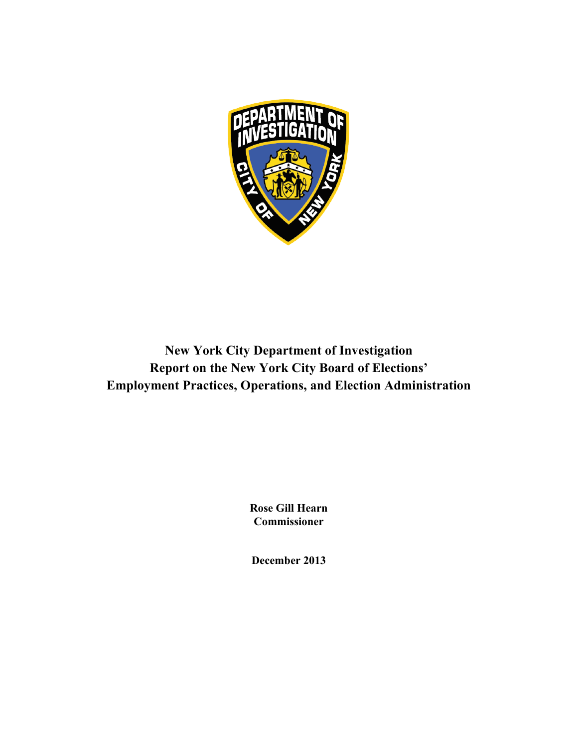

**New York City Department of Investigation Report on the New York City Board of Elections' Employment Practices, Operations, and Election Administration**

> **Rose Gill Hearn Commissioner**

**December 2013**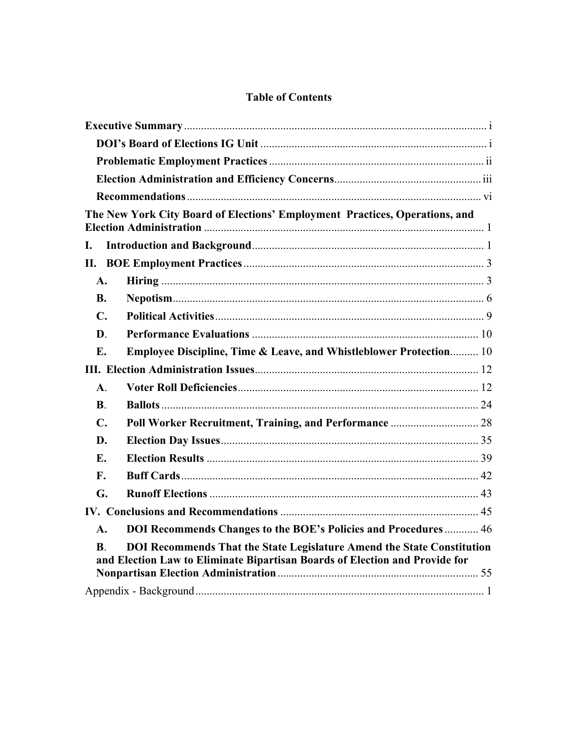# **Table of Contents**

|                | The New York City Board of Elections' Employment Practices, Operations, and                                                                           |  |
|----------------|-------------------------------------------------------------------------------------------------------------------------------------------------------|--|
| L.             |                                                                                                                                                       |  |
|                |                                                                                                                                                       |  |
| A.             |                                                                                                                                                       |  |
| <b>B.</b>      |                                                                                                                                                       |  |
| $\mathbf{C}$ . |                                                                                                                                                       |  |
| D.             |                                                                                                                                                       |  |
| E.             | Employee Discipline, Time & Leave, and Whistleblower Protection 10                                                                                    |  |
|                |                                                                                                                                                       |  |
| $\mathbf{A}$ . |                                                                                                                                                       |  |
| $\bf{B}$ .     |                                                                                                                                                       |  |
| $\mathbf{C}$ . |                                                                                                                                                       |  |
| D.             |                                                                                                                                                       |  |
| Е.             |                                                                                                                                                       |  |
| $\mathbf{F}$ . |                                                                                                                                                       |  |
| G.             |                                                                                                                                                       |  |
|                |                                                                                                                                                       |  |
| $\mathbf{A}$ . | DOI Recommends Changes to the BOE's Policies and Procedures 46                                                                                        |  |
| B.             | DOI Recommends That the State Legislature Amend the State Constitution<br>and Election Law to Eliminate Bipartisan Boards of Election and Provide for |  |
|                |                                                                                                                                                       |  |
|                |                                                                                                                                                       |  |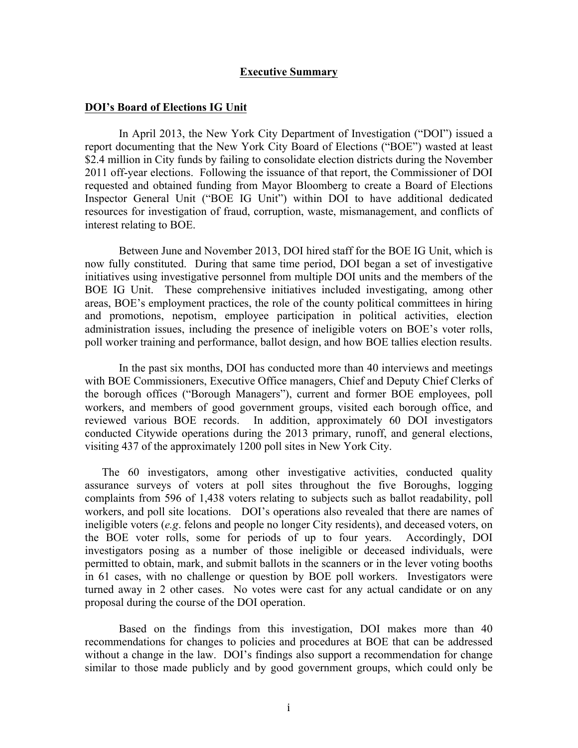#### **Executive Summary**

#### **DOI's Board of Elections IG Unit**

In April 2013, the New York City Department of Investigation ("DOI") issued a report documenting that the New York City Board of Elections ("BOE") wasted at least \$2.4 million in City funds by failing to consolidate election districts during the November 2011 off-year elections. Following the issuance of that report, the Commissioner of DOI requested and obtained funding from Mayor Bloomberg to create a Board of Elections Inspector General Unit ("BOE IG Unit") within DOI to have additional dedicated resources for investigation of fraud, corruption, waste, mismanagement, and conflicts of interest relating to BOE.

Between June and November 2013, DOI hired staff for the BOE IG Unit, which is now fully constituted. During that same time period, DOI began a set of investigative initiatives using investigative personnel from multiple DOI units and the members of the BOE IG Unit. These comprehensive initiatives included investigating, among other areas, BOE's employment practices, the role of the county political committees in hiring and promotions, nepotism, employee participation in political activities, election administration issues, including the presence of ineligible voters on BOE's voter rolls, poll worker training and performance, ballot design, and how BOE tallies election results.

In the past six months, DOI has conducted more than 40 interviews and meetings with BOE Commissioners, Executive Office managers, Chief and Deputy Chief Clerks of the borough offices ("Borough Managers"), current and former BOE employees, poll workers, and members of good government groups, visited each borough office, and reviewed various BOE records. In addition, approximately 60 DOI investigators conducted Citywide operations during the 2013 primary, runoff, and general elections, visiting 437 of the approximately 1200 poll sites in New York City.

The 60 investigators, among other investigative activities, conducted quality assurance surveys of voters at poll sites throughout the five Boroughs, logging complaints from 596 of 1,438 voters relating to subjects such as ballot readability, poll workers, and poll site locations. DOI's operations also revealed that there are names of ineligible voters (*e.g*. felons and people no longer City residents), and deceased voters, on the BOE voter rolls, some for periods of up to four years. Accordingly, DOI investigators posing as a number of those ineligible or deceased individuals, were permitted to obtain, mark, and submit ballots in the scanners or in the lever voting booths in 61 cases, with no challenge or question by BOE poll workers. Investigators were turned away in 2 other cases. No votes were cast for any actual candidate or on any proposal during the course of the DOI operation.

Based on the findings from this investigation, DOI makes more than 40 recommendations for changes to policies and procedures at BOE that can be addressed without a change in the law. DOI's findings also support a recommendation for change similar to those made publicly and by good government groups, which could only be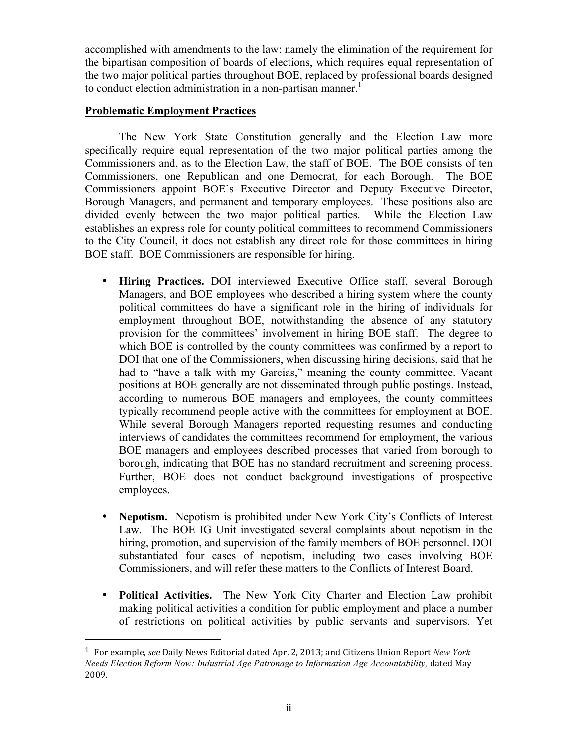accomplished with amendments to the law: namely the elimination of the requirement for the bipartisan composition of boards of elections, which requires equal representation of the two major political parties throughout BOE, replaced by professional boards designed to conduct election administration in a non-partisan manner.<sup>1</sup>

## **Problematic Employment Practices**

 

The New York State Constitution generally and the Election Law more specifically require equal representation of the two major political parties among the Commissioners and, as to the Election Law, the staff of BOE. The BOE consists of ten Commissioners, one Republican and one Democrat, for each Borough. The BOE Commissioners appoint BOE's Executive Director and Deputy Executive Director, Borough Managers, and permanent and temporary employees. These positions also are divided evenly between the two major political parties. While the Election Law establishes an express role for county political committees to recommend Commissioners to the City Council, it does not establish any direct role for those committees in hiring BOE staff. BOE Commissioners are responsible for hiring.

- **Hiring Practices.** DOI interviewed Executive Office staff, several Borough Managers, and BOE employees who described a hiring system where the county political committees do have a significant role in the hiring of individuals for employment throughout BOE, notwithstanding the absence of any statutory provision for the committees' involvement in hiring BOE staff. The degree to which BOE is controlled by the county committees was confirmed by a report to DOI that one of the Commissioners, when discussing hiring decisions, said that he had to "have a talk with my Garcias," meaning the county committee. Vacant positions at BOE generally are not disseminated through public postings. Instead, according to numerous BOE managers and employees, the county committees typically recommend people active with the committees for employment at BOE. While several Borough Managers reported requesting resumes and conducting interviews of candidates the committees recommend for employment, the various BOE managers and employees described processes that varied from borough to borough, indicating that BOE has no standard recruitment and screening process. Further, BOE does not conduct background investigations of prospective employees.
- **Nepotism.** Nepotism is prohibited under New York City's Conflicts of Interest Law. The BOE IG Unit investigated several complaints about nepotism in the hiring, promotion, and supervision of the family members of BOE personnel. DOI substantiated four cases of nepotism, including two cases involving BOE Commissioners, and will refer these matters to the Conflicts of Interest Board.
- **Political Activities.** The New York City Charter and Election Law prohibit making political activities a condition for public employment and place a number of restrictions on political activities by public servants and supervisors. Yet

<sup>&</sup>lt;sup>1</sup> For example, *see* Daily News Editorial dated Apr. 2, 2013; and Citizens Union Report *New York Needs Election Reform Now: Industrial Age Patronage to Information Age Accountability,* dated May 2009.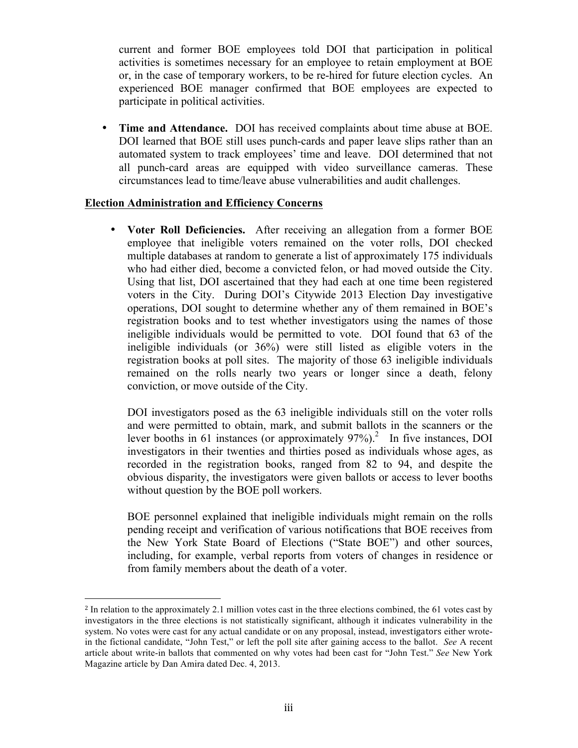current and former BOE employees told DOI that participation in political activities is sometimes necessary for an employee to retain employment at BOE or, in the case of temporary workers, to be re-hired for future election cycles. An experienced BOE manager confirmed that BOE employees are expected to participate in political activities.

• **Time and Attendance.** DOI has received complaints about time abuse at BOE. DOI learned that BOE still uses punch-cards and paper leave slips rather than an automated system to track employees' time and leave. DOI determined that not all punch-card areas are equipped with video surveillance cameras. These circumstances lead to time/leave abuse vulnerabilities and audit challenges.

### **Election Administration and Efficiency Concerns**

 

• **Voter Roll Deficiencies.** After receiving an allegation from a former BOE employee that ineligible voters remained on the voter rolls, DOI checked multiple databases at random to generate a list of approximately 175 individuals who had either died, become a convicted felon, or had moved outside the City. Using that list, DOI ascertained that they had each at one time been registered voters in the City. During DOI's Citywide 2013 Election Day investigative operations, DOI sought to determine whether any of them remained in BOE's registration books and to test whether investigators using the names of those ineligible individuals would be permitted to vote. DOI found that 63 of the ineligible individuals (or 36%) were still listed as eligible voters in the registration books at poll sites. The majority of those 63 ineligible individuals remained on the rolls nearly two years or longer since a death, felony conviction, or move outside of the City.

DOI investigators posed as the 63 ineligible individuals still on the voter rolls and were permitted to obtain, mark, and submit ballots in the scanners or the lever booths in 61 instances (or approximately  $97\%$ ).<sup>2</sup> In five instances, DOI investigators in their twenties and thirties posed as individuals whose ages, as recorded in the registration books, ranged from 82 to 94, and despite the obvious disparity, the investigators were given ballots or access to lever booths without question by the BOE poll workers.

BOE personnel explained that ineligible individuals might remain on the rolls pending receipt and verification of various notifications that BOE receives from the New York State Board of Elections ("State BOE") and other sources, including, for example, verbal reports from voters of changes in residence or from family members about the death of a voter.

<sup>2</sup> In relation to the approximately 2.1 million votes cast in the three elections combined, the 61 votes cast by investigators in the three elections is not statistically significant, although it indicates vulnerability in the system. No votes were cast for any actual candidate or on any proposal, instead, investigators either wrotein the fictional candidate, "John Test," or left the poll site after gaining access to the ballot. *See* A recent article about write-in ballots that commented on why votes had been cast for "John Test." *See* New York Magazine article by Dan Amira dated Dec. 4, 2013.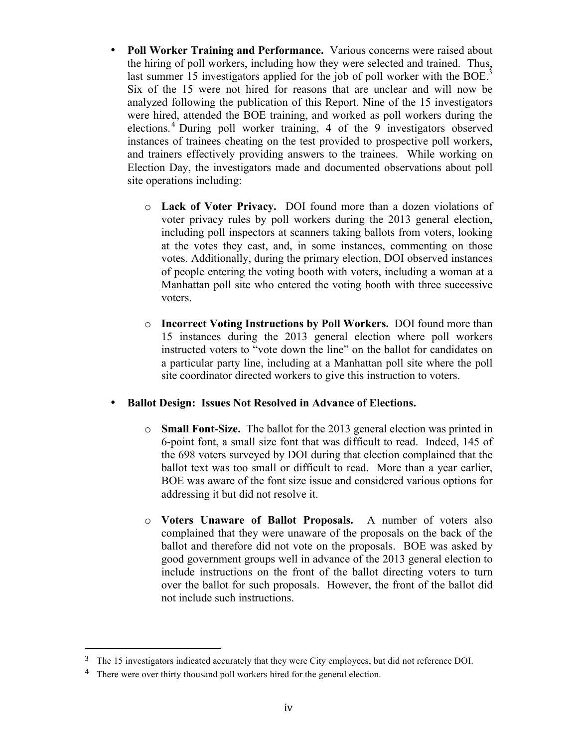- **Poll Worker Training and Performance.** Various concerns were raised about the hiring of poll workers, including how they were selected and trained. Thus, last summer 15 investigators applied for the job of poll worker with the BOE.<sup>3</sup> Six of the 15 were not hired for reasons that are unclear and will now be analyzed following the publication of this Report. Nine of the 15 investigators were hired, attended the BOE training, and worked as poll workers during the elections. <sup>4</sup> During poll worker training, 4 of the 9 investigators observed instances of trainees cheating on the test provided to prospective poll workers, and trainers effectively providing answers to the trainees. While working on Election Day, the investigators made and documented observations about poll site operations including:
	- o **Lack of Voter Privacy.** DOI found more than a dozen violations of voter privacy rules by poll workers during the 2013 general election, including poll inspectors at scanners taking ballots from voters, looking at the votes they cast, and, in some instances, commenting on those votes. Additionally, during the primary election, DOI observed instances of people entering the voting booth with voters, including a woman at a Manhattan poll site who entered the voting booth with three successive voters.
	- o **Incorrect Voting Instructions by Poll Workers.** DOI found more than 15 instances during the 2013 general election where poll workers instructed voters to "vote down the line" on the ballot for candidates on a particular party line, including at a Manhattan poll site where the poll site coordinator directed workers to give this instruction to voters.

## • **Ballot Design: Issues Not Resolved in Advance of Elections.**

- o **Small Font-Size.** The ballot for the 2013 general election was printed in 6-point font, a small size font that was difficult to read. Indeed, 145 of the 698 voters surveyed by DOI during that election complained that the ballot text was too small or difficult to read. More than a year earlier, BOE was aware of the font size issue and considered various options for addressing it but did not resolve it.
- o **Voters Unaware of Ballot Proposals.** A number of voters also complained that they were unaware of the proposals on the back of the ballot and therefore did not vote on the proposals. BOE was asked by good government groups well in advance of the 2013 general election to include instructions on the front of the ballot directing voters to turn over the ballot for such proposals. However, the front of the ballot did not include such instructions.

 

<sup>&</sup>lt;sup>3</sup> The 15 investigators indicated accurately that they were City employees, but did not reference DOI.

<sup>&</sup>lt;sup>4</sup> There were over thirty thousand poll workers hired for the general election.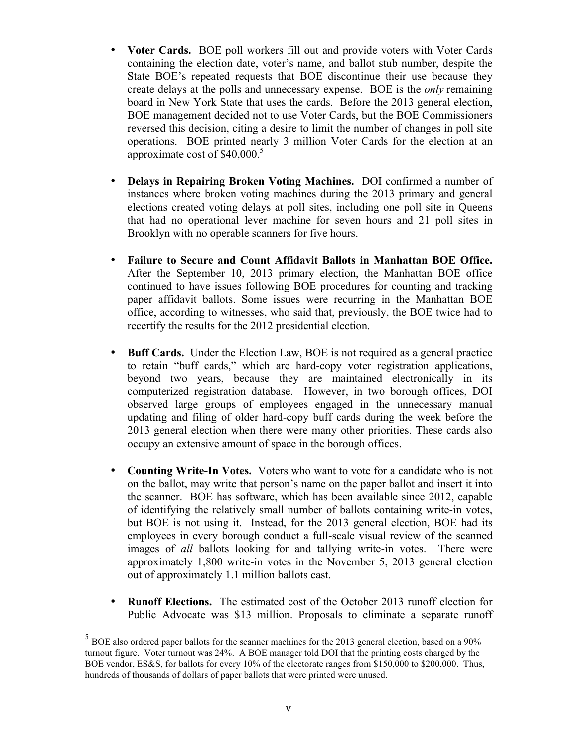- **Voter Cards.** BOE poll workers fill out and provide voters with Voter Cards containing the election date, voter's name, and ballot stub number, despite the State BOE's repeated requests that BOE discontinue their use because they create delays at the polls and unnecessary expense. BOE is the *only* remaining board in New York State that uses the cards. Before the 2013 general election, BOE management decided not to use Voter Cards, but the BOE Commissioners reversed this decision, citing a desire to limit the number of changes in poll site operations. BOE printed nearly 3 million Voter Cards for the election at an approximate cost of  $$40,000$ .<sup>5</sup>
- **Delays in Repairing Broken Voting Machines.** DOI confirmed a number of instances where broken voting machines during the 2013 primary and general elections created voting delays at poll sites, including one poll site in Queens that had no operational lever machine for seven hours and 21 poll sites in Brooklyn with no operable scanners for five hours.
- **Failure to Secure and Count Affidavit Ballots in Manhattan BOE Office.**  After the September 10, 2013 primary election, the Manhattan BOE office continued to have issues following BOE procedures for counting and tracking paper affidavit ballots. Some issues were recurring in the Manhattan BOE office, according to witnesses, who said that, previously, the BOE twice had to recertify the results for the 2012 presidential election.
- **Buff Cards.** Under the Election Law, BOE is not required as a general practice to retain "buff cards," which are hard-copy voter registration applications, beyond two years, because they are maintained electronically in its computerized registration database. However, in two borough offices, DOI observed large groups of employees engaged in the unnecessary manual updating and filing of older hard-copy buff cards during the week before the 2013 general election when there were many other priorities. These cards also occupy an extensive amount of space in the borough offices.
- **Counting Write-In Votes.** Voters who want to vote for a candidate who is not on the ballot, may write that person's name on the paper ballot and insert it into the scanner. BOE has software, which has been available since 2012, capable of identifying the relatively small number of ballots containing write-in votes, but BOE is not using it. Instead, for the 2013 general election, BOE had its employees in every borough conduct a full-scale visual review of the scanned images of *all* ballots looking for and tallying write-in votes. There were approximately 1,800 write-in votes in the November 5, 2013 general election out of approximately 1.1 million ballots cast.
- **Runoff Elections.** The estimated cost of the October 2013 runoff election for Public Advocate was \$13 million. Proposals to eliminate a separate runoff

 $5$  BOE also ordered paper ballots for the scanner machines for the 2013 general election, based on a 90% turnout figure. Voter turnout was 24%. A BOE manager told DOI that the printing costs charged by the BOE vendor, ES&S, for ballots for every 10% of the electorate ranges from \$150,000 to \$200,000. Thus, hundreds of thousands of dollars of paper ballots that were printed were unused.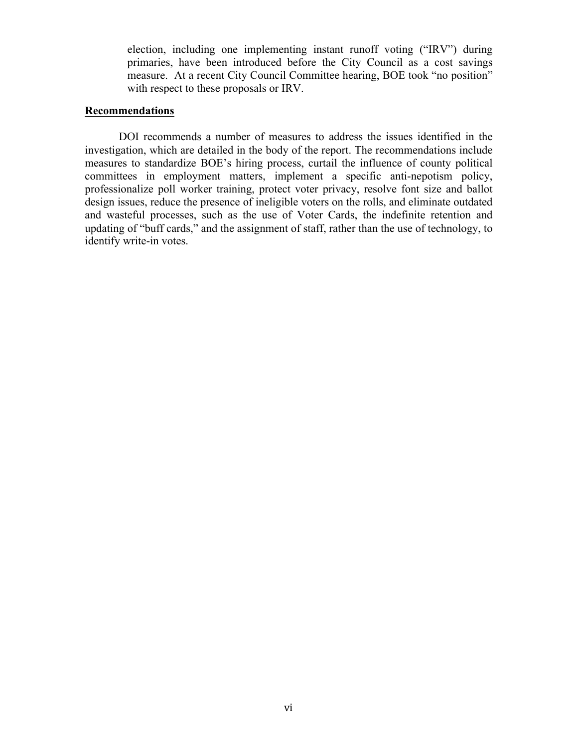election, including one implementing instant runoff voting ("IRV") during primaries, have been introduced before the City Council as a cost savings measure. At a recent City Council Committee hearing, BOE took "no position" with respect to these proposals or IRV.

### **Recommendations**

DOI recommends a number of measures to address the issues identified in the investigation, which are detailed in the body of the report. The recommendations include measures to standardize BOE's hiring process, curtail the influence of county political committees in employment matters, implement a specific anti-nepotism policy, professionalize poll worker training, protect voter privacy, resolve font size and ballot design issues, reduce the presence of ineligible voters on the rolls, and eliminate outdated and wasteful processes, such as the use of Voter Cards, the indefinite retention and updating of "buff cards," and the assignment of staff, rather than the use of technology, to identify write-in votes.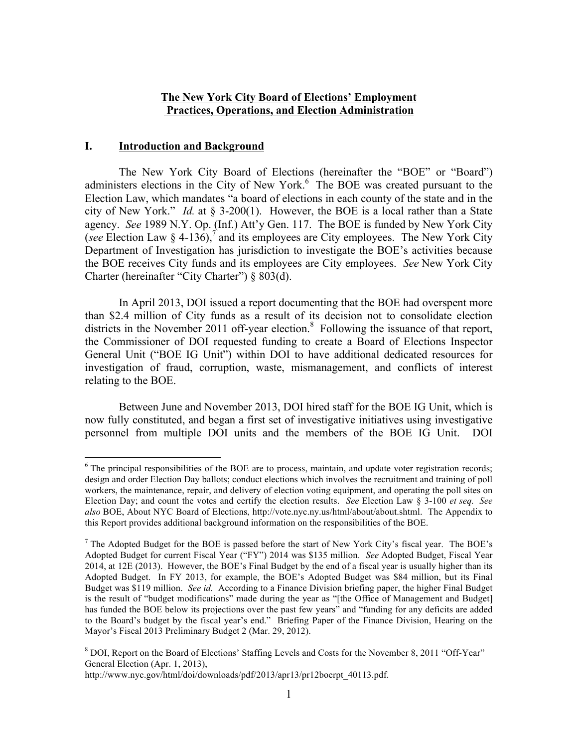#### **The New York City Board of Elections' Employment Practices, Operations, and Election Administration**

#### **I. Introduction and Background**

The New York City Board of Elections (hereinafter the "BOE" or "Board") administers elections in the City of New York.<sup>6</sup> The BOE was created pursuant to the Election Law, which mandates "a board of elections in each county of the state and in the city of New York." *Id.* at § 3-200(1). However, the BOE is a local rather than a State agency. *See* 1989 N.Y. Op. (Inf.) Att'y Gen. 117. The BOE is funded by New York City (*see* Election Law  $\S$  4-136),<sup>7</sup> and its employees are City employees. The New York City Department of Investigation has jurisdiction to investigate the BOE's activities because the BOE receives City funds and its employees are City employees. *See* New York City Charter (hereinafter "City Charter") § 803(d).

In April 2013, DOI issued a report documenting that the BOE had overspent more than \$2.4 million of City funds as a result of its decision not to consolidate election districts in the November 2011 off-year election.<sup>8</sup> Following the issuance of that report, the Commissioner of DOI requested funding to create a Board of Elections Inspector General Unit ("BOE IG Unit") within DOI to have additional dedicated resources for investigation of fraud, corruption, waste, mismanagement, and conflicts of interest relating to the BOE.

Between June and November 2013, DOI hired staff for the BOE IG Unit, which is now fully constituted, and began a first set of investigative initiatives using investigative personnel from multiple DOI units and the members of the BOE IG Unit. DOI

<sup>&</sup>lt;sup>6</sup> The principal responsibilities of the BOE are to process, maintain, and update voter registration records; design and order Election Day ballots; conduct elections which involves the recruitment and training of poll workers, the maintenance, repair, and delivery of election voting equipment, and operating the poll sites on Election Day; and count the votes and certify the election results. *See* Election Law § 3-100 *et seq. See also* BOE, About NYC Board of Elections, http://vote.nyc.ny.us/html/about/about.shtml. The Appendix to this Report provides additional background information on the responsibilities of the BOE.

<sup>7</sup> The Adopted Budget for the BOE is passed before the start of New York City's fiscal year. The BOE's Adopted Budget for current Fiscal Year ("FY") 2014 was \$135 million. *See* Adopted Budget, Fiscal Year 2014, at 12E (2013). However, the BOE's Final Budget by the end of a fiscal year is usually higher than its Adopted Budget. In FY 2013, for example, the BOE's Adopted Budget was \$84 million, but its Final Budget was \$119 million. *See id.* According to a Finance Division briefing paper, the higher Final Budget is the result of "budget modifications" made during the year as "[the Office of Management and Budget] has funded the BOE below its projections over the past few years" and "funding for any deficits are added to the Board's budget by the fiscal year's end." Briefing Paper of the Finance Division, Hearing on the Mayor's Fiscal 2013 Preliminary Budget 2 (Mar. 29, 2012).

<sup>&</sup>lt;sup>8</sup> DOI, Report on the Board of Elections' Staffing Levels and Costs for the November 8, 2011 "Off-Year" General Election (Apr. 1, 2013),

http://www.nyc.gov/html/doi/downloads/pdf/2013/apr13/pr12boerpt\_40113.pdf.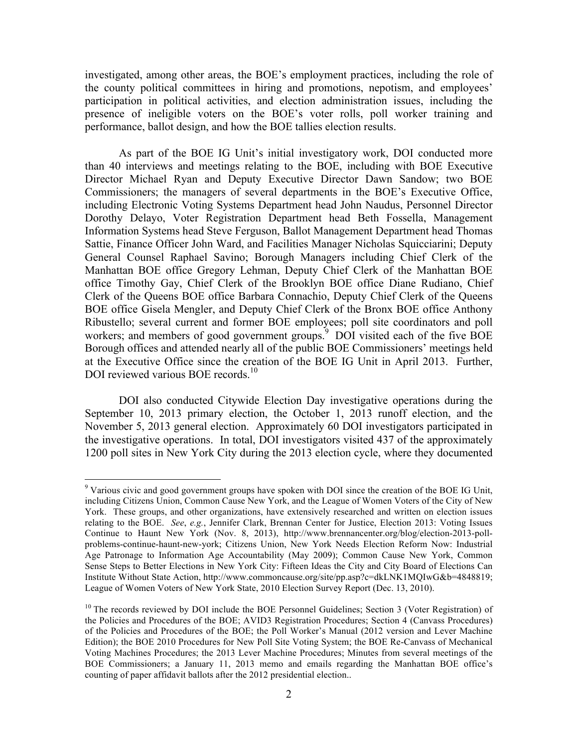investigated, among other areas, the BOE's employment practices, including the role of the county political committees in hiring and promotions, nepotism, and employees' participation in political activities, and election administration issues, including the presence of ineligible voters on the BOE's voter rolls, poll worker training and performance, ballot design, and how the BOE tallies election results.

As part of the BOE IG Unit's initial investigatory work, DOI conducted more than 40 interviews and meetings relating to the BOE, including with BOE Executive Director Michael Ryan and Deputy Executive Director Dawn Sandow; two BOE Commissioners; the managers of several departments in the BOE's Executive Office, including Electronic Voting Systems Department head John Naudus, Personnel Director Dorothy Delayo, Voter Registration Department head Beth Fossella, Management Information Systems head Steve Ferguson, Ballot Management Department head Thomas Sattie, Finance Officer John Ward, and Facilities Manager Nicholas Squicciarini; Deputy General Counsel Raphael Savino; Borough Managers including Chief Clerk of the Manhattan BOE office Gregory Lehman, Deputy Chief Clerk of the Manhattan BOE office Timothy Gay, Chief Clerk of the Brooklyn BOE office Diane Rudiano, Chief Clerk of the Queens BOE office Barbara Connachio, Deputy Chief Clerk of the Queens BOE office Gisela Mengler, and Deputy Chief Clerk of the Bronx BOE office Anthony Ribustello; several current and former BOE employees; poll site coordinators and poll workers; and members of good government groups. $9$  DOI visited each of the five BOE Borough offices and attended nearly all of the public BOE Commissioners' meetings held at the Executive Office since the creation of the BOE IG Unit in April 2013. Further, DOI reviewed various BOE records.<sup>10</sup>

DOI also conducted Citywide Election Day investigative operations during the September 10, 2013 primary election, the October 1, 2013 runoff election, and the November 5, 2013 general election. Approximately 60 DOI investigators participated in the investigative operations. In total, DOI investigators visited 437 of the approximately 1200 poll sites in New York City during the 2013 election cycle, where they documented

<sup>&</sup>lt;sup>9</sup> Various civic and good government groups have spoken with DOI since the creation of the BOE IG Unit, including Citizens Union, Common Cause New York, and the League of Women Voters of the City of New York. These groups, and other organizations, have extensively researched and written on election issues relating to the BOE. *See*, *e.g.*, Jennifer Clark, Brennan Center for Justice, Election 2013: Voting Issues Continue to Haunt New York (Nov. 8, 2013), http://www.brennancenter.org/blog/election-2013-pollproblems-continue-haunt-new-york; Citizens Union, New York Needs Election Reform Now: Industrial Age Patronage to Information Age Accountability (May 2009); Common Cause New York, Common Sense Steps to Better Elections in New York City: Fifteen Ideas the City and City Board of Elections Can Institute Without State Action, http://www.commoncause.org/site/pp.asp?c=dkLNK1MQIwG&b=4848819; League of Women Voters of New York State, 2010 Election Survey Report (Dec. 13, 2010).

 $10$  The records reviewed by DOI include the BOE Personnel Guidelines; Section 3 (Voter Registration) of the Policies and Procedures of the BOE; AVID3 Registration Procedures; Section 4 (Canvass Procedures) of the Policies and Procedures of the BOE; the Poll Worker's Manual (2012 version and Lever Machine Edition); the BOE 2010 Procedures for New Poll Site Voting System; the BOE Re-Canvass of Mechanical Voting Machines Procedures; the 2013 Lever Machine Procedures; Minutes from several meetings of the BOE Commissioners; a January 11, 2013 memo and emails regarding the Manhattan BOE office's counting of paper affidavit ballots after the 2012 presidential election..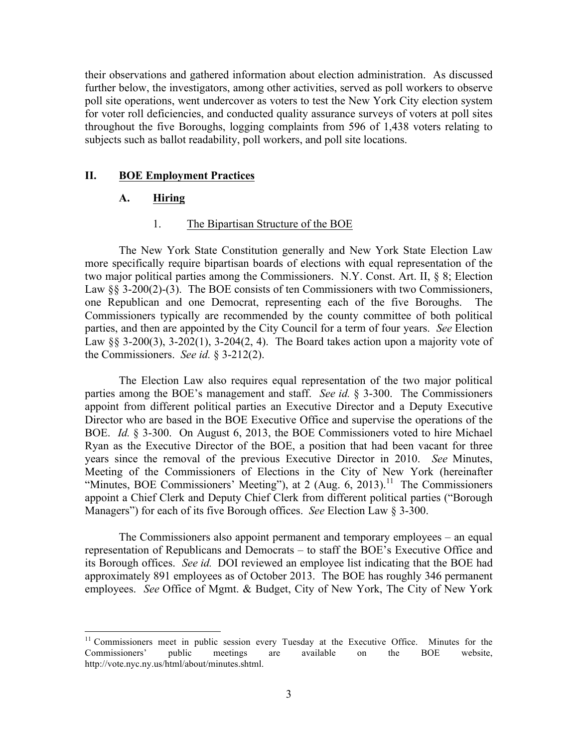their observations and gathered information about election administration. As discussed further below, the investigators, among other activities, served as poll workers to observe poll site operations, went undercover as voters to test the New York City election system for voter roll deficiencies, and conducted quality assurance surveys of voters at poll sites throughout the five Boroughs, logging complaints from 596 of 1,438 voters relating to subjects such as ballot readability, poll workers, and poll site locations.

#### **II. BOE Employment Practices**

#### **A. Hiring**

#### 1. The Bipartisan Structure of the BOE

The New York State Constitution generally and New York State Election Law more specifically require bipartisan boards of elections with equal representation of the two major political parties among the Commissioners. N.Y. Const. Art. II, § 8; Election Law §§ 3-200(2)-(3). The BOE consists of ten Commissioners with two Commissioners, one Republican and one Democrat, representing each of the five Boroughs. The Commissioners typically are recommended by the county committee of both political parties, and then are appointed by the City Council for a term of four years. *See* Election Law §§ 3-200(3), 3-202(1), 3-204(2, 4). The Board takes action upon a majority vote of the Commissioners. *See id.* § 3-212(2).

The Election Law also requires equal representation of the two major political parties among the BOE's management and staff. *See id.* § 3-300. The Commissioners appoint from different political parties an Executive Director and a Deputy Executive Director who are based in the BOE Executive Office and supervise the operations of the BOE. *Id.* § 3-300. On August 6, 2013, the BOE Commissioners voted to hire Michael Ryan as the Executive Director of the BOE, a position that had been vacant for three years since the removal of the previous Executive Director in 2010. *See* Minutes, Meeting of the Commissioners of Elections in the City of New York (hereinafter "Minutes, BOE Commissioners' Meeting"), at 2 (Aug.  $6, 2013$ ).<sup>11</sup> The Commissioners appoint a Chief Clerk and Deputy Chief Clerk from different political parties ("Borough Managers") for each of its five Borough offices. *See* Election Law § 3-300.

The Commissioners also appoint permanent and temporary employees – an equal representation of Republicans and Democrats – to staff the BOE's Executive Office and its Borough offices. *See id.* DOI reviewed an employee list indicating that the BOE had approximately 891 employees as of October 2013. The BOE has roughly 346 permanent employees. *See* Office of Mgmt. & Budget, City of New York, The City of New York

<sup>&</sup>lt;sup>11</sup> Commissioners meet in public session every Tuesday at the Executive Office. Minutes for the Commissioners' public meetings are available on the BOE website, http://vote.nyc.ny.us/html/about/minutes.shtml.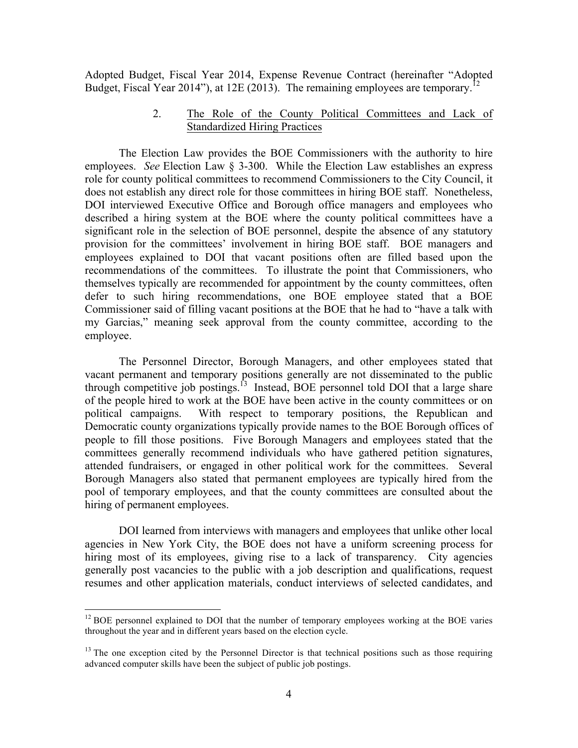Adopted Budget, Fiscal Year 2014, Expense Revenue Contract (hereinafter "Adopted Budget, Fiscal Year 2014"), at 12E (2013). The remaining employees are temporary.<sup>1</sup>

### 2. The Role of the County Political Committees and Lack of Standardized Hiring Practices

The Election Law provides the BOE Commissioners with the authority to hire employees. *See* Election Law § 3-300. While the Election Law establishes an express role for county political committees to recommend Commissioners to the City Council, it does not establish any direct role for those committees in hiring BOE staff. Nonetheless, DOI interviewed Executive Office and Borough office managers and employees who described a hiring system at the BOE where the county political committees have a significant role in the selection of BOE personnel, despite the absence of any statutory provision for the committees' involvement in hiring BOE staff. BOE managers and employees explained to DOI that vacant positions often are filled based upon the recommendations of the committees. To illustrate the point that Commissioners, who themselves typically are recommended for appointment by the county committees, often defer to such hiring recommendations, one BOE employee stated that a BOE Commissioner said of filling vacant positions at the BOE that he had to "have a talk with my Garcias," meaning seek approval from the county committee, according to the employee.

The Personnel Director, Borough Managers, and other employees stated that vacant permanent and temporary positions generally are not disseminated to the public through competitive job postings.<sup>13</sup> Instead, BOE personnel told DOI that a large share of the people hired to work at the BOE have been active in the county committees or on political campaigns. With respect to temporary positions, the Republican and Democratic county organizations typically provide names to the BOE Borough offices of people to fill those positions. Five Borough Managers and employees stated that the committees generally recommend individuals who have gathered petition signatures, attended fundraisers, or engaged in other political work for the committees. Several Borough Managers also stated that permanent employees are typically hired from the pool of temporary employees, and that the county committees are consulted about the hiring of permanent employees.

DOI learned from interviews with managers and employees that unlike other local agencies in New York City, the BOE does not have a uniform screening process for hiring most of its employees, giving rise to a lack of transparency. City agencies generally post vacancies to the public with a job description and qualifications, request resumes and other application materials, conduct interviews of selected candidates, and

 $12$  BOE personnel explained to DOI that the number of temporary employees working at the BOE varies throughout the year and in different years based on the election cycle.

 $<sup>13</sup>$  The one exception cited by the Personnel Director is that technical positions such as those requiring</sup> advanced computer skills have been the subject of public job postings.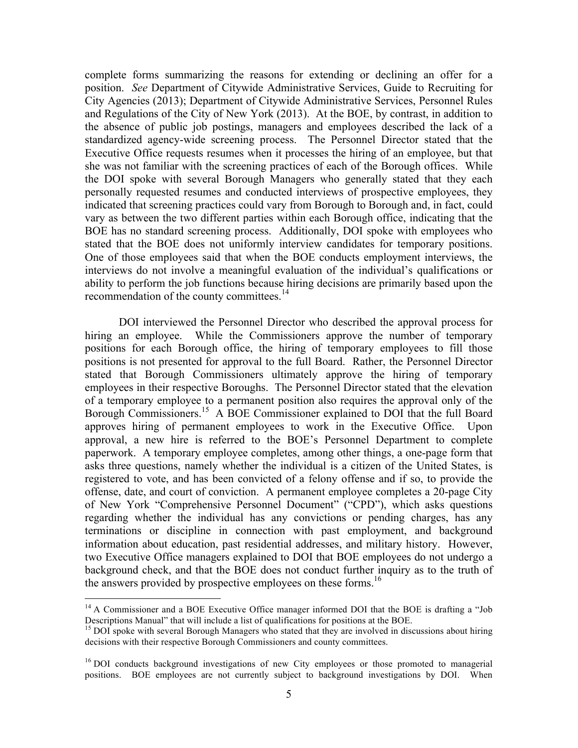complete forms summarizing the reasons for extending or declining an offer for a position. *See* Department of Citywide Administrative Services, Guide to Recruiting for City Agencies (2013); Department of Citywide Administrative Services, Personnel Rules and Regulations of the City of New York (2013). At the BOE, by contrast, in addition to the absence of public job postings, managers and employees described the lack of a standardized agency-wide screening process. The Personnel Director stated that the Executive Office requests resumes when it processes the hiring of an employee, but that she was not familiar with the screening practices of each of the Borough offices. While the DOI spoke with several Borough Managers who generally stated that they each personally requested resumes and conducted interviews of prospective employees, they indicated that screening practices could vary from Borough to Borough and, in fact, could vary as between the two different parties within each Borough office, indicating that the BOE has no standard screening process. Additionally, DOI spoke with employees who stated that the BOE does not uniformly interview candidates for temporary positions. One of those employees said that when the BOE conducts employment interviews, the interviews do not involve a meaningful evaluation of the individual's qualifications or ability to perform the job functions because hiring decisions are primarily based upon the recommendation of the county committees.<sup>14</sup>

DOI interviewed the Personnel Director who described the approval process for hiring an employee. While the Commissioners approve the number of temporary positions for each Borough office, the hiring of temporary employees to fill those positions is not presented for approval to the full Board. Rather, the Personnel Director stated that Borough Commissioners ultimately approve the hiring of temporary employees in their respective Boroughs. The Personnel Director stated that the elevation of a temporary employee to a permanent position also requires the approval only of the Borough Commissioners.15 A BOE Commissioner explained to DOI that the full Board approves hiring of permanent employees to work in the Executive Office. Upon approval, a new hire is referred to the BOE's Personnel Department to complete paperwork. A temporary employee completes, among other things, a one-page form that asks three questions, namely whether the individual is a citizen of the United States, is registered to vote, and has been convicted of a felony offense and if so, to provide the offense, date, and court of conviction. A permanent employee completes a 20-page City of New York "Comprehensive Personnel Document" ("CPD"), which asks questions regarding whether the individual has any convictions or pending charges, has any terminations or discipline in connection with past employment, and background information about education, past residential addresses, and military history. However, two Executive Office managers explained to DOI that BOE employees do not undergo a background check, and that the BOE does not conduct further inquiry as to the truth of the answers provided by prospective employees on these forms. 16

<sup>&</sup>lt;sup>14</sup> A Commissioner and a BOE Executive Office manager informed DOI that the BOE is drafting a "Job Descriptions Manual" that will include a list of qualifications for positions at the BOE.

 $15$  DOI spoke with several Borough Managers who stated that they are involved in discussions about hiring decisions with their respective Borough Commissioners and county committees.

<sup>&</sup>lt;sup>16</sup> DOI conducts background investigations of new City employees or those promoted to managerial positions. BOE employees are not currently subject to background investigations by DOI. When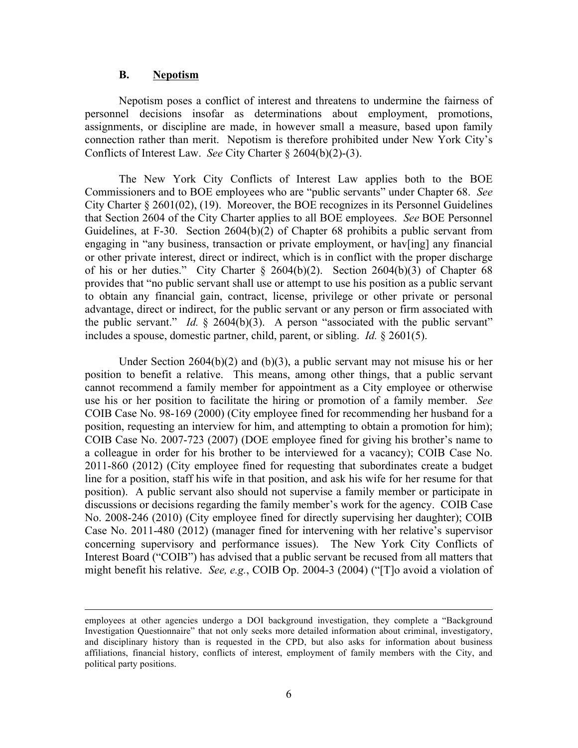#### **B. Nepotism**

Nepotism poses a conflict of interest and threatens to undermine the fairness of personnel decisions insofar as determinations about employment, promotions, assignments, or discipline are made, in however small a measure, based upon family connection rather than merit. Nepotism is therefore prohibited under New York City's Conflicts of Interest Law. *See* City Charter § 2604(b)(2)-(3).

The New York City Conflicts of Interest Law applies both to the BOE Commissioners and to BOE employees who are "public servants" under Chapter 68. *See*  City Charter § 2601(02), (19). Moreover, the BOE recognizes in its Personnel Guidelines that Section 2604 of the City Charter applies to all BOE employees. *See* BOE Personnel Guidelines, at F-30. Section 2604(b)(2) of Chapter 68 prohibits a public servant from engaging in "any business, transaction or private employment, or hav[ing] any financial or other private interest, direct or indirect, which is in conflict with the proper discharge of his or her duties." City Charter § 2604(b)(2). Section 2604(b)(3) of Chapter 68 provides that "no public servant shall use or attempt to use his position as a public servant to obtain any financial gain, contract, license, privilege or other private or personal advantage, direct or indirect, for the public servant or any person or firm associated with the public servant." *Id.* § 2604(b)(3). A person "associated with the public servant" includes a spouse, domestic partner, child, parent, or sibling. *Id.* § 2601(5).

Under Section  $2604(b)(2)$  and  $(b)(3)$ , a public servant may not misuse his or her position to benefit a relative. This means, among other things, that a public servant cannot recommend a family member for appointment as a City employee or otherwise use his or her position to facilitate the hiring or promotion of a family member. *See* COIB Case No. 98-169 (2000) (City employee fined for recommending her husband for a position, requesting an interview for him, and attempting to obtain a promotion for him); COIB Case No. 2007-723 (2007) (DOE employee fined for giving his brother's name to a colleague in order for his brother to be interviewed for a vacancy); COIB Case No. 2011-860 (2012) (City employee fined for requesting that subordinates create a budget line for a position, staff his wife in that position, and ask his wife for her resume for that position). A public servant also should not supervise a family member or participate in discussions or decisions regarding the family member's work for the agency. COIB Case No. 2008-246 (2010) (City employee fined for directly supervising her daughter); COIB Case No. 2011-480 (2012) (manager fined for intervening with her relative's supervisor concerning supervisory and performance issues). The New York City Conflicts of Interest Board ("COIB") has advised that a public servant be recused from all matters that might benefit his relative. *See, e.g.*, COIB Op. 2004-3 (2004) ("[T]o avoid a violation of

<u> 1989 - Andrea Santa Andrea Andrea Andrea Andrea Andrea Andrea Andrea Andrea Andrea Andrea Andrea Andrea Andr</u>

employees at other agencies undergo a DOI background investigation, they complete a "Background Investigation Questionnaire" that not only seeks more detailed information about criminal, investigatory, and disciplinary history than is requested in the CPD, but also asks for information about business affiliations, financial history, conflicts of interest, employment of family members with the City, and political party positions.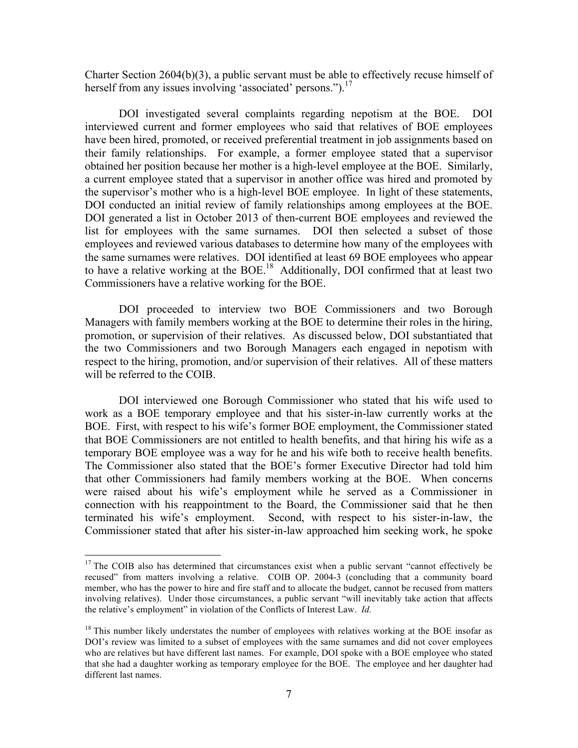Charter Section 2604(b)(3), a public servant must be able to effectively recuse himself of herself from any issues involving 'associated' persons.").<sup>17</sup>

DOI investigated several complaints regarding nepotism at the BOE. DOI interviewed current and former employees who said that relatives of BOE employees have been hired, promoted, or received preferential treatment in job assignments based on their family relationships. For example, a former employee stated that a supervisor obtained her position because her mother is a high-level employee at the BOE. Similarly, a current employee stated that a supervisor in another office was hired and promoted by the supervisor's mother who is a high-level BOE employee. In light of these statements, DOI conducted an initial review of family relationships among employees at the BOE. DOI generated a list in October 2013 of then-current BOE employees and reviewed the list for employees with the same surnames. DOI then selected a subset of those employees and reviewed various databases to determine how many of the employees with the same surnames were relatives. DOI identified at least 69 BOE employees who appear to have a relative working at the  $BOE<sup>18</sup>$  Additionally, DOI confirmed that at least two Commissioners have a relative working for the BOE.

DOI proceeded to interview two BOE Commissioners and two Borough Managers with family members working at the BOE to determine their roles in the hiring, promotion, or supervision of their relatives. As discussed below, DOI substantiated that the two Commissioners and two Borough Managers each engaged in nepotism with respect to the hiring, promotion, and/or supervision of their relatives. All of these matters will be referred to the COIB.

DOI interviewed one Borough Commissioner who stated that his wife used to work as a BOE temporary employee and that his sister-in-law currently works at the BOE. First, with respect to his wife's former BOE employment, the Commissioner stated that BOE Commissioners are not entitled to health benefits, and that hiring his wife as a temporary BOE employee was a way for he and his wife both to receive health benefits. The Commissioner also stated that the BOE's former Executive Director had told him that other Commissioners had family members working at the BOE. When concerns were raised about his wife's employment while he served as a Commissioner in connection with his reappointment to the Board, the Commissioner said that he then terminated his wife's employment. Second, with respect to his sister-in-law, the Commissioner stated that after his sister-in-law approached him seeking work, he spoke

<sup>&</sup>lt;sup>17</sup> The COIB also has determined that circumstances exist when a public servant "cannot effectively be recused" from matters involving a relative. COIB OP. 2004-3 (concluding that a community board member, who has the power to hire and fire staff and to allocate the budget, cannot be recused from matters involving relatives). Under those circumstances, a public servant "will inevitably take action that affects the relative's employment" in violation of the Conflicts of Interest Law. *Id.*

<sup>&</sup>lt;sup>18</sup> This number likely understates the number of employees with relatives working at the BOE insofar as DOI's review was limited to a subset of employees with the same surnames and did not cover employees who are relatives but have different last names. For example, DOI spoke with a BOE employee who stated that she had a daughter working as temporary employee for the BOE. The employee and her daughter had different last names.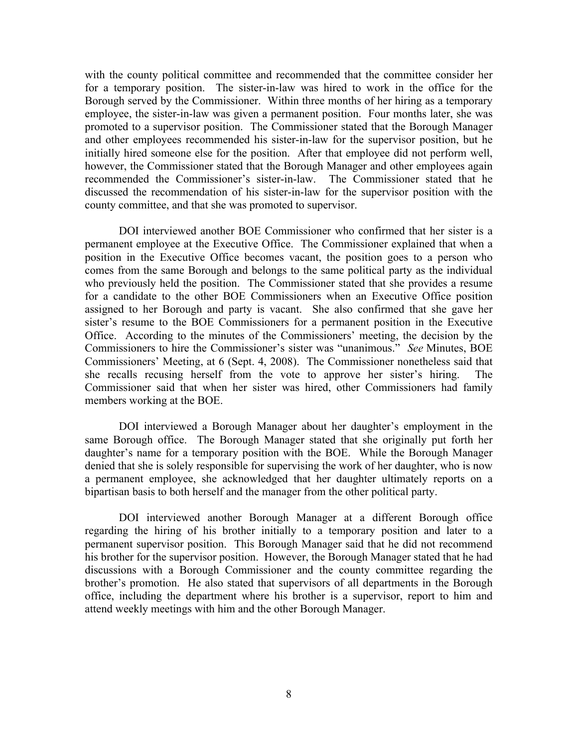with the county political committee and recommended that the committee consider her for a temporary position. The sister-in-law was hired to work in the office for the Borough served by the Commissioner. Within three months of her hiring as a temporary employee, the sister-in-law was given a permanent position. Four months later, she was promoted to a supervisor position. The Commissioner stated that the Borough Manager and other employees recommended his sister-in-law for the supervisor position, but he initially hired someone else for the position. After that employee did not perform well, however, the Commissioner stated that the Borough Manager and other employees again recommended the Commissioner's sister-in-law. The Commissioner stated that he discussed the recommendation of his sister-in-law for the supervisor position with the county committee, and that she was promoted to supervisor.

DOI interviewed another BOE Commissioner who confirmed that her sister is a permanent employee at the Executive Office. The Commissioner explained that when a position in the Executive Office becomes vacant, the position goes to a person who comes from the same Borough and belongs to the same political party as the individual who previously held the position. The Commissioner stated that she provides a resume for a candidate to the other BOE Commissioners when an Executive Office position assigned to her Borough and party is vacant. She also confirmed that she gave her sister's resume to the BOE Commissioners for a permanent position in the Executive Office. According to the minutes of the Commissioners' meeting, the decision by the Commissioners to hire the Commissioner's sister was "unanimous." *See* Minutes, BOE Commissioners' Meeting, at 6 (Sept. 4, 2008). The Commissioner nonetheless said that she recalls recusing herself from the vote to approve her sister's hiring. The Commissioner said that when her sister was hired, other Commissioners had family members working at the BOE.

DOI interviewed a Borough Manager about her daughter's employment in the same Borough office. The Borough Manager stated that she originally put forth her daughter's name for a temporary position with the BOE. While the Borough Manager denied that she is solely responsible for supervising the work of her daughter, who is now a permanent employee, she acknowledged that her daughter ultimately reports on a bipartisan basis to both herself and the manager from the other political party.

DOI interviewed another Borough Manager at a different Borough office regarding the hiring of his brother initially to a temporary position and later to a permanent supervisor position. This Borough Manager said that he did not recommend his brother for the supervisor position. However, the Borough Manager stated that he had discussions with a Borough Commissioner and the county committee regarding the brother's promotion. He also stated that supervisors of all departments in the Borough office, including the department where his brother is a supervisor, report to him and attend weekly meetings with him and the other Borough Manager.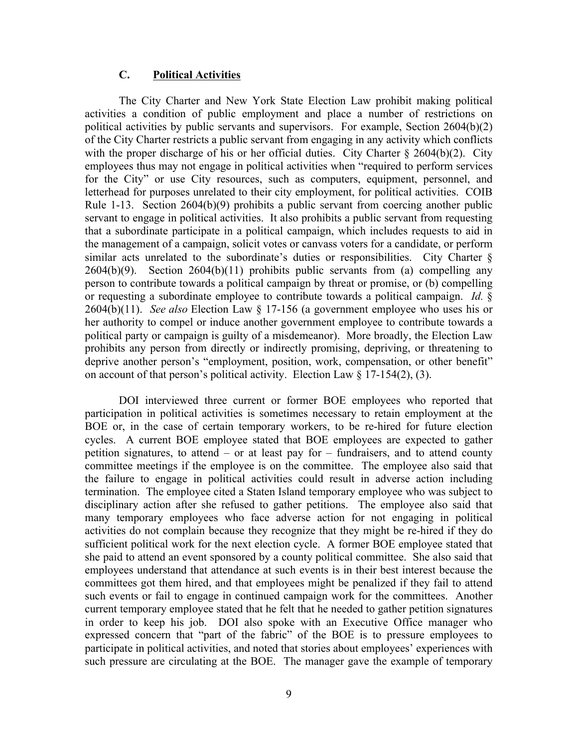### **C. Political Activities**

The City Charter and New York State Election Law prohibit making political activities a condition of public employment and place a number of restrictions on political activities by public servants and supervisors. For example, Section 2604(b)(2) of the City Charter restricts a public servant from engaging in any activity which conflicts with the proper discharge of his or her official duties. City Charter  $\S 2604(b)(2)$ . City employees thus may not engage in political activities when "required to perform services for the City" or use City resources, such as computers, equipment, personnel, and letterhead for purposes unrelated to their city employment, for political activities. COIB Rule 1-13. Section 2604(b)(9) prohibits a public servant from coercing another public servant to engage in political activities. It also prohibits a public servant from requesting that a subordinate participate in a political campaign, which includes requests to aid in the management of a campaign, solicit votes or canvass voters for a candidate, or perform similar acts unrelated to the subordinate's duties or responsibilities. City Charter §  $2604(b)(9)$ . Section  $2604(b)(11)$  prohibits public servants from (a) compelling any person to contribute towards a political campaign by threat or promise, or (b) compelling or requesting a subordinate employee to contribute towards a political campaign. *Id.* § 2604(b)(11). *See also* Election Law § 17-156 (a government employee who uses his or her authority to compel or induce another government employee to contribute towards a political party or campaign is guilty of a misdemeanor). More broadly, the Election Law prohibits any person from directly or indirectly promising, depriving, or threatening to deprive another person's "employment, position, work, compensation, or other benefit" on account of that person's political activity. Election Law  $\S$  17-154(2), (3).

DOI interviewed three current or former BOE employees who reported that participation in political activities is sometimes necessary to retain employment at the BOE or, in the case of certain temporary workers, to be re-hired for future election cycles. A current BOE employee stated that BOE employees are expected to gather petition signatures, to attend – or at least pay for – fundraisers, and to attend county committee meetings if the employee is on the committee. The employee also said that the failure to engage in political activities could result in adverse action including termination. The employee cited a Staten Island temporary employee who was subject to disciplinary action after she refused to gather petitions. The employee also said that many temporary employees who face adverse action for not engaging in political activities do not complain because they recognize that they might be re-hired if they do sufficient political work for the next election cycle. A former BOE employee stated that she paid to attend an event sponsored by a county political committee. She also said that employees understand that attendance at such events is in their best interest because the committees got them hired, and that employees might be penalized if they fail to attend such events or fail to engage in continued campaign work for the committees. Another current temporary employee stated that he felt that he needed to gather petition signatures in order to keep his job. DOI also spoke with an Executive Office manager who expressed concern that "part of the fabric" of the BOE is to pressure employees to participate in political activities, and noted that stories about employees' experiences with such pressure are circulating at the BOE. The manager gave the example of temporary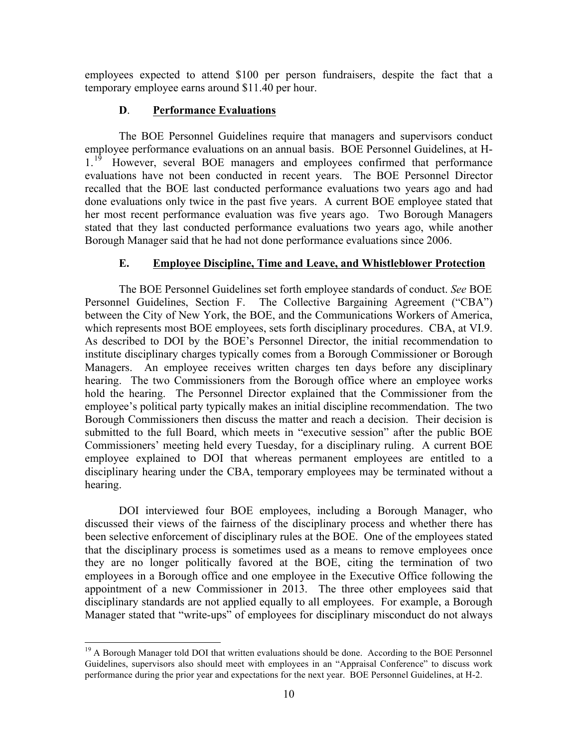employees expected to attend \$100 per person fundraisers, despite the fact that a temporary employee earns around \$11.40 per hour.

#### **D**. **Performance Evaluations**

The BOE Personnel Guidelines require that managers and supervisors conduct employee performance evaluations on an annual basis. BOE Personnel Guidelines, at H-1.<sup>19</sup> However, several BOE managers and employees confirmed that performance evaluations have not been conducted in recent years. The BOE Personnel Director recalled that the BOE last conducted performance evaluations two years ago and had done evaluations only twice in the past five years. A current BOE employee stated that her most recent performance evaluation was five years ago. Two Borough Managers stated that they last conducted performance evaluations two years ago, while another Borough Manager said that he had not done performance evaluations since 2006.

#### **E. Employee Discipline, Time and Leave, and Whistleblower Protection**

The BOE Personnel Guidelines set forth employee standards of conduct. *See* BOE Personnel Guidelines, Section F. The Collective Bargaining Agreement ("CBA") between the City of New York, the BOE, and the Communications Workers of America, which represents most BOE employees, sets forth disciplinary procedures. CBA, at VI.9. As described to DOI by the BOE's Personnel Director, the initial recommendation to institute disciplinary charges typically comes from a Borough Commissioner or Borough Managers. An employee receives written charges ten days before any disciplinary hearing. The two Commissioners from the Borough office where an employee works hold the hearing. The Personnel Director explained that the Commissioner from the employee's political party typically makes an initial discipline recommendation. The two Borough Commissioners then discuss the matter and reach a decision. Their decision is submitted to the full Board, which meets in "executive session" after the public BOE Commissioners' meeting held every Tuesday, for a disciplinary ruling. A current BOE employee explained to DOI that whereas permanent employees are entitled to a disciplinary hearing under the CBA, temporary employees may be terminated without a hearing.

DOI interviewed four BOE employees, including a Borough Manager, who discussed their views of the fairness of the disciplinary process and whether there has been selective enforcement of disciplinary rules at the BOE. One of the employees stated that the disciplinary process is sometimes used as a means to remove employees once they are no longer politically favored at the BOE, citing the termination of two employees in a Borough office and one employee in the Executive Office following the appointment of a new Commissioner in 2013. The three other employees said that disciplinary standards are not applied equally to all employees. For example, a Borough Manager stated that "write-ups" of employees for disciplinary misconduct do not always

<sup>&</sup>lt;sup>19</sup> A Borough Manager told DOI that written evaluations should be done. According to the BOE Personnel Guidelines, supervisors also should meet with employees in an "Appraisal Conference" to discuss work performance during the prior year and expectations for the next year. BOE Personnel Guidelines, at H-2.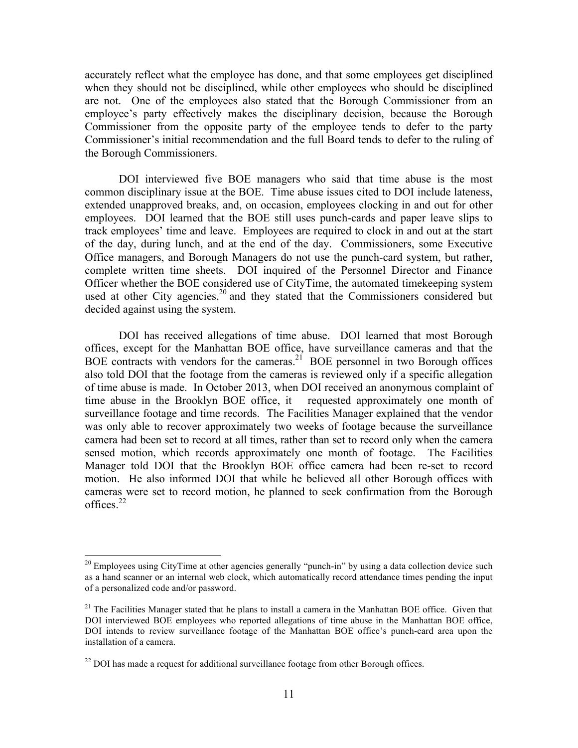accurately reflect what the employee has done, and that some employees get disciplined when they should not be disciplined, while other employees who should be disciplined are not. One of the employees also stated that the Borough Commissioner from an employee's party effectively makes the disciplinary decision, because the Borough Commissioner from the opposite party of the employee tends to defer to the party Commissioner's initial recommendation and the full Board tends to defer to the ruling of the Borough Commissioners.

DOI interviewed five BOE managers who said that time abuse is the most common disciplinary issue at the BOE. Time abuse issues cited to DOI include lateness, extended unapproved breaks, and, on occasion, employees clocking in and out for other employees. DOI learned that the BOE still uses punch-cards and paper leave slips to track employees' time and leave. Employees are required to clock in and out at the start of the day, during lunch, and at the end of the day. Commissioners, some Executive Office managers, and Borough Managers do not use the punch-card system, but rather, complete written time sheets. DOI inquired of the Personnel Director and Finance Officer whether the BOE considered use of CityTime, the automated timekeeping system used at other City agencies,<sup>20</sup> and they stated that the Commissioners considered but decided against using the system.

DOI has received allegations of time abuse. DOI learned that most Borough offices, except for the Manhattan BOE office, have surveillance cameras and that the BOE contracts with vendors for the cameras.<sup>21</sup> BOE personnel in two Borough offices also told DOI that the footage from the cameras is reviewed only if a specific allegation of time abuse is made. In October 2013, when DOI received an anonymous complaint of time abuse in the Brooklyn BOE office, it requested approximately one month of surveillance footage and time records. The Facilities Manager explained that the vendor was only able to recover approximately two weeks of footage because the surveillance camera had been set to record at all times, rather than set to record only when the camera sensed motion, which records approximately one month of footage. The Facilities Manager told DOI that the Brooklyn BOE office camera had been re-set to record motion. He also informed DOI that while he believed all other Borough offices with cameras were set to record motion, he planned to seek confirmation from the Borough offices. $22$ 

<sup>&</sup>lt;sup>20</sup> Employees using CityTime at other agencies generally "punch-in" by using a data collection device such as a hand scanner or an internal web clock, which automatically record attendance times pending the input of a personalized code and/or password.

 $21$  The Facilities Manager stated that he plans to install a camera in the Manhattan BOE office. Given that DOI interviewed BOE employees who reported allegations of time abuse in the Manhattan BOE office, DOI intends to review surveillance footage of the Manhattan BOE office's punch-card area upon the installation of a camera.

 $^{22}$  DOI has made a request for additional surveillance footage from other Borough offices.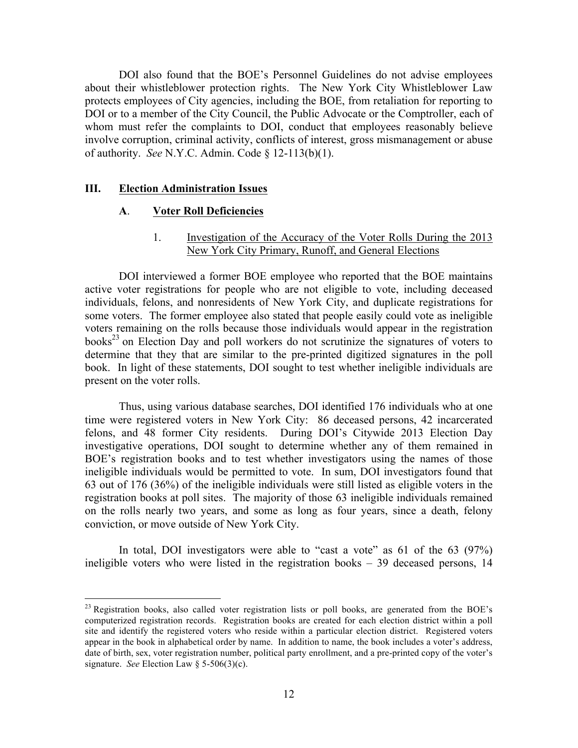DOI also found that the BOE's Personnel Guidelines do not advise employees about their whistleblower protection rights. The New York City Whistleblower Law protects employees of City agencies, including the BOE, from retaliation for reporting to DOI or to a member of the City Council, the Public Advocate or the Comptroller, each of whom must refer the complaints to DOI, conduct that employees reasonably believe involve corruption, criminal activity, conflicts of interest, gross mismanagement or abuse of authority. *See* N.Y.C. Admin. Code § 12-113(b)(1).

#### **III. Election Administration Issues**

#### **A**. **Voter Roll Deficiencies**

1. Investigation of the Accuracy of the Voter Rolls During the 2013 New York City Primary, Runoff, and General Elections

DOI interviewed a former BOE employee who reported that the BOE maintains active voter registrations for people who are not eligible to vote, including deceased individuals, felons, and nonresidents of New York City, and duplicate registrations for some voters. The former employee also stated that people easily could vote as ineligible voters remaining on the rolls because those individuals would appear in the registration books <sup>23</sup> on Election Day and poll workers do not scrutinize the signatures of voters to determine that they that are similar to the pre-printed digitized signatures in the poll book. In light of these statements, DOI sought to test whether ineligible individuals are present on the voter rolls.

Thus, using various database searches, DOI identified 176 individuals who at one time were registered voters in New York City: 86 deceased persons, 42 incarcerated felons, and 48 former City residents. During DOI's Citywide 2013 Election Day investigative operations, DOI sought to determine whether any of them remained in BOE's registration books and to test whether investigators using the names of those ineligible individuals would be permitted to vote. In sum, DOI investigators found that 63 out of 176 (36%) of the ineligible individuals were still listed as eligible voters in the registration books at poll sites. The majority of those 63 ineligible individuals remained on the rolls nearly two years, and some as long as four years, since a death, felony conviction, or move outside of New York City.

In total, DOI investigators were able to "cast a vote" as 61 of the 63 (97%) ineligible voters who were listed in the registration books – 39 deceased persons, 14

<sup>&</sup>lt;sup>23</sup> Registration books, also called voter registration lists or poll books, are generated from the BOE's computerized registration records. Registration books are created for each election district within a poll site and identify the registered voters who reside within a particular election district. Registered voters appear in the book in alphabetical order by name. In addition to name, the book includes a voter's address, date of birth, sex, voter registration number, political party enrollment, and a pre-printed copy of the voter's signature. *See* Election Law § 5-506(3)(c).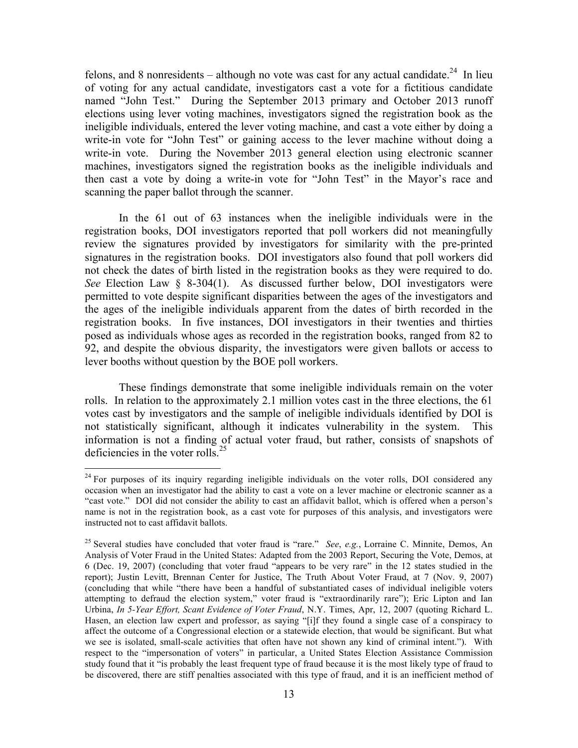felons, and 8 nonresidents – although no vote was cast for any actual candidate.<sup>24</sup> In lieu of voting for any actual candidate, investigators cast a vote for a fictitious candidate named "John Test." During the September 2013 primary and October 2013 runoff elections using lever voting machines, investigators signed the registration book as the ineligible individuals, entered the lever voting machine, and cast a vote either by doing a write-in vote for "John Test" or gaining access to the lever machine without doing a write-in vote. During the November 2013 general election using electronic scanner machines, investigators signed the registration books as the ineligible individuals and then cast a vote by doing a write-in vote for "John Test" in the Mayor's race and scanning the paper ballot through the scanner.

In the 61 out of 63 instances when the ineligible individuals were in the registration books, DOI investigators reported that poll workers did not meaningfully review the signatures provided by investigators for similarity with the pre-printed signatures in the registration books. DOI investigators also found that poll workers did not check the dates of birth listed in the registration books as they were required to do. *See* Election Law § 8-304(1). As discussed further below, DOI investigators were permitted to vote despite significant disparities between the ages of the investigators and the ages of the ineligible individuals apparent from the dates of birth recorded in the registration books. In five instances, DOI investigators in their twenties and thirties posed as individuals whose ages as recorded in the registration books, ranged from 82 to 92, and despite the obvious disparity, the investigators were given ballots or access to lever booths without question by the BOE poll workers.

These findings demonstrate that some ineligible individuals remain on the voter rolls. In relation to the approximately 2.1 million votes cast in the three elections, the 61 votes cast by investigators and the sample of ineligible individuals identified by DOI is not statistically significant, although it indicates vulnerability in the system. This information is not a finding of actual voter fraud, but rather, consists of snapshots of deficiencies in the voter rolls. $25$ 

 $^{24}$  For purposes of its inquiry regarding ineligible individuals on the voter rolls, DOI considered any occasion when an investigator had the ability to cast a vote on a lever machine or electronic scanner as a "cast vote." DOI did not consider the ability to cast an affidavit ballot, which is offered when a person's name is not in the registration book, as a cast vote for purposes of this analysis, and investigators were instructed not to cast affidavit ballots.

<sup>25</sup> Several studies have concluded that voter fraud is "rare." *See*, *e.g.*, Lorraine C. Minnite, Demos, An Analysis of Voter Fraud in the United States: Adapted from the 2003 Report, Securing the Vote, Demos, at 6 (Dec. 19, 2007) (concluding that voter fraud "appears to be very rare" in the 12 states studied in the report); Justin Levitt, Brennan Center for Justice, The Truth About Voter Fraud, at 7 (Nov. 9, 2007) (concluding that while "there have been a handful of substantiated cases of individual ineligible voters attempting to defraud the election system," voter fraud is "extraordinarily rare"); Eric Lipton and Ian Urbina, *In 5-Year Effort, Scant Evidence of Voter Fraud*, N.Y. Times, Apr, 12, 2007 (quoting Richard L. Hasen, an election law expert and professor, as saying "[i]f they found a single case of a conspiracy to affect the outcome of a Congressional election or a statewide election, that would be significant. But what we see is isolated, small-scale activities that often have not shown any kind of criminal intent."). With respect to the "impersonation of voters" in particular, a United States Election Assistance Commission study found that it "is probably the least frequent type of fraud because it is the most likely type of fraud to be discovered, there are stiff penalties associated with this type of fraud, and it is an inefficient method of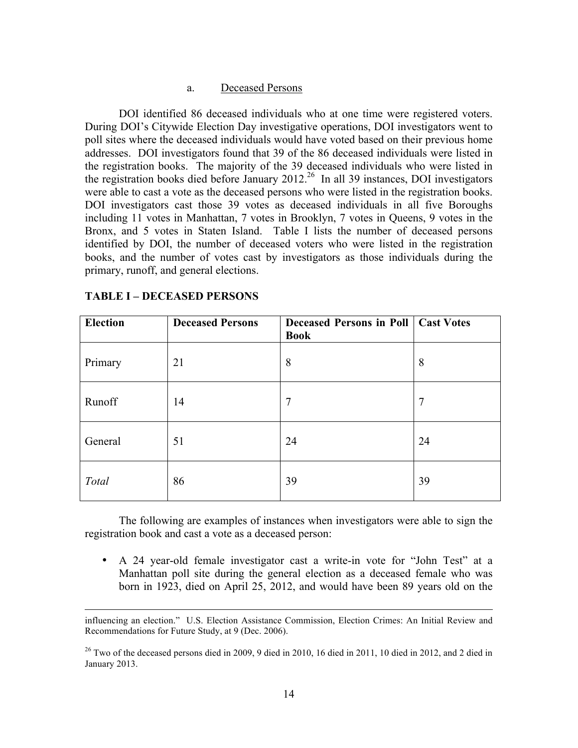#### a. Deceased Persons

DOI identified 86 deceased individuals who at one time were registered voters. During DOI's Citywide Election Day investigative operations, DOI investigators went to poll sites where the deceased individuals would have voted based on their previous home addresses. DOI investigators found that 39 of the 86 deceased individuals were listed in the registration books. The majority of the 39 deceased individuals who were listed in the registration books died before January 2012.<sup>26</sup> In all 39 instances, DOI investigators were able to cast a vote as the deceased persons who were listed in the registration books. DOI investigators cast those 39 votes as deceased individuals in all five Boroughs including 11 votes in Manhattan, 7 votes in Brooklyn, 7 votes in Queens, 9 votes in the Bronx, and 5 votes in Staten Island. Table I lists the number of deceased persons identified by DOI, the number of deceased voters who were listed in the registration books, and the number of votes cast by investigators as those individuals during the primary, runoff, and general elections.

| <b>Election</b> | <b>Deceased Persons</b> | <b>Deceased Persons in Poll   Cast Votes</b><br><b>Book</b> |    |
|-----------------|-------------------------|-------------------------------------------------------------|----|
| Primary         | 21                      | 8                                                           | 8  |
| Runoff          | 14                      | 7                                                           | 7  |
| General         | 51                      | 24                                                          | 24 |
| Total           | 86                      | 39                                                          | 39 |

### **TABLE I – DECEASED PERSONS**

The following are examples of instances when investigators were able to sign the registration book and cast a vote as a deceased person:

• A 24 year-old female investigator cast a write-in vote for "John Test" at a Manhattan poll site during the general election as a deceased female who was born in 1923, died on April 25, 2012, and would have been 89 years old on the

<sup>&</sup>lt;u> 1989 - Andrea Santa Andrea Andrea Andrea Andrea Andrea Andrea Andrea Andrea Andrea Andrea Andrea Andrea Andr</u> influencing an election." U.S. Election Assistance Commission, Election Crimes: An Initial Review and Recommendations for Future Study, at 9 (Dec. 2006).

 $26$  Two of the deceased persons died in 2009, 9 died in 2010, 16 died in 2011, 10 died in 2012, and 2 died in January 2013.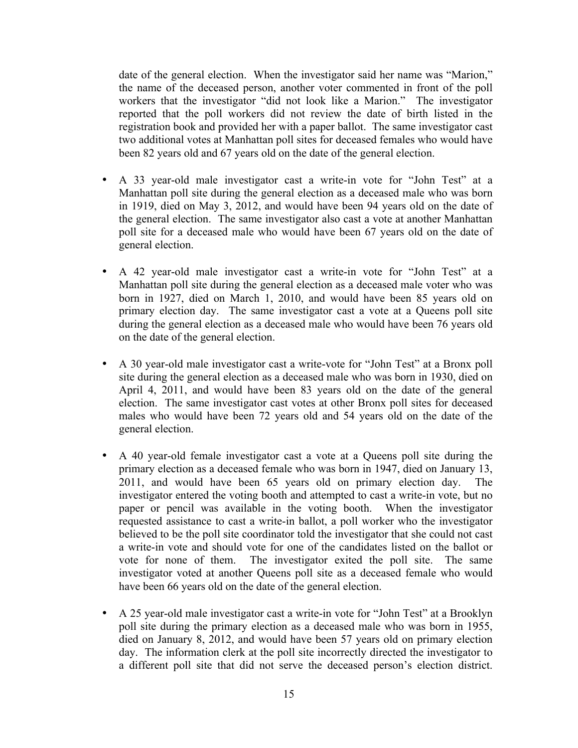date of the general election. When the investigator said her name was "Marion," the name of the deceased person, another voter commented in front of the poll workers that the investigator "did not look like a Marion." The investigator reported that the poll workers did not review the date of birth listed in the registration book and provided her with a paper ballot. The same investigator cast two additional votes at Manhattan poll sites for deceased females who would have been 82 years old and 67 years old on the date of the general election.

- A 33 year-old male investigator cast a write-in vote for "John Test" at a Manhattan poll site during the general election as a deceased male who was born in 1919, died on May 3, 2012, and would have been 94 years old on the date of the general election. The same investigator also cast a vote at another Manhattan poll site for a deceased male who would have been 67 years old on the date of general election.
- A 42 year-old male investigator cast a write-in vote for "John Test" at a Manhattan poll site during the general election as a deceased male voter who was born in 1927, died on March 1, 2010, and would have been 85 years old on primary election day. The same investigator cast a vote at a Queens poll site during the general election as a deceased male who would have been 76 years old on the date of the general election.
- A 30 year-old male investigator cast a write-vote for "John Test" at a Bronx poll site during the general election as a deceased male who was born in 1930, died on April 4, 2011, and would have been 83 years old on the date of the general election. The same investigator cast votes at other Bronx poll sites for deceased males who would have been 72 years old and 54 years old on the date of the general election.
- A 40 year-old female investigator cast a vote at a Queens poll site during the primary election as a deceased female who was born in 1947, died on January 13, 2011, and would have been 65 years old on primary election day. The investigator entered the voting booth and attempted to cast a write-in vote, but no paper or pencil was available in the voting booth. When the investigator requested assistance to cast a write-in ballot, a poll worker who the investigator believed to be the poll site coordinator told the investigator that she could not cast a write-in vote and should vote for one of the candidates listed on the ballot or vote for none of them. The investigator exited the poll site. The same investigator voted at another Queens poll site as a deceased female who would have been 66 years old on the date of the general election.
- A 25 year-old male investigator cast a write-in vote for "John Test" at a Brooklyn poll site during the primary election as a deceased male who was born in 1955, died on January 8, 2012, and would have been 57 years old on primary election day. The information clerk at the poll site incorrectly directed the investigator to a different poll site that did not serve the deceased person's election district.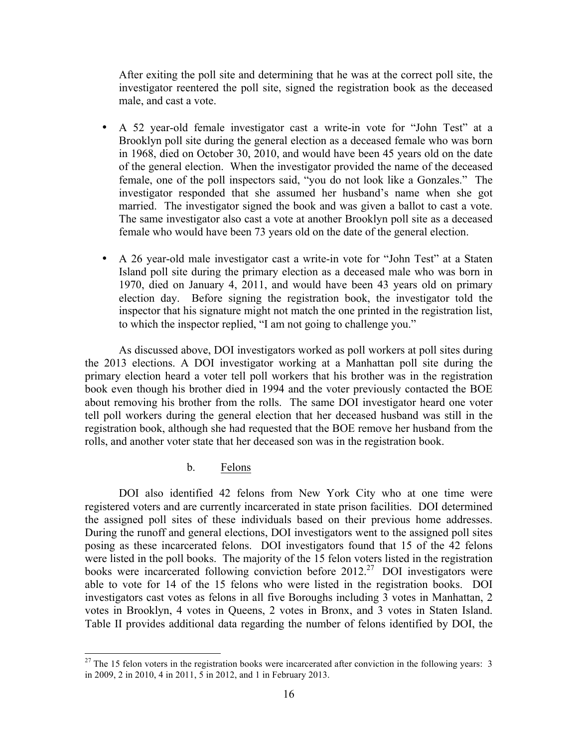After exiting the poll site and determining that he was at the correct poll site, the investigator reentered the poll site, signed the registration book as the deceased male, and cast a vote.

- A 52 year-old female investigator cast a write-in vote for "John Test" at a Brooklyn poll site during the general election as a deceased female who was born in 1968, died on October 30, 2010, and would have been 45 years old on the date of the general election. When the investigator provided the name of the deceased female, one of the poll inspectors said, "you do not look like a Gonzales." The investigator responded that she assumed her husband's name when she got married. The investigator signed the book and was given a ballot to cast a vote. The same investigator also cast a vote at another Brooklyn poll site as a deceased female who would have been 73 years old on the date of the general election.
- A 26 year-old male investigator cast a write-in vote for "John Test" at a Staten Island poll site during the primary election as a deceased male who was born in 1970, died on January 4, 2011, and would have been 43 years old on primary election day. Before signing the registration book, the investigator told the inspector that his signature might not match the one printed in the registration list, to which the inspector replied, "I am not going to challenge you."

As discussed above, DOI investigators worked as poll workers at poll sites during the 2013 elections. A DOI investigator working at a Manhattan poll site during the primary election heard a voter tell poll workers that his brother was in the registration book even though his brother died in 1994 and the voter previously contacted the BOE about removing his brother from the rolls. The same DOI investigator heard one voter tell poll workers during the general election that her deceased husband was still in the registration book, although she had requested that the BOE remove her husband from the rolls, and another voter state that her deceased son was in the registration book.

## b. Felons

DOI also identified 42 felons from New York City who at one time were registered voters and are currently incarcerated in state prison facilities. DOI determined the assigned poll sites of these individuals based on their previous home addresses. During the runoff and general elections, DOI investigators went to the assigned poll sites posing as these incarcerated felons. DOI investigators found that 15 of the 42 felons were listed in the poll books. The majority of the 15 felon voters listed in the registration books were incarcerated following conviction before 2012. 27 DOI investigators were able to vote for 14 of the 15 felons who were listed in the registration books. DOI investigators cast votes as felons in all five Boroughs including 3 votes in Manhattan, 2 votes in Brooklyn, 4 votes in Queens, 2 votes in Bronx, and 3 votes in Staten Island. Table II provides additional data regarding the number of felons identified by DOI, the

<sup>&</sup>lt;sup>27</sup> The 15 felon voters in the registration books were incarcerated after conviction in the following years: 3 in 2009, 2 in 2010, 4 in 2011, 5 in 2012, and 1 in February 2013.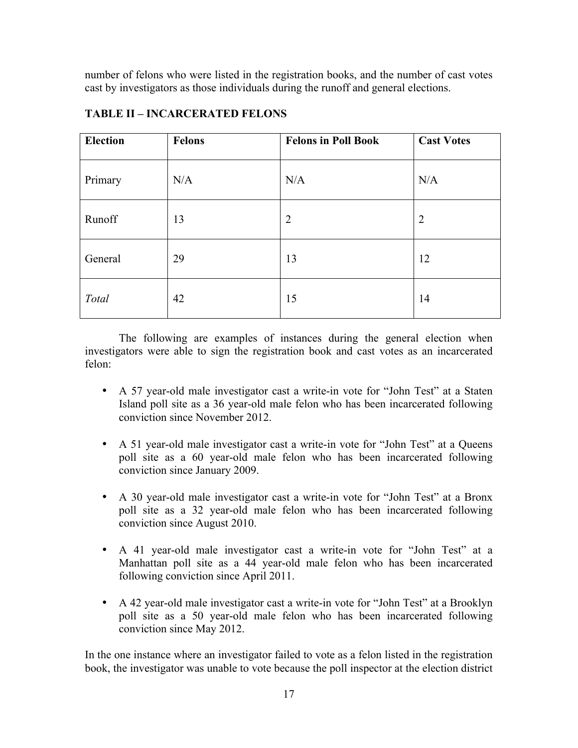number of felons who were listed in the registration books, and the number of cast votes cast by investigators as those individuals during the runoff and general elections.

| <b>Election</b> | Felons | <b>Felons in Poll Book</b> | <b>Cast Votes</b> |
|-----------------|--------|----------------------------|-------------------|
| Primary         | N/A    | N/A                        | N/A               |
| Runoff          | 13     | $\overline{2}$             | $\overline{2}$    |
| General         | 29     | 13                         | 12                |
| Total           | 42     | 15                         | 14                |

## **TABLE II – INCARCERATED FELONS**

The following are examples of instances during the general election when investigators were able to sign the registration book and cast votes as an incarcerated felon:

- A 57 year-old male investigator cast a write-in vote for "John Test" at a Staten Island poll site as a 36 year-old male felon who has been incarcerated following conviction since November 2012.
- A 51 year-old male investigator cast a write-in vote for "John Test" at a Queens poll site as a 60 year-old male felon who has been incarcerated following conviction since January 2009.
- A 30 year-old male investigator cast a write-in vote for "John Test" at a Bronx poll site as a 32 year-old male felon who has been incarcerated following conviction since August 2010.
- A 41 year-old male investigator cast a write-in vote for "John Test" at a Manhattan poll site as a 44 year-old male felon who has been incarcerated following conviction since April 2011.
- A 42 year-old male investigator cast a write-in vote for "John Test" at a Brooklyn poll site as a 50 year-old male felon who has been incarcerated following conviction since May 2012.

In the one instance where an investigator failed to vote as a felon listed in the registration book, the investigator was unable to vote because the poll inspector at the election district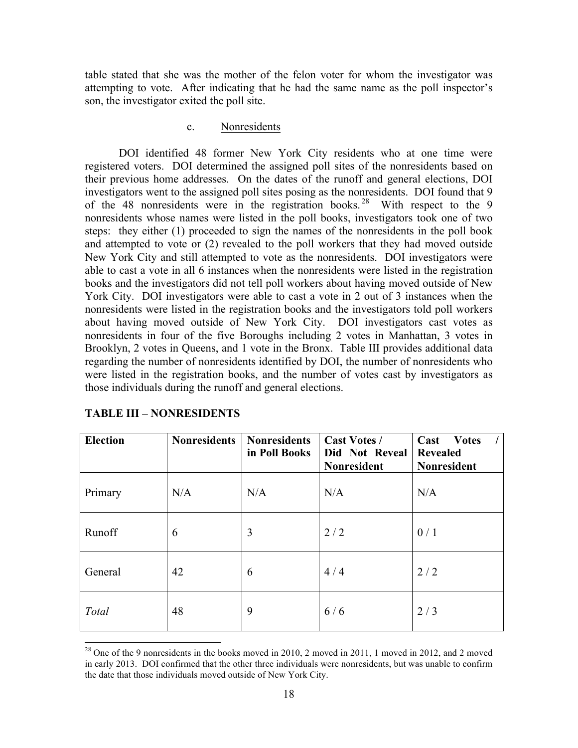table stated that she was the mother of the felon voter for whom the investigator was attempting to vote. After indicating that he had the same name as the poll inspector's son, the investigator exited the poll site.

#### c. Nonresidents

DOI identified 48 former New York City residents who at one time were registered voters. DOI determined the assigned poll sites of the nonresidents based on their previous home addresses. On the dates of the runoff and general elections, DOI investigators went to the assigned poll sites posing as the nonresidents. DOI found that 9 of the 48 nonresidents were in the registration books. <sup>28</sup> With respect to the 9 nonresidents whose names were listed in the poll books, investigators took one of two steps: they either (1) proceeded to sign the names of the nonresidents in the poll book and attempted to vote or (2) revealed to the poll workers that they had moved outside New York City and still attempted to vote as the nonresidents. DOI investigators were able to cast a vote in all 6 instances when the nonresidents were listed in the registration books and the investigators did not tell poll workers about having moved outside of New York City. DOI investigators were able to cast a vote in 2 out of 3 instances when the nonresidents were listed in the registration books and the investigators told poll workers about having moved outside of New York City. DOI investigators cast votes as nonresidents in four of the five Boroughs including 2 votes in Manhattan, 3 votes in Brooklyn, 2 votes in Queens, and 1 vote in the Bronx. Table III provides additional data regarding the number of nonresidents identified by DOI, the number of nonresidents who were listed in the registration books, and the number of votes cast by investigators as those individuals during the runoff and general elections.

| <b>Election</b> | <b>Nonresidents</b> | <b>Nonresidents</b><br>in Poll Books | <b>Cast Votes /</b><br>Did Not Reveal<br><b>Nonresident</b> | Cast<br><b>Votes</b><br><b>Revealed</b><br>Nonresident |
|-----------------|---------------------|--------------------------------------|-------------------------------------------------------------|--------------------------------------------------------|
| Primary         | N/A                 | N/A                                  | N/A                                                         | N/A                                                    |
| Runoff          | 6                   | 3                                    | 2/2                                                         | 0/1                                                    |
| General         | 42                  | 6                                    | 4/4                                                         | 2/2                                                    |
| Total           | 48                  | 9                                    | 6/6                                                         | 2/3                                                    |

#### **TABLE III – NONRESIDENTS**

 $^{28}$  One of the 9 nonresidents in the books moved in 2010, 2 moved in 2011, 1 moved in 2012, and 2 moved in early 2013. DOI confirmed that the other three individuals were nonresidents, but was unable to confirm the date that those individuals moved outside of New York City.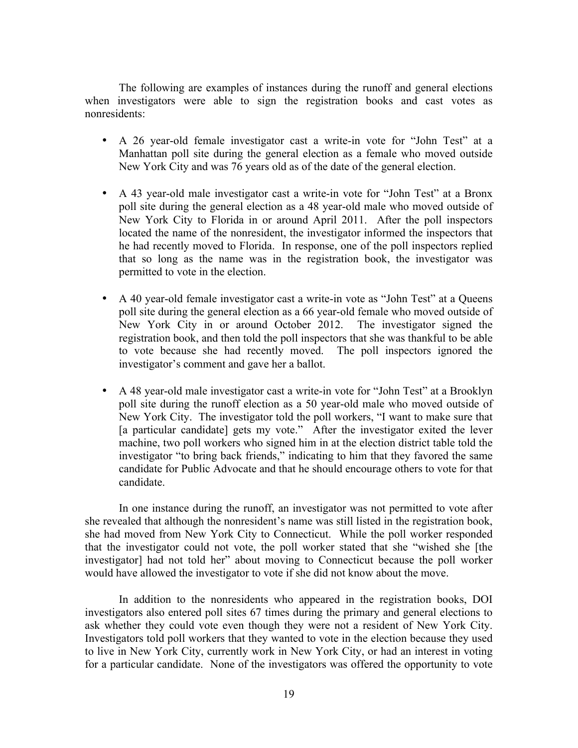The following are examples of instances during the runoff and general elections when investigators were able to sign the registration books and cast votes as nonresidents:

- A 26 year-old female investigator cast a write-in vote for "John Test" at a Manhattan poll site during the general election as a female who moved outside New York City and was 76 years old as of the date of the general election.
- A 43 year-old male investigator cast a write-in vote for "John Test" at a Bronx poll site during the general election as a 48 year-old male who moved outside of New York City to Florida in or around April 2011. After the poll inspectors located the name of the nonresident, the investigator informed the inspectors that he had recently moved to Florida. In response, one of the poll inspectors replied that so long as the name was in the registration book, the investigator was permitted to vote in the election.
- A 40 year-old female investigator cast a write-in vote as "John Test" at a Queens poll site during the general election as a 66 year-old female who moved outside of New York City in or around October 2012. The investigator signed the registration book, and then told the poll inspectors that she was thankful to be able to vote because she had recently moved. The poll inspectors ignored the investigator's comment and gave her a ballot.
- A 48 year-old male investigator cast a write-in vote for "John Test" at a Brooklyn poll site during the runoff election as a 50 year-old male who moved outside of New York City. The investigator told the poll workers, "I want to make sure that [a particular candidate] gets my vote." After the investigator exited the lever machine, two poll workers who signed him in at the election district table told the investigator "to bring back friends," indicating to him that they favored the same candidate for Public Advocate and that he should encourage others to vote for that candidate.

In one instance during the runoff, an investigator was not permitted to vote after she revealed that although the nonresident's name was still listed in the registration book, she had moved from New York City to Connecticut. While the poll worker responded that the investigator could not vote, the poll worker stated that she "wished she [the investigator] had not told her" about moving to Connecticut because the poll worker would have allowed the investigator to vote if she did not know about the move.

In addition to the nonresidents who appeared in the registration books, DOI investigators also entered poll sites 67 times during the primary and general elections to ask whether they could vote even though they were not a resident of New York City. Investigators told poll workers that they wanted to vote in the election because they used to live in New York City, currently work in New York City, or had an interest in voting for a particular candidate. None of the investigators was offered the opportunity to vote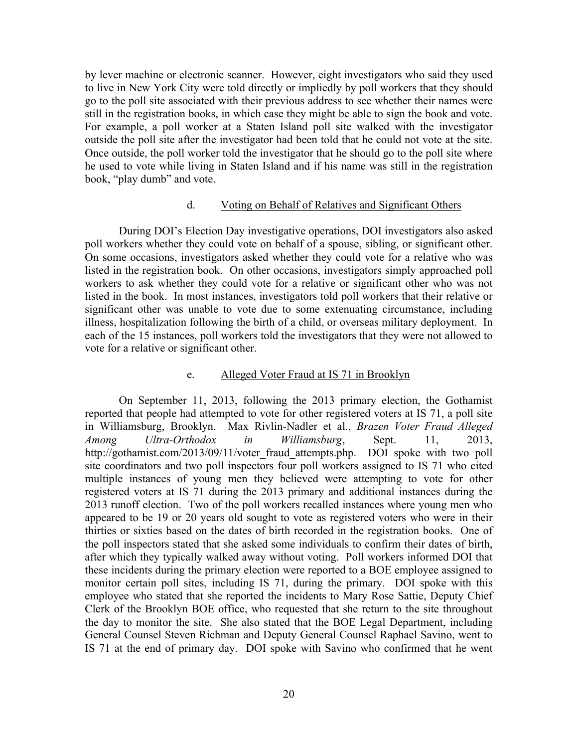by lever machine or electronic scanner. However, eight investigators who said they used to live in New York City were told directly or impliedly by poll workers that they should go to the poll site associated with their previous address to see whether their names were still in the registration books, in which case they might be able to sign the book and vote. For example, a poll worker at a Staten Island poll site walked with the investigator outside the poll site after the investigator had been told that he could not vote at the site. Once outside, the poll worker told the investigator that he should go to the poll site where he used to vote while living in Staten Island and if his name was still in the registration book, "play dumb" and vote.

#### d. Voting on Behalf of Relatives and Significant Others

During DOI's Election Day investigative operations, DOI investigators also asked poll workers whether they could vote on behalf of a spouse, sibling, or significant other. On some occasions, investigators asked whether they could vote for a relative who was listed in the registration book. On other occasions, investigators simply approached poll workers to ask whether they could vote for a relative or significant other who was not listed in the book. In most instances, investigators told poll workers that their relative or significant other was unable to vote due to some extenuating circumstance, including illness, hospitalization following the birth of a child, or overseas military deployment. In each of the 15 instances, poll workers told the investigators that they were not allowed to vote for a relative or significant other.

#### e. Alleged Voter Fraud at IS 71 in Brooklyn

On September 11, 2013, following the 2013 primary election, the Gothamist reported that people had attempted to vote for other registered voters at IS 71, a poll site in Williamsburg, Brooklyn. Max Rivlin-Nadler et al., *Brazen Voter Fraud Alleged Among Ultra-Orthodox in Williamsburg*, Sept. 11, 2013, http://gothamist.com/2013/09/11/voter fraud attempts.php. DOI spoke with two poll site coordinators and two poll inspectors four poll workers assigned to IS 71 who cited multiple instances of young men they believed were attempting to vote for other registered voters at IS 71 during the 2013 primary and additional instances during the 2013 runoff election. Two of the poll workers recalled instances where young men who appeared to be 19 or 20 years old sought to vote as registered voters who were in their thirties or sixties based on the dates of birth recorded in the registration books. One of the poll inspectors stated that she asked some individuals to confirm their dates of birth, after which they typically walked away without voting. Poll workers informed DOI that these incidents during the primary election were reported to a BOE employee assigned to monitor certain poll sites, including IS 71, during the primary. DOI spoke with this employee who stated that she reported the incidents to Mary Rose Sattie, Deputy Chief Clerk of the Brooklyn BOE office, who requested that she return to the site throughout the day to monitor the site. She also stated that the BOE Legal Department, including General Counsel Steven Richman and Deputy General Counsel Raphael Savino, went to IS 71 at the end of primary day. DOI spoke with Savino who confirmed that he went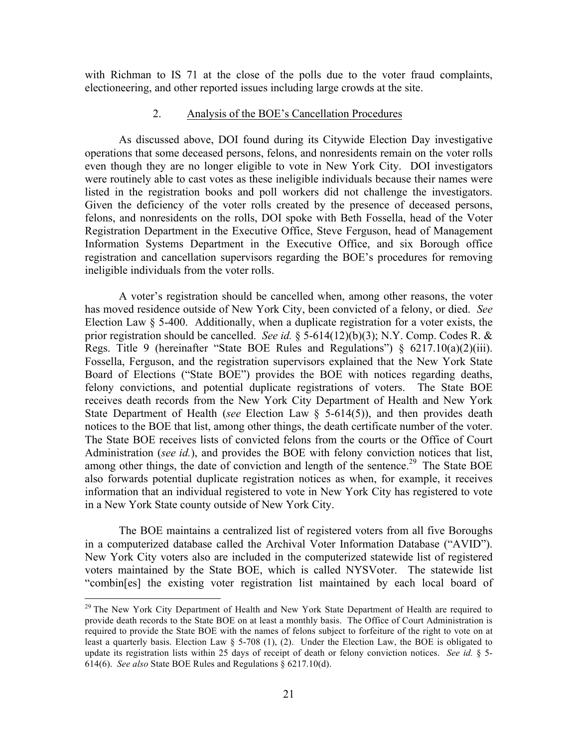with Richman to IS 71 at the close of the polls due to the voter fraud complaints, electioneering, and other reported issues including large crowds at the site.

#### 2. Analysis of the BOE's Cancellation Procedures

As discussed above, DOI found during its Citywide Election Day investigative operations that some deceased persons, felons, and nonresidents remain on the voter rolls even though they are no longer eligible to vote in New York City. DOI investigators were routinely able to cast votes as these ineligible individuals because their names were listed in the registration books and poll workers did not challenge the investigators. Given the deficiency of the voter rolls created by the presence of deceased persons, felons, and nonresidents on the rolls, DOI spoke with Beth Fossella, head of the Voter Registration Department in the Executive Office, Steve Ferguson, head of Management Information Systems Department in the Executive Office, and six Borough office registration and cancellation supervisors regarding the BOE's procedures for removing ineligible individuals from the voter rolls.

A voter's registration should be cancelled when, among other reasons, the voter has moved residence outside of New York City, been convicted of a felony, or died. *See*  Election Law § 5-400. Additionally, when a duplicate registration for a voter exists, the prior registration should be cancelled. *See id.* § 5-614(12)(b)(3); N.Y. Comp. Codes R. & Regs. Title 9 (hereinafter "State BOE Rules and Regulations") § 6217.10(a)(2)(iii). Fossella, Ferguson, and the registration supervisors explained that the New York State Board of Elections ("State BOE") provides the BOE with notices regarding deaths, felony convictions, and potential duplicate registrations of voters. The State BOE receives death records from the New York City Department of Health and New York State Department of Health (*see* Election Law § 5-614(5)), and then provides death notices to the BOE that list, among other things, the death certificate number of the voter. The State BOE receives lists of convicted felons from the courts or the Office of Court Administration (*see id.*), and provides the BOE with felony conviction notices that list, among other things, the date of conviction and length of the sentence.<sup>29</sup> The State BOE also forwards potential duplicate registration notices as when, for example, it receives information that an individual registered to vote in New York City has registered to vote in a New York State county outside of New York City.

The BOE maintains a centralized list of registered voters from all five Boroughs in a computerized database called the Archival Voter Information Database ("AVID"). New York City voters also are included in the computerized statewide list of registered voters maintained by the State BOE, which is called NYSVoter. The statewide list "combin[es] the existing voter registration list maintained by each local board of

<sup>&</sup>lt;sup>29</sup> The New York City Department of Health and New York State Department of Health are required to provide death records to the State BOE on at least a monthly basis. The Office of Court Administration is required to provide the State BOE with the names of felons subject to forfeiture of the right to vote on at least a quarterly basis. Election Law § 5-708 (1), (2). Under the Election Law, the BOE is obligated to update its registration lists within 25 days of receipt of death or felony conviction notices. *See id.* § 5- 614(6). *See also* State BOE Rules and Regulations § 6217.10(d).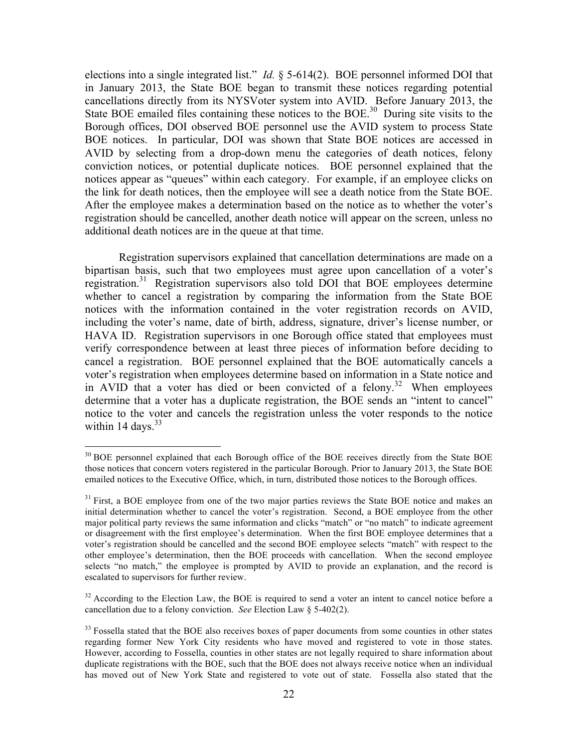elections into a single integrated list." *Id.* § 5-614(2). BOE personnel informed DOI that in January 2013, the State BOE began to transmit these notices regarding potential cancellations directly from its NYSVoter system into AVID. Before January 2013, the State BOE emailed files containing these notices to the BOE.<sup>30</sup> During site visits to the Borough offices, DOI observed BOE personnel use the AVID system to process State BOE notices. In particular, DOI was shown that State BOE notices are accessed in AVID by selecting from a drop-down menu the categories of death notices, felony conviction notices, or potential duplicate notices. BOE personnel explained that the notices appear as "queues" within each category. For example, if an employee clicks on the link for death notices, then the employee will see a death notice from the State BOE. After the employee makes a determination based on the notice as to whether the voter's registration should be cancelled, another death notice will appear on the screen, unless no additional death notices are in the queue at that time.

Registration supervisors explained that cancellation determinations are made on a bipartisan basis, such that two employees must agree upon cancellation of a voter's registration. 31 Registration supervisors also told DOI that BOE employees determine whether to cancel a registration by comparing the information from the State BOE notices with the information contained in the voter registration records on AVID, including the voter's name, date of birth, address, signature, driver's license number, or HAVA ID. Registration supervisors in one Borough office stated that employees must verify correspondence between at least three pieces of information before deciding to cancel a registration. BOE personnel explained that the BOE automatically cancels a voter's registration when employees determine based on information in a State notice and in AVID that a voter has died or been convicted of a felony.<sup>32</sup> When employees determine that a voter has a duplicate registration, the BOE sends an "intent to cancel" notice to the voter and cancels the registration unless the voter responds to the notice within 14 days.  $33<sup>33</sup>$ 

<sup>&</sup>lt;sup>30</sup> BOE personnel explained that each Borough office of the BOE receives directly from the State BOE those notices that concern voters registered in the particular Borough. Prior to January 2013, the State BOE emailed notices to the Executive Office, which, in turn, distributed those notices to the Borough offices.

 $31$  First, a BOE employee from one of the two major parties reviews the State BOE notice and makes an initial determination whether to cancel the voter's registration. Second, a BOE employee from the other major political party reviews the same information and clicks "match" or "no match" to indicate agreement or disagreement with the first employee's determination. When the first BOE employee determines that a voter's registration should be cancelled and the second BOE employee selects "match" with respect to the other employee's determination, then the BOE proceeds with cancellation. When the second employee selects "no match," the employee is prompted by AVID to provide an explanation, and the record is escalated to supervisors for further review.

 $32$  According to the Election Law, the BOE is required to send a voter an intent to cancel notice before a cancellation due to a felony conviction. *See* Election Law § 5-402(2).

<sup>&</sup>lt;sup>33</sup> Fossella stated that the BOE also receives boxes of paper documents from some counties in other states regarding former New York City residents who have moved and registered to vote in those states. However, according to Fossella, counties in other states are not legally required to share information about duplicate registrations with the BOE, such that the BOE does not always receive notice when an individual has moved out of New York State and registered to vote out of state. Fossella also stated that the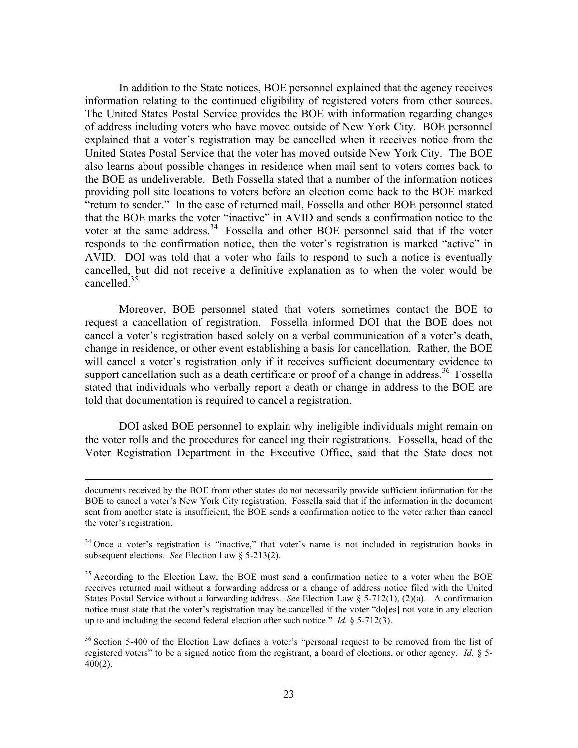In addition to the State notices, BOE personnel explained that the agency receives information relating to the continued eligibility of registered voters from other sources. The United States Postal Service provides the BOE with information regarding changes of address including voters who have moved outside of New York City. BOE personnel explained that a voter's registration may be cancelled when it receives notice from the United States Postal Service that the voter has moved outside New York City. The BOE also learns about possible changes in residence when mail sent to voters comes back to the BOE as undeliverable. Beth Fossella stated that a number of the information notices providing poll site locations to voters before an election come back to the BOE marked "return to sender." In the case of returned mail, Fossella and other BOE personnel stated that the BOE marks the voter "inactive" in AVID and sends a confirmation notice to the voter at the same address.<sup>34</sup> Fossella and other BOE personnel said that if the voter responds to the confirmation notice, then the voter's registration is marked "active" in AVID. DOI was told that a voter who fails to respond to such a notice is eventually cancelled, but did not receive a definitive explanation as to when the voter would be cancelled<sup>35</sup>

Moreover, BOE personnel stated that voters sometimes contact the BOE to request a cancellation of registration. Fossella informed DOI that the BOE does not cancel a voter's registration based solely on a verbal communication of a voter's death, change in residence, or other event establishing a basis for cancellation. Rather, the BOE will cancel a voter's registration only if it receives sufficient documentary evidence to support cancellation such as a death certificate or proof of a change in address.<sup>36</sup> Fossella stated that individuals who verbally report a death or change in address to the BOE are told that documentation is required to cancel a registration.

DOI asked BOE personnel to explain why ineligible individuals might remain on the voter rolls and the procedures for cancelling their registrations. Fossella, head of the Voter Registration Department in the Executive Office, said that the State does not

<u> 1989 - Andrea Santa Andrea Andrea Andrea Andrea Andrea Andrea Andrea Andrea Andrea Andrea Andrea Andrea Andr</u>

documents received by the BOE from other states do not necessarily provide sufficient information for the BOE to cancel a voter's New York City registration. Fossella said that if the information in the document sent from another state is insufficient, the BOE sends a confirmation notice to the voter rather than cancel the voter's registration.

 $34$  Once a voter's registration is "inactive," that voter's name is not included in registration books in subsequent elections. *See* Election Law § 5-213(2).

 $35$  According to the Election Law, the BOE must send a confirmation notice to a voter when the BOE receives returned mail without a forwarding address or a change of address notice filed with the United States Postal Service without a forwarding address. *See* Election Law § 5-712(1), (2)(a). A confirmation notice must state that the voter's registration may be cancelled if the voter "do[es] not vote in any election up to and including the second federal election after such notice." *Id.* § 5-712(3).

<sup>&</sup>lt;sup>36</sup> Section 5-400 of the Election Law defines a voter's "personal request to be removed from the list of registered voters" to be a signed notice from the registrant, a board of elections, or other agency. *Id.* § 5-  $400(2)$ .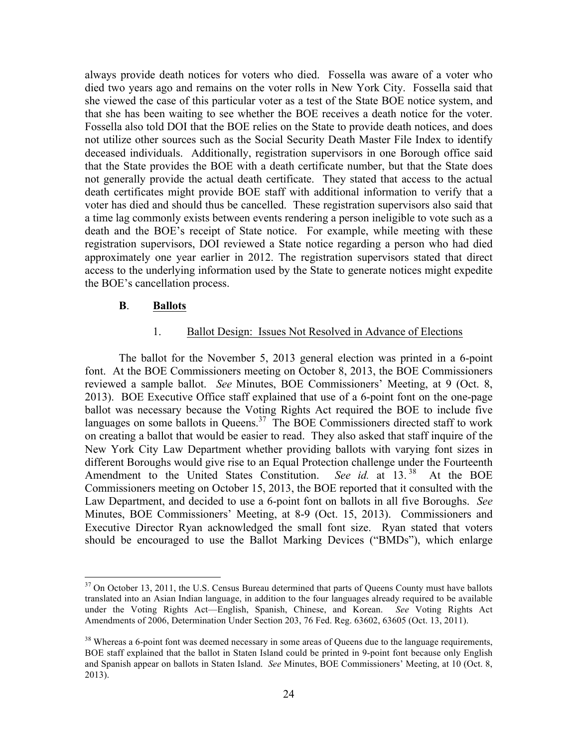always provide death notices for voters who died. Fossella was aware of a voter who died two years ago and remains on the voter rolls in New York City. Fossella said that she viewed the case of this particular voter as a test of the State BOE notice system, and that she has been waiting to see whether the BOE receives a death notice for the voter. Fossella also told DOI that the BOE relies on the State to provide death notices, and does not utilize other sources such as the Social Security Death Master File Index to identify deceased individuals. Additionally, registration supervisors in one Borough office said that the State provides the BOE with a death certificate number, but that the State does not generally provide the actual death certificate. They stated that access to the actual death certificates might provide BOE staff with additional information to verify that a voter has died and should thus be cancelled. These registration supervisors also said that a time lag commonly exists between events rendering a person ineligible to vote such as a death and the BOE's receipt of State notice. For example, while meeting with these registration supervisors, DOI reviewed a State notice regarding a person who had died approximately one year earlier in 2012. The registration supervisors stated that direct access to the underlying information used by the State to generate notices might expedite the BOE's cancellation process.

#### **B**. **Ballots**

#### 1. Ballot Design: Issues Not Resolved in Advance of Elections

The ballot for the November 5, 2013 general election was printed in a 6-point font. At the BOE Commissioners meeting on October 8, 2013, the BOE Commissioners reviewed a sample ballot. *See* Minutes, BOE Commissioners' Meeting, at 9 (Oct. 8, 2013). BOE Executive Office staff explained that use of a 6-point font on the one-page ballot was necessary because the Voting Rights Act required the BOE to include five languages on some ballots in Queens.<sup>37</sup> The BOE Commissioners directed staff to work on creating a ballot that would be easier to read. They also asked that staff inquire of the New York City Law Department whether providing ballots with varying font sizes in different Boroughs would give rise to an Equal Protection challenge under the Fourteenth Amendment to the United States Constitution. *See id.* at 13.<sup>38</sup> At the BOE Commissioners meeting on October 15, 2013, the BOE reported that it consulted with the Law Department, and decided to use a 6-point font on ballots in all five Boroughs. *See*  Minutes, BOE Commissioners' Meeting, at 8-9 (Oct. 15, 2013). Commissioners and Executive Director Ryan acknowledged the small font size. Ryan stated that voters should be encouraged to use the Ballot Marking Devices ("BMDs"), which enlarge

<sup>&</sup>lt;sup>37</sup> On October 13, 2011, the U.S. Census Bureau determined that parts of Queens County must have ballots translated into an Asian Indian language, in addition to the four languages already required to be available under the Voting Rights Act—English, Spanish, Chinese, and Korean. *See* Voting Rights Act Amendments of 2006, Determination Under Section 203, 76 Fed. Reg. 63602, 63605 (Oct. 13, 2011).

<sup>&</sup>lt;sup>38</sup> Whereas a 6-point font was deemed necessary in some areas of Queens due to the language requirements, BOE staff explained that the ballot in Staten Island could be printed in 9-point font because only English and Spanish appear on ballots in Staten Island. *See* Minutes, BOE Commissioners' Meeting, at 10 (Oct. 8, 2013).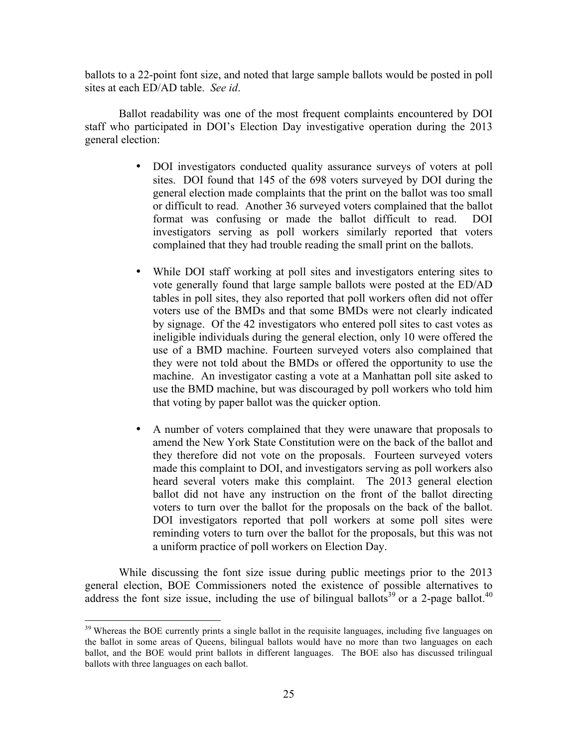ballots to a 22-point font size, and noted that large sample ballots would be posted in poll sites at each ED/AD table. *See id*.

Ballot readability was one of the most frequent complaints encountered by DOI staff who participated in DOI's Election Day investigative operation during the 2013 general election:

- DOI investigators conducted quality assurance surveys of voters at poll sites. DOI found that 145 of the 698 voters surveyed by DOI during the general election made complaints that the print on the ballot was too small or difficult to read. Another 36 surveyed voters complained that the ballot format was confusing or made the ballot difficult to read. DOI investigators serving as poll workers similarly reported that voters complained that they had trouble reading the small print on the ballots.
- While DOI staff working at poll sites and investigators entering sites to vote generally found that large sample ballots were posted at the ED/AD tables in poll sites, they also reported that poll workers often did not offer voters use of the BMDs and that some BMDs were not clearly indicated by signage. Of the 42 investigators who entered poll sites to cast votes as ineligible individuals during the general election, only 10 were offered the use of a BMD machine. Fourteen surveyed voters also complained that they were not told about the BMDs or offered the opportunity to use the machine. An investigator casting a vote at a Manhattan poll site asked to use the BMD machine, but was discouraged by poll workers who told him that voting by paper ballot was the quicker option.
- A number of voters complained that they were unaware that proposals to amend the New York State Constitution were on the back of the ballot and they therefore did not vote on the proposals. Fourteen surveyed voters made this complaint to DOI, and investigators serving as poll workers also heard several voters make this complaint. The 2013 general election ballot did not have any instruction on the front of the ballot directing voters to turn over the ballot for the proposals on the back of the ballot. DOI investigators reported that poll workers at some poll sites were reminding voters to turn over the ballot for the proposals, but this was not a uniform practice of poll workers on Election Day.

While discussing the font size issue during public meetings prior to the 2013 general election, BOE Commissioners noted the existence of possible alternatives to address the font size issue, including the use of bilingual ballots<sup>39</sup> or a 2-page ballot.<sup>40</sup>

<sup>&</sup>lt;sup>39</sup> Whereas the BOE currently prints a single ballot in the requisite languages, including five languages on the ballot in some areas of Queens, bilingual ballots would have no more than two languages on each ballot, and the BOE would print ballots in different languages. The BOE also has discussed trilingual ballots with three languages on each ballot.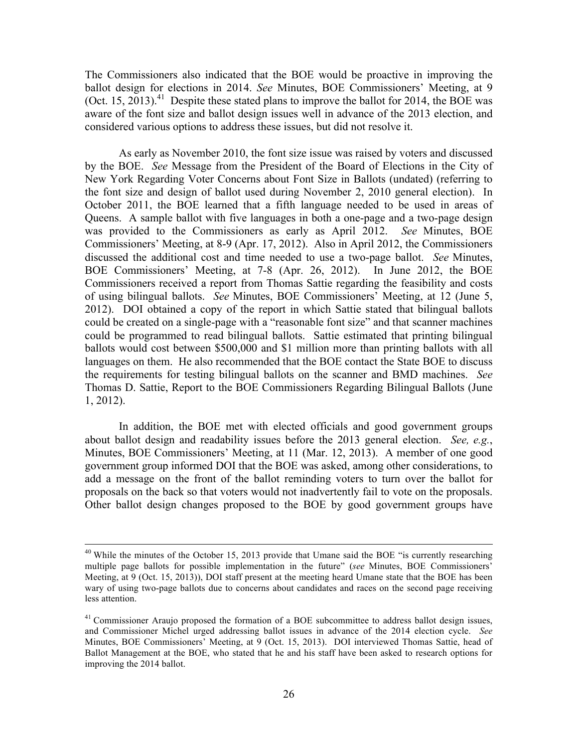The Commissioners also indicated that the BOE would be proactive in improving the ballot design for elections in 2014. *See* Minutes, BOE Commissioners' Meeting, at 9 (Oct. 15, 2013).<sup>41</sup> Despite these stated plans to improve the ballot for 2014, the BOE was aware of the font size and ballot design issues well in advance of the 2013 election, and considered various options to address these issues, but did not resolve it.

As early as November 2010, the font size issue was raised by voters and discussed by the BOE. *See* Message from the President of the Board of Elections in the City of New York Regarding Voter Concerns about Font Size in Ballots (undated) (referring to the font size and design of ballot used during November 2, 2010 general election). In October 2011, the BOE learned that a fifth language needed to be used in areas of Queens. A sample ballot with five languages in both a one-page and a two-page design was provided to the Commissioners as early as April 2012. *See* Minutes, BOE Commissioners' Meeting, at 8-9 (Apr. 17, 2012). Also in April 2012, the Commissioners discussed the additional cost and time needed to use a two-page ballot. *See* Minutes, BOE Commissioners' Meeting, at 7-8 (Apr. 26, 2012). In June 2012, the BOE Commissioners received a report from Thomas Sattie regarding the feasibility and costs of using bilingual ballots. *See* Minutes, BOE Commissioners' Meeting, at 12 (June 5, 2012). DOI obtained a copy of the report in which Sattie stated that bilingual ballots could be created on a single-page with a "reasonable font size" and that scanner machines could be programmed to read bilingual ballots. Sattie estimated that printing bilingual ballots would cost between \$500,000 and \$1 million more than printing ballots with all languages on them. He also recommended that the BOE contact the State BOE to discuss the requirements for testing bilingual ballots on the scanner and BMD machines. *See*  Thomas D. Sattie, Report to the BOE Commissioners Regarding Bilingual Ballots (June 1, 2012).

In addition, the BOE met with elected officials and good government groups about ballot design and readability issues before the 2013 general election. *See, e.g.*, Minutes, BOE Commissioners' Meeting, at 11 (Mar. 12, 2013). A member of one good government group informed DOI that the BOE was asked, among other considerations, to add a message on the front of the ballot reminding voters to turn over the ballot for proposals on the back so that voters would not inadvertently fail to vote on the proposals. Other ballot design changes proposed to the BOE by good government groups have

<sup>&</sup>lt;sup>40</sup> While the minutes of the October 15, 2013 provide that Umane said the BOE "is currently researching multiple page ballots for possible implementation in the future" (*see* Minutes, BOE Commissioners' Meeting, at 9 (Oct. 15, 2013)), DOI staff present at the meeting heard Umane state that the BOE has been wary of using two-page ballots due to concerns about candidates and races on the second page receiving less attention.

 $41$  Commissioner Araujo proposed the formation of a BOE subcommittee to address ballot design issues, and Commissioner Michel urged addressing ballot issues in advance of the 2014 election cycle. *See* Minutes, BOE Commissioners' Meeting, at 9 (Oct. 15, 2013). DOI interviewed Thomas Sattie, head of Ballot Management at the BOE, who stated that he and his staff have been asked to research options for improving the 2014 ballot.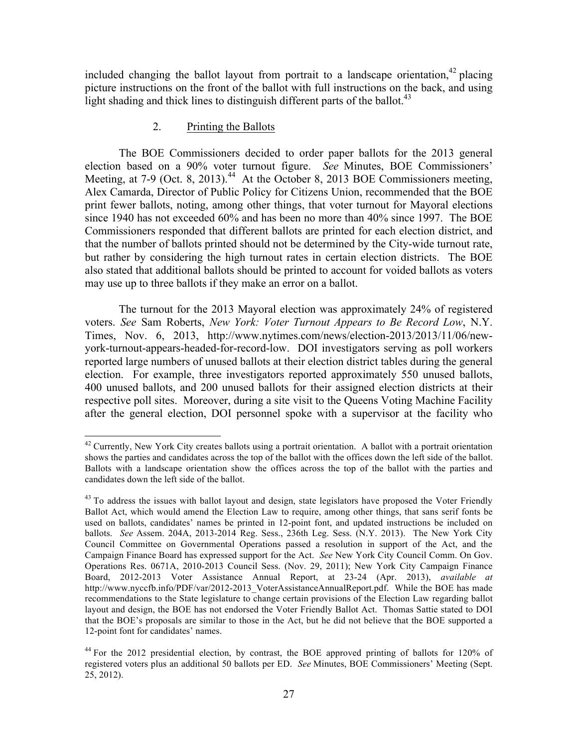included changing the ballot layout from portrait to a landscape orientation, $42$  placing picture instructions on the front of the ballot with full instructions on the back, and using light shading and thick lines to distinguish different parts of the ballot.<sup>43</sup>

### 2. Printing the Ballots

The BOE Commissioners decided to order paper ballots for the 2013 general election based on a 90% voter turnout figure. *See* Minutes, BOE Commissioners' Meeting, at 7-9 (Oct. 8, 2013).<sup>44</sup> At the October 8, 2013 BOE Commissioners meeting, Alex Camarda, Director of Public Policy for Citizens Union, recommended that the BOE print fewer ballots, noting, among other things, that voter turnout for Mayoral elections since 1940 has not exceeded 60% and has been no more than 40% since 1997. The BOE Commissioners responded that different ballots are printed for each election district, and that the number of ballots printed should not be determined by the City-wide turnout rate, but rather by considering the high turnout rates in certain election districts. The BOE also stated that additional ballots should be printed to account for voided ballots as voters may use up to three ballots if they make an error on a ballot.

The turnout for the 2013 Mayoral election was approximately 24% of registered voters. *See* Sam Roberts, *New York: Voter Turnout Appears to Be Record Low*, N.Y. Times, Nov. 6, 2013, http://www.nytimes.com/news/election-2013/2013/11/06/newyork-turnout-appears-headed-for-record-low. DOI investigators serving as poll workers reported large numbers of unused ballots at their election district tables during the general election. For example, three investigators reported approximately 550 unused ballots, 400 unused ballots, and 200 unused ballots for their assigned election districts at their respective poll sites. Moreover, during a site visit to the Queens Voting Machine Facility after the general election, DOI personnel spoke with a supervisor at the facility who

 $^{42}$  Currently, New York City creates ballots using a portrait orientation. A ballot with a portrait orientation shows the parties and candidates across the top of the ballot with the offices down the left side of the ballot. Ballots with a landscape orientation show the offices across the top of the ballot with the parties and candidates down the left side of the ballot.

 $43$  To address the issues with ballot layout and design, state legislators have proposed the Voter Friendly Ballot Act, which would amend the Election Law to require, among other things, that sans serif fonts be used on ballots, candidates' names be printed in 12-point font, and updated instructions be included on ballots. *See* Assem. 204A, 2013-2014 Reg. Sess., 236th Leg. Sess. (N.Y. 2013). The New York City Council Committee on Governmental Operations passed a resolution in support of the Act, and the Campaign Finance Board has expressed support for the Act. *See* New York City Council Comm. On Gov. Operations Res. 0671A, 2010-2013 Council Sess. (Nov. 29, 2011); New York City Campaign Finance Board, 2012-2013 Voter Assistance Annual Report, at 23-24 (Apr. 2013), *available at*  http://www.nyccfb.info/PDF/var/2012-2013\_VoterAssistanceAnnualReport.pdf. While the BOE has made recommendations to the State legislature to change certain provisions of the Election Law regarding ballot layout and design, the BOE has not endorsed the Voter Friendly Ballot Act. Thomas Sattie stated to DOI that the BOE's proposals are similar to those in the Act, but he did not believe that the BOE supported a 12-point font for candidates' names.

<sup>&</sup>lt;sup>44</sup> For the 2012 presidential election, by contrast, the BOE approved printing of ballots for 120% of registered voters plus an additional 50 ballots per ED. *See* Minutes, BOE Commissioners' Meeting (Sept. 25, 2012).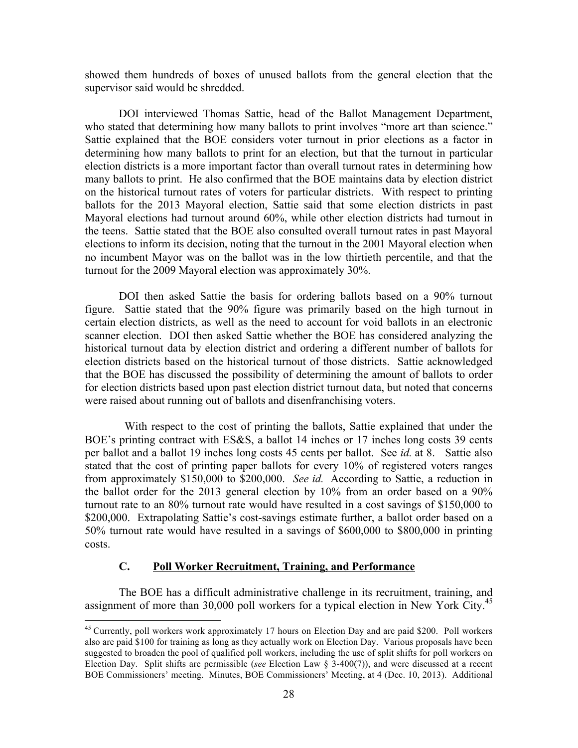showed them hundreds of boxes of unused ballots from the general election that the supervisor said would be shredded.

DOI interviewed Thomas Sattie, head of the Ballot Management Department, who stated that determining how many ballots to print involves "more art than science." Sattie explained that the BOE considers voter turnout in prior elections as a factor in determining how many ballots to print for an election, but that the turnout in particular election districts is a more important factor than overall turnout rates in determining how many ballots to print. He also confirmed that the BOE maintains data by election district on the historical turnout rates of voters for particular districts. With respect to printing ballots for the 2013 Mayoral election, Sattie said that some election districts in past Mayoral elections had turnout around 60%, while other election districts had turnout in the teens. Sattie stated that the BOE also consulted overall turnout rates in past Mayoral elections to inform its decision, noting that the turnout in the 2001 Mayoral election when no incumbent Mayor was on the ballot was in the low thirtieth percentile, and that the turnout for the 2009 Mayoral election was approximately 30%.

DOI then asked Sattie the basis for ordering ballots based on a 90% turnout figure. Sattie stated that the 90% figure was primarily based on the high turnout in certain election districts, as well as the need to account for void ballots in an electronic scanner election. DOI then asked Sattie whether the BOE has considered analyzing the historical turnout data by election district and ordering a different number of ballots for election districts based on the historical turnout of those districts. Sattie acknowledged that the BOE has discussed the possibility of determining the amount of ballots to order for election districts based upon past election district turnout data, but noted that concerns were raised about running out of ballots and disenfranchising voters.

 With respect to the cost of printing the ballots, Sattie explained that under the BOE's printing contract with ES&S, a ballot 14 inches or 17 inches long costs 39 cents per ballot and a ballot 19 inches long costs 45 cents per ballot. See *id.* at 8. Sattie also stated that the cost of printing paper ballots for every 10% of registered voters ranges from approximately \$150,000 to \$200,000. *See id.* According to Sattie, a reduction in the ballot order for the 2013 general election by 10% from an order based on a 90% turnout rate to an 80% turnout rate would have resulted in a cost savings of \$150,000 to \$200,000. Extrapolating Sattie's cost-savings estimate further, a ballot order based on a 50% turnout rate would have resulted in a savings of \$600,000 to \$800,000 in printing costs.

### **C. Poll Worker Recruitment, Training, and Performance**

The BOE has a difficult administrative challenge in its recruitment, training, and assignment of more than 30,000 poll workers for a typical election in New York City.<sup>45</sup>

 $45$  Currently, poll workers work approximately 17 hours on Election Day and are paid \$200. Poll workers also are paid \$100 for training as long as they actually work on Election Day. Various proposals have been suggested to broaden the pool of qualified poll workers, including the use of split shifts for poll workers on Election Day. Split shifts are permissible (*see* Election Law § 3-400(7)), and were discussed at a recent BOE Commissioners' meeting. Minutes, BOE Commissioners' Meeting, at 4 (Dec. 10, 2013). Additional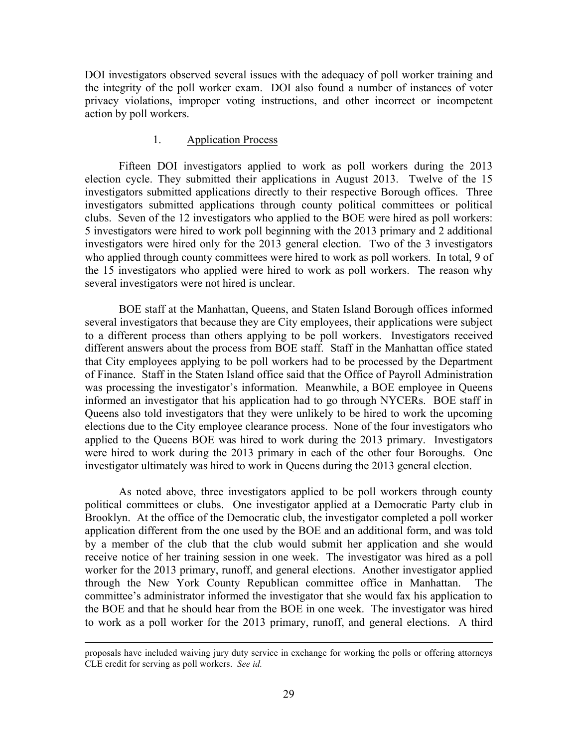DOI investigators observed several issues with the adequacy of poll worker training and the integrity of the poll worker exam. DOI also found a number of instances of voter privacy violations, improper voting instructions, and other incorrect or incompetent action by poll workers.

# 1. Application Process

Fifteen DOI investigators applied to work as poll workers during the 2013 election cycle. They submitted their applications in August 2013. Twelve of the 15 investigators submitted applications directly to their respective Borough offices. Three investigators submitted applications through county political committees or political clubs. Seven of the 12 investigators who applied to the BOE were hired as poll workers: 5 investigators were hired to work poll beginning with the 2013 primary and 2 additional investigators were hired only for the 2013 general election. Two of the 3 investigators who applied through county committees were hired to work as poll workers. In total, 9 of the 15 investigators who applied were hired to work as poll workers. The reason why several investigators were not hired is unclear.

BOE staff at the Manhattan, Queens, and Staten Island Borough offices informed several investigators that because they are City employees, their applications were subject to a different process than others applying to be poll workers. Investigators received different answers about the process from BOE staff. Staff in the Manhattan office stated that City employees applying to be poll workers had to be processed by the Department of Finance. Staff in the Staten Island office said that the Office of Payroll Administration was processing the investigator's information. Meanwhile, a BOE employee in Queens informed an investigator that his application had to go through NYCERs. BOE staff in Queens also told investigators that they were unlikely to be hired to work the upcoming elections due to the City employee clearance process. None of the four investigators who applied to the Queens BOE was hired to work during the 2013 primary. Investigators were hired to work during the 2013 primary in each of the other four Boroughs. One investigator ultimately was hired to work in Queens during the 2013 general election.

As noted above, three investigators applied to be poll workers through county political committees or clubs. One investigator applied at a Democratic Party club in Brooklyn. At the office of the Democratic club, the investigator completed a poll worker application different from the one used by the BOE and an additional form, and was told by a member of the club that the club would submit her application and she would receive notice of her training session in one week. The investigator was hired as a poll worker for the 2013 primary, runoff, and general elections. Another investigator applied through the New York County Republican committee office in Manhattan. The committee's administrator informed the investigator that she would fax his application to the BOE and that he should hear from the BOE in one week. The investigator was hired to work as a poll worker for the 2013 primary, runoff, and general elections. A third

<sup>&</sup>lt;u> 1989 - Andrea Santa Andrea Andrea Andrea Andrea Andrea Andrea Andrea Andrea Andrea Andrea Andrea Andrea Andr</u> proposals have included waiving jury duty service in exchange for working the polls or offering attorneys CLE credit for serving as poll workers. *See id.*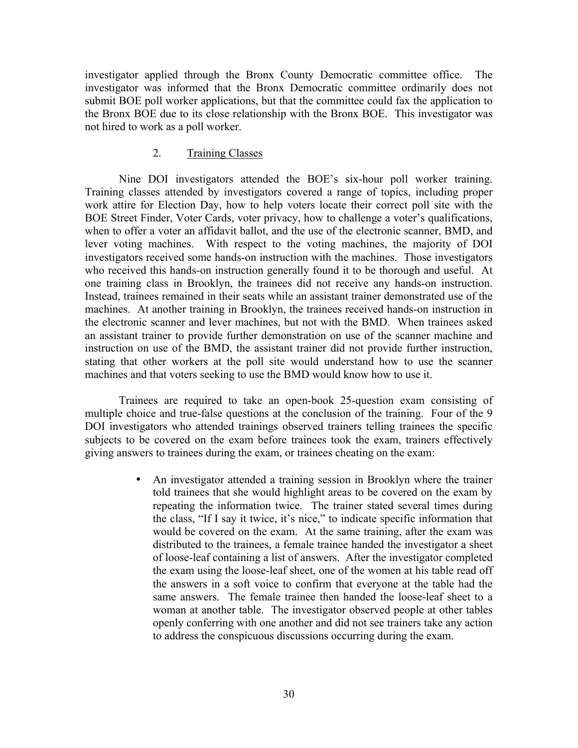investigator applied through the Bronx County Democratic committee office. The investigator was informed that the Bronx Democratic committee ordinarily does not submit BOE poll worker applications, but that the committee could fax the application to the Bronx BOE due to its close relationship with the Bronx BOE. This investigator was not hired to work as a poll worker.

### 2. Training Classes

Nine DOI investigators attended the BOE's six-hour poll worker training. Training classes attended by investigators covered a range of topics, including proper work attire for Election Day, how to help voters locate their correct poll site with the BOE Street Finder, Voter Cards, voter privacy, how to challenge a voter's qualifications, when to offer a voter an affidavit ballot, and the use of the electronic scanner, BMD, and lever voting machines. With respect to the voting machines, the majority of DOI investigators received some hands-on instruction with the machines. Those investigators who received this hands-on instruction generally found it to be thorough and useful. At one training class in Brooklyn, the trainees did not receive any hands-on instruction. Instead, trainees remained in their seats while an assistant trainer demonstrated use of the machines. At another training in Brooklyn, the trainees received hands-on instruction in the electronic scanner and lever machines, but not with the BMD. When trainees asked an assistant trainer to provide further demonstration on use of the scanner machine and instruction on use of the BMD, the assistant trainer did not provide further instruction, stating that other workers at the poll site would understand how to use the scanner machines and that voters seeking to use the BMD would know how to use it.

Trainees are required to take an open-book 25-question exam consisting of multiple choice and true-false questions at the conclusion of the training. Four of the 9 DOI investigators who attended trainings observed trainers telling trainees the specific subjects to be covered on the exam before trainees took the exam, trainers effectively giving answers to trainees during the exam, or trainees cheating on the exam:

> • An investigator attended a training session in Brooklyn where the trainer told trainees that she would highlight areas to be covered on the exam by repeating the information twice. The trainer stated several times during the class, "If I say it twice, it's nice," to indicate specific information that would be covered on the exam. At the same training, after the exam was distributed to the trainees, a female trainee handed the investigator a sheet of loose-leaf containing a list of answers. After the investigator completed the exam using the loose-leaf sheet, one of the women at his table read off the answers in a soft voice to confirm that everyone at the table had the same answers. The female trainee then handed the loose-leaf sheet to a woman at another table. The investigator observed people at other tables openly conferring with one another and did not see trainers take any action to address the conspicuous discussions occurring during the exam.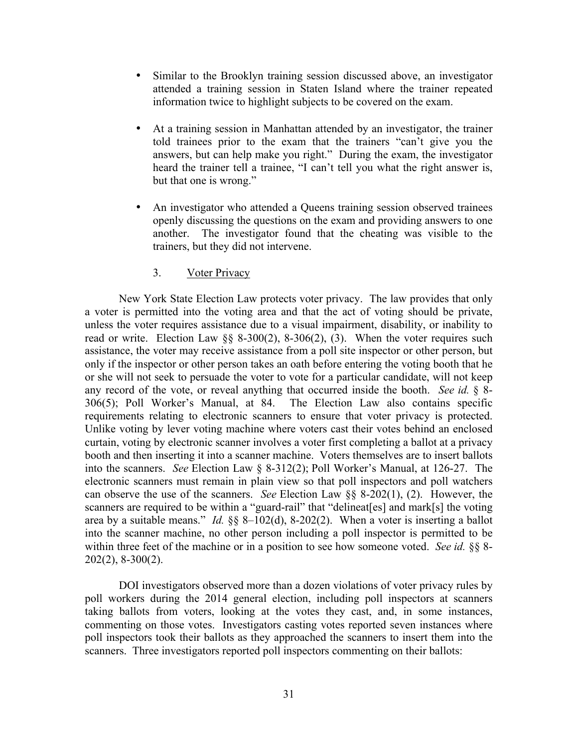- Similar to the Brooklyn training session discussed above, an investigator attended a training session in Staten Island where the trainer repeated information twice to highlight subjects to be covered on the exam.
- At a training session in Manhattan attended by an investigator, the trainer told trainees prior to the exam that the trainers "can't give you the answers, but can help make you right." During the exam, the investigator heard the trainer tell a trainee, "I can't tell you what the right answer is, but that one is wrong."
- An investigator who attended a Queens training session observed trainees openly discussing the questions on the exam and providing answers to one another. The investigator found that the cheating was visible to the trainers, but they did not intervene.

### 3. Voter Privacy

New York State Election Law protects voter privacy. The law provides that only a voter is permitted into the voting area and that the act of voting should be private, unless the voter requires assistance due to a visual impairment, disability, or inability to read or write. Election Law  $\S$ § 8-300(2), 8-306(2), (3). When the voter requires such assistance, the voter may receive assistance from a poll site inspector or other person, but only if the inspector or other person takes an oath before entering the voting booth that he or she will not seek to persuade the voter to vote for a particular candidate, will not keep any record of the vote, or reveal anything that occurred inside the booth. *See id.* § 8- 306(5); Poll Worker's Manual, at 84. The Election Law also contains specific requirements relating to electronic scanners to ensure that voter privacy is protected. Unlike voting by lever voting machine where voters cast their votes behind an enclosed curtain, voting by electronic scanner involves a voter first completing a ballot at a privacy booth and then inserting it into a scanner machine. Voters themselves are to insert ballots into the scanners. *See* Election Law § 8-312(2); Poll Worker's Manual, at 126-27. The electronic scanners must remain in plain view so that poll inspectors and poll watchers can observe the use of the scanners. *See* Election Law §§ 8-202(1), (2). However, the scanners are required to be within a "guard-rail" that "delineat[es] and mark[s] the voting area by a suitable means." *Id.* §§ 8–102(d), 8-202(2). When a voter is inserting a ballot into the scanner machine, no other person including a poll inspector is permitted to be within three feet of the machine or in a position to see how someone voted. *See id.* §§ 8- 202(2), 8-300(2).

DOI investigators observed more than a dozen violations of voter privacy rules by poll workers during the 2014 general election, including poll inspectors at scanners taking ballots from voters, looking at the votes they cast, and, in some instances, commenting on those votes. Investigators casting votes reported seven instances where poll inspectors took their ballots as they approached the scanners to insert them into the scanners. Three investigators reported poll inspectors commenting on their ballots: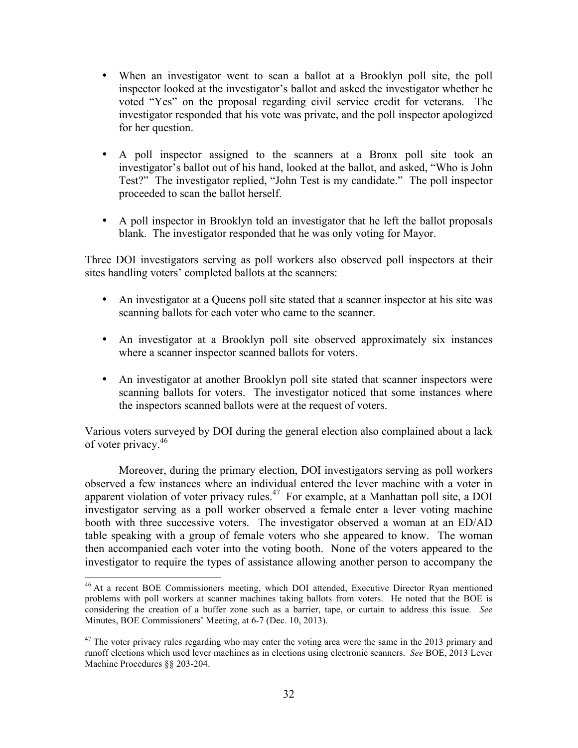- When an investigator went to scan a ballot at a Brooklyn poll site, the poll inspector looked at the investigator's ballot and asked the investigator whether he voted "Yes" on the proposal regarding civil service credit for veterans. The investigator responded that his vote was private, and the poll inspector apologized for her question.
- A poll inspector assigned to the scanners at a Bronx poll site took an investigator's ballot out of his hand, looked at the ballot, and asked, "Who is John Test?" The investigator replied, "John Test is my candidate." The poll inspector proceeded to scan the ballot herself.
- A poll inspector in Brooklyn told an investigator that he left the ballot proposals blank. The investigator responded that he was only voting for Mayor.

Three DOI investigators serving as poll workers also observed poll inspectors at their sites handling voters' completed ballots at the scanners:

- An investigator at a Queens poll site stated that a scanner inspector at his site was scanning ballots for each voter who came to the scanner.
- An investigator at a Brooklyn poll site observed approximately six instances where a scanner inspector scanned ballots for voters.
- An investigator at another Brooklyn poll site stated that scanner inspectors were scanning ballots for voters. The investigator noticed that some instances where the inspectors scanned ballots were at the request of voters.

Various voters surveyed by DOI during the general election also complained about a lack of voter privacy.<sup>46</sup>

Moreover, during the primary election, DOI investigators serving as poll workers observed a few instances where an individual entered the lever machine with a voter in apparent violation of voter privacy rules.<sup>47</sup> For example, at a Manhattan poll site, a DOI investigator serving as a poll worker observed a female enter a lever voting machine booth with three successive voters. The investigator observed a woman at an ED/AD table speaking with a group of female voters who she appeared to know. The woman then accompanied each voter into the voting booth. None of the voters appeared to the investigator to require the types of assistance allowing another person to accompany the

<sup>&</sup>lt;sup>46</sup> At a recent BOE Commissioners meeting, which DOI attended, Executive Director Ryan mentioned problems with poll workers at scanner machines taking ballots from voters. He noted that the BOE is considering the creation of a buffer zone such as a barrier, tape, or curtain to address this issue. *See*  Minutes, BOE Commissioners' Meeting, at 6-7 (Dec. 10, 2013).

 $47$  The voter privacy rules regarding who may enter the voting area were the same in the 2013 primary and runoff elections which used lever machines as in elections using electronic scanners. *See* BOE, 2013 Lever Machine Procedures §§ 203-204.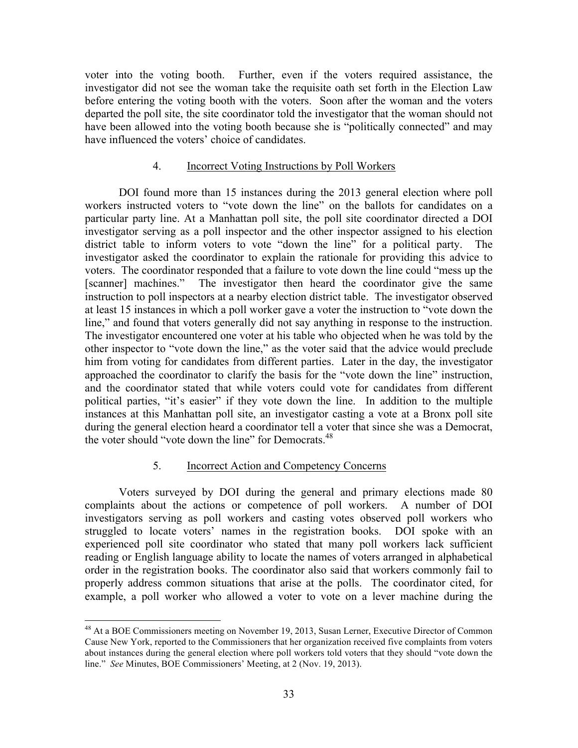voter into the voting booth. Further, even if the voters required assistance, the investigator did not see the woman take the requisite oath set forth in the Election Law before entering the voting booth with the voters. Soon after the woman and the voters departed the poll site, the site coordinator told the investigator that the woman should not have been allowed into the voting booth because she is "politically connected" and may have influenced the voters' choice of candidates.

### 4. Incorrect Voting Instructions by Poll Workers

DOI found more than 15 instances during the 2013 general election where poll workers instructed voters to "vote down the line" on the ballots for candidates on a particular party line. At a Manhattan poll site, the poll site coordinator directed a DOI investigator serving as a poll inspector and the other inspector assigned to his election district table to inform voters to vote "down the line" for a political party. The investigator asked the coordinator to explain the rationale for providing this advice to voters. The coordinator responded that a failure to vote down the line could "mess up the [scanner] machines." The investigator then heard the coordinator give the same instruction to poll inspectors at a nearby election district table. The investigator observed at least 15 instances in which a poll worker gave a voter the instruction to "vote down the line," and found that voters generally did not say anything in response to the instruction. The investigator encountered one voter at his table who objected when he was told by the other inspector to "vote down the line," as the voter said that the advice would preclude him from voting for candidates from different parties. Later in the day, the investigator approached the coordinator to clarify the basis for the "vote down the line" instruction, and the coordinator stated that while voters could vote for candidates from different political parties, "it's easier" if they vote down the line. In addition to the multiple instances at this Manhattan poll site, an investigator casting a vote at a Bronx poll site during the general election heard a coordinator tell a voter that since she was a Democrat, the voter should "vote down the line" for Democrats.<sup>48</sup>

#### 5. Incorrect Action and Competency Concerns

Voters surveyed by DOI during the general and primary elections made 80 complaints about the actions or competence of poll workers. A number of DOI investigators serving as poll workers and casting votes observed poll workers who struggled to locate voters' names in the registration books. DOI spoke with an experienced poll site coordinator who stated that many poll workers lack sufficient reading or English language ability to locate the names of voters arranged in alphabetical order in the registration books. The coordinator also said that workers commonly fail to properly address common situations that arise at the polls. The coordinator cited, for example, a poll worker who allowed a voter to vote on a lever machine during the

<sup>&</sup>lt;sup>48</sup> At a BOE Commissioners meeting on November 19, 2013, Susan Lerner, Executive Director of Common Cause New York, reported to the Commissioners that her organization received five complaints from voters about instances during the general election where poll workers told voters that they should "vote down the line." *See* Minutes, BOE Commissioners' Meeting, at 2 (Nov. 19, 2013).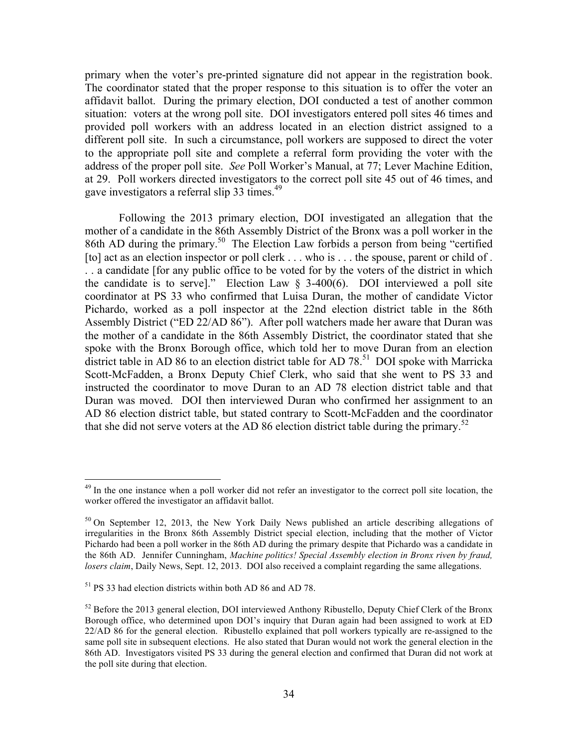primary when the voter's pre-printed signature did not appear in the registration book. The coordinator stated that the proper response to this situation is to offer the voter an affidavit ballot. During the primary election, DOI conducted a test of another common situation: voters at the wrong poll site. DOI investigators entered poll sites 46 times and provided poll workers with an address located in an election district assigned to a different poll site. In such a circumstance, poll workers are supposed to direct the voter to the appropriate poll site and complete a referral form providing the voter with the address of the proper poll site. *See* Poll Worker's Manual, at 77; Lever Machine Edition, at 29. Poll workers directed investigators to the correct poll site 45 out of 46 times, and gave investigators a referral slip 33 times.<sup>49</sup>

Following the 2013 primary election, DOI investigated an allegation that the mother of a candidate in the 86th Assembly District of the Bronx was a poll worker in the 86th AD during the primary.<sup>50</sup> The Election Law forbids a person from being "certified [to] act as an election inspector or poll clerk . . . who is . . . the spouse, parent or child of . . . a candidate [for any public office to be voted for by the voters of the district in which the candidate is to serve]." Election Law  $\S$  3-400(6). DOI interviewed a poll site coordinator at PS 33 who confirmed that Luisa Duran, the mother of candidate Victor Pichardo, worked as a poll inspector at the 22nd election district table in the 86th Assembly District ("ED 22/AD 86"). After poll watchers made her aware that Duran was the mother of a candidate in the 86th Assembly District, the coordinator stated that she spoke with the Bronx Borough office, which told her to move Duran from an election district table in AD 86 to an election district table for AD 78.<sup>51</sup> DOI spoke with Marricka Scott-McFadden, a Bronx Deputy Chief Clerk, who said that she went to PS 33 and instructed the coordinator to move Duran to an AD 78 election district table and that Duran was moved. DOI then interviewed Duran who confirmed her assignment to an AD 86 election district table, but stated contrary to Scott-McFadden and the coordinator that she did not serve voters at the AD 86 election district table during the primary.<sup>52</sup>

 $^{49}$  In the one instance when a poll worker did not refer an investigator to the correct poll site location, the worker offered the investigator an affidavit ballot.

 $50$  On September 12, 2013, the New York Daily News published an article describing allegations of irregularities in the Bronx 86th Assembly District special election, including that the mother of Victor Pichardo had been a poll worker in the 86th AD during the primary despite that Pichardo was a candidate in the 86th AD. Jennifer Cunningham, *Machine politics! Special Assembly election in Bronx riven by fraud, losers claim*, Daily News, Sept. 12, 2013. DOI also received a complaint regarding the same allegations.

<sup>51</sup> PS 33 had election districts within both AD 86 and AD 78.

 $52$  Before the 2013 general election, DOI interviewed Anthony Ribustello, Deputy Chief Clerk of the Bronx Borough office, who determined upon DOI's inquiry that Duran again had been assigned to work at ED 22/AD 86 for the general election. Ribustello explained that poll workers typically are re-assigned to the same poll site in subsequent elections. He also stated that Duran would not work the general election in the 86th AD. Investigators visited PS 33 during the general election and confirmed that Duran did not work at the poll site during that election.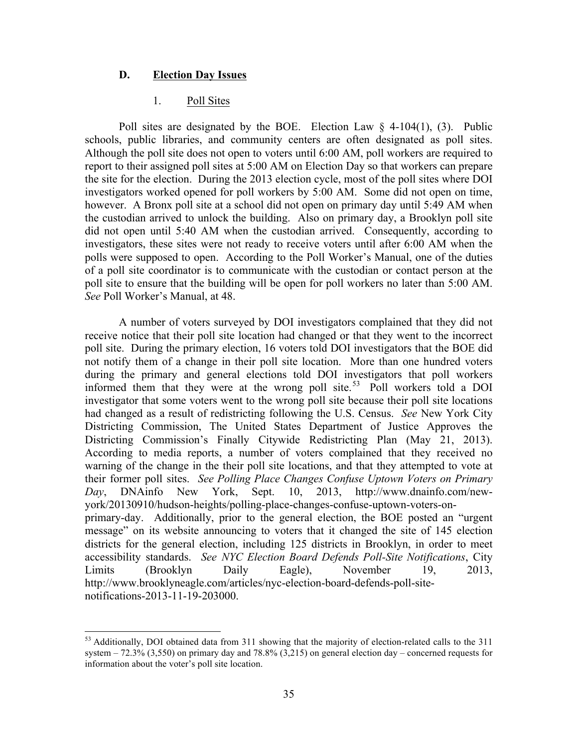# **D. Election Day Issues**

### 1. Poll Sites

Poll sites are designated by the BOE. Election Law  $\delta$  4-104(1), (3). Public schools, public libraries, and community centers are often designated as poll sites. Although the poll site does not open to voters until 6:00 AM, poll workers are required to report to their assigned poll sites at 5:00 AM on Election Day so that workers can prepare the site for the election. During the 2013 election cycle, most of the poll sites where DOI investigators worked opened for poll workers by 5:00 AM. Some did not open on time, however. A Bronx poll site at a school did not open on primary day until 5:49 AM when the custodian arrived to unlock the building. Also on primary day, a Brooklyn poll site did not open until 5:40 AM when the custodian arrived. Consequently, according to investigators, these sites were not ready to receive voters until after 6:00 AM when the polls were supposed to open. According to the Poll Worker's Manual, one of the duties of a poll site coordinator is to communicate with the custodian or contact person at the poll site to ensure that the building will be open for poll workers no later than 5:00 AM. *See* Poll Worker's Manual, at 48.

A number of voters surveyed by DOI investigators complained that they did not receive notice that their poll site location had changed or that they went to the incorrect poll site. During the primary election, 16 voters told DOI investigators that the BOE did not notify them of a change in their poll site location. More than one hundred voters during the primary and general elections told DOI investigators that poll workers informed them that they were at the wrong poll site.<sup>53</sup> Poll workers told a DOI investigator that some voters went to the wrong poll site because their poll site locations had changed as a result of redistricting following the U.S. Census. *See* New York City Districting Commission, The United States Department of Justice Approves the Districting Commission's Finally Citywide Redistricting Plan (May 21, 2013). According to media reports, a number of voters complained that they received no warning of the change in the their poll site locations, and that they attempted to vote at their former poll sites. *See Polling Place Changes Confuse Uptown Voters on Primary Day*, DNAinfo New York, Sept. 10, 2013, http://www.dnainfo.com/newyork/20130910/hudson-heights/polling-place-changes-confuse-uptown-voters-onprimary-day. Additionally, prior to the general election, the BOE posted an "urgent message" on its website announcing to voters that it changed the site of 145 election districts for the general election, including 125 districts in Brooklyn, in order to meet accessibility standards. *See NYC Election Board Defends Poll-Site Notifications*, City Limits (Brooklyn Daily Eagle), November 19, 2013, http://www.brooklyneagle.com/articles/nyc-election-board-defends-poll-sitenotifications-2013-11-19-203000.

<sup>&</sup>lt;sup>53</sup> Additionally, DOI obtained data from 311 showing that the majority of election-related calls to the 311 system  $-72.3\%$  (3,550) on primary day and 78.8% (3,215) on general election day – concerned requests for information about the voter's poll site location.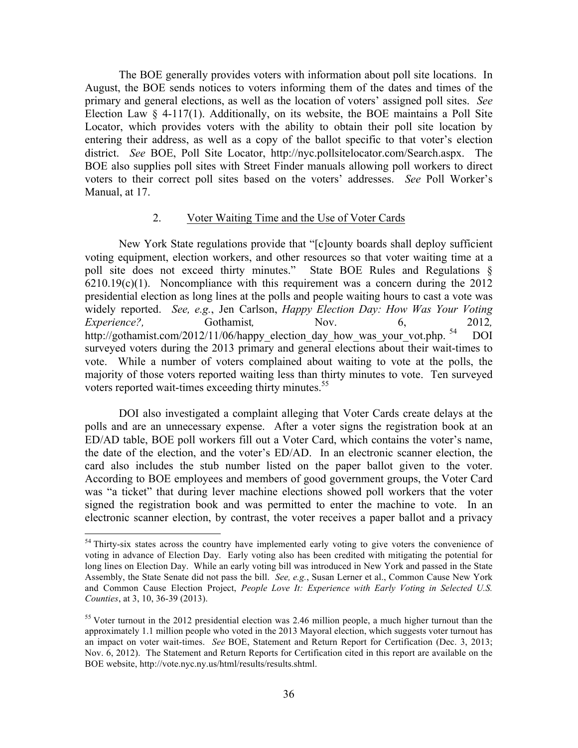The BOE generally provides voters with information about poll site locations. In August, the BOE sends notices to voters informing them of the dates and times of the primary and general elections, as well as the location of voters' assigned poll sites. *See* Election Law  $\S$  4-117(1). Additionally, on its website, the BOE maintains a Poll Site Locator, which provides voters with the ability to obtain their poll site location by entering their address, as well as a copy of the ballot specific to that voter's election district. *See* BOE, Poll Site Locator, http://nyc.pollsitelocator.com/Search.aspx. The BOE also supplies poll sites with Street Finder manuals allowing poll workers to direct voters to their correct poll sites based on the voters' addresses. *See* Poll Worker's Manual, at 17.

### 2. Voter Waiting Time and the Use of Voter Cards

New York State regulations provide that "[c]ounty boards shall deploy sufficient voting equipment, election workers, and other resources so that voter waiting time at a poll site does not exceed thirty minutes." State BOE Rules and Regulations §  $6210.19(c)(1)$ . Noncompliance with this requirement was a concern during the 2012 presidential election as long lines at the polls and people waiting hours to cast a vote was widely reported. *See, e.g.*, Jen Carlson, *Happy Election Day: How Was Your Voting Experience?,* Gothamist, Nov. 6, 2012*,* http://gothamist.com/2012/11/06/happy\_election\_day\_how\_was\_your\_vot.php. <sup>54</sup> DOI surveyed voters during the 2013 primary and general elections about their wait-times to vote. While a number of voters complained about waiting to vote at the polls, the majority of those voters reported waiting less than thirty minutes to vote. Ten surveyed voters reported wait-times exceeding thirty minutes. 55

DOI also investigated a complaint alleging that Voter Cards create delays at the polls and are an unnecessary expense. After a voter signs the registration book at an ED/AD table, BOE poll workers fill out a Voter Card, which contains the voter's name, the date of the election, and the voter's ED/AD. In an electronic scanner election, the card also includes the stub number listed on the paper ballot given to the voter. According to BOE employees and members of good government groups, the Voter Card was "a ticket" that during lever machine elections showed poll workers that the voter signed the registration book and was permitted to enter the machine to vote. In an electronic scanner election, by contrast, the voter receives a paper ballot and a privacy

<sup>&</sup>lt;sup>54</sup> Thirty-six states across the country have implemented early voting to give voters the convenience of voting in advance of Election Day. Early voting also has been credited with mitigating the potential for long lines on Election Day. While an early voting bill was introduced in New York and passed in the State Assembly, the State Senate did not pass the bill. *See, e.g.*, Susan Lerner et al., Common Cause New York and Common Cause Election Project, *People Love It: Experience with Early Voting in Selected U.S. Counties*, at 3, 10, 36-39 (2013).

<sup>&</sup>lt;sup>55</sup> Voter turnout in the 2012 presidential election was 2.46 million people, a much higher turnout than the approximately 1.1 million people who voted in the 2013 Mayoral election, which suggests voter turnout has an impact on voter wait-times. *See* BOE, Statement and Return Report for Certification (Dec. 3, 2013; Nov. 6, 2012). The Statement and Return Reports for Certification cited in this report are available on the BOE website, http://vote.nyc.ny.us/html/results/results.shtml.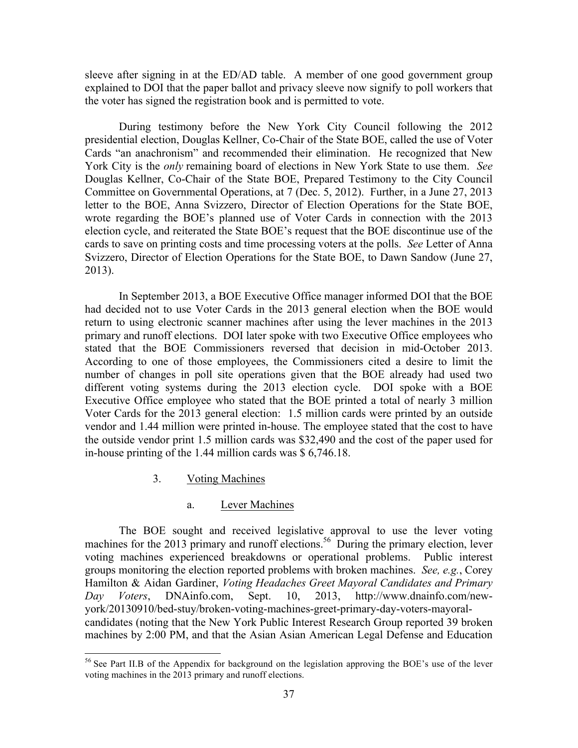sleeve after signing in at the ED/AD table. A member of one good government group explained to DOI that the paper ballot and privacy sleeve now signify to poll workers that the voter has signed the registration book and is permitted to vote.

During testimony before the New York City Council following the 2012 presidential election, Douglas Kellner, Co-Chair of the State BOE, called the use of Voter Cards "an anachronism" and recommended their elimination. He recognized that New York City is the *only* remaining board of elections in New York State to use them. *See*  Douglas Kellner, Co-Chair of the State BOE, Prepared Testimony to the City Council Committee on Governmental Operations, at 7 (Dec. 5, 2012). Further, in a June 27, 2013 letter to the BOE, Anna Svizzero, Director of Election Operations for the State BOE, wrote regarding the BOE's planned use of Voter Cards in connection with the 2013 election cycle, and reiterated the State BOE's request that the BOE discontinue use of the cards to save on printing costs and time processing voters at the polls. *See* Letter of Anna Svizzero, Director of Election Operations for the State BOE, to Dawn Sandow (June 27, 2013).

In September 2013, a BOE Executive Office manager informed DOI that the BOE had decided not to use Voter Cards in the 2013 general election when the BOE would return to using electronic scanner machines after using the lever machines in the 2013 primary and runoff elections. DOI later spoke with two Executive Office employees who stated that the BOE Commissioners reversed that decision in mid-October 2013. According to one of those employees, the Commissioners cited a desire to limit the number of changes in poll site operations given that the BOE already had used two different voting systems during the 2013 election cycle. DOI spoke with a BOE Executive Office employee who stated that the BOE printed a total of nearly 3 million Voter Cards for the 2013 general election: 1.5 million cards were printed by an outside vendor and 1.44 million were printed in-house. The employee stated that the cost to have the outside vendor print 1.5 million cards was \$32,490 and the cost of the paper used for in-house printing of the 1.44 million cards was \$ 6,746.18.

3. Voting Machines

### a. Lever Machines

The BOE sought and received legislative approval to use the lever voting machines for the 2013 primary and runoff elections.<sup>56</sup> During the primary election, lever voting machines experienced breakdowns or operational problems. Public interest groups monitoring the election reported problems with broken machines. *See, e.g.*, Corey Hamilton & Aidan Gardiner, *Voting Headaches Greet Mayoral Candidates and Primary Day Voters*, DNAinfo.com, Sept. 10, 2013, http://www.dnainfo.com/newyork/20130910/bed-stuy/broken-voting-machines-greet-primary-day-voters-mayoralcandidates (noting that the New York Public Interest Research Group reported 39 broken machines by 2:00 PM, and that the Asian Asian American Legal Defense and Education

<sup>&</sup>lt;sup>56</sup> See Part II.B of the Appendix for background on the legislation approving the BOE's use of the lever voting machines in the 2013 primary and runoff elections.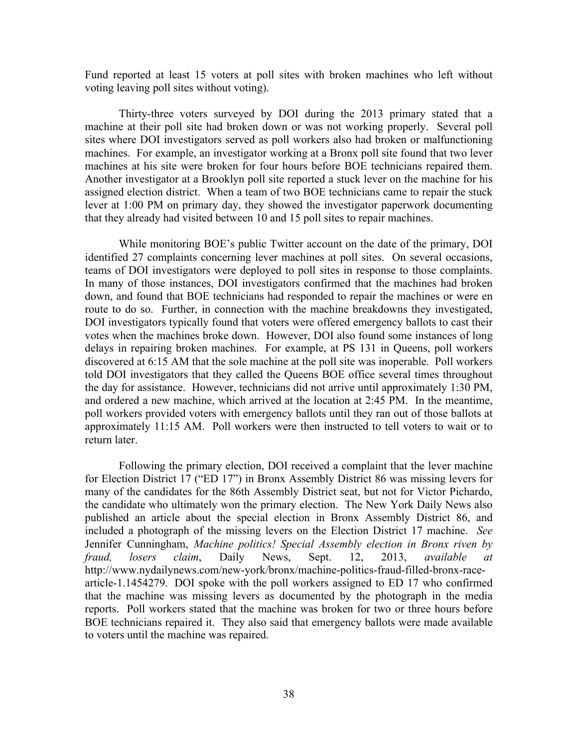Fund reported at least 15 voters at poll sites with broken machines who left without voting leaving poll sites without voting).

Thirty-three voters surveyed by DOI during the 2013 primary stated that a machine at their poll site had broken down or was not working properly. Several poll sites where DOI investigators served as poll workers also had broken or malfunctioning machines. For example, an investigator working at a Bronx poll site found that two lever machines at his site were broken for four hours before BOE technicians repaired them. Another investigator at a Brooklyn poll site reported a stuck lever on the machine for his assigned election district. When a team of two BOE technicians came to repair the stuck lever at 1:00 PM on primary day, they showed the investigator paperwork documenting that they already had visited between 10 and 15 poll sites to repair machines.

While monitoring BOE's public Twitter account on the date of the primary, DOI identified 27 complaints concerning lever machines at poll sites. On several occasions, teams of DOI investigators were deployed to poll sites in response to those complaints. In many of those instances, DOI investigators confirmed that the machines had broken down, and found that BOE technicians had responded to repair the machines or were en route to do so. Further, in connection with the machine breakdowns they investigated, DOI investigators typically found that voters were offered emergency ballots to cast their votes when the machines broke down. However, DOI also found some instances of long delays in repairing broken machines. For example, at PS 131 in Queens, poll workers discovered at 6:15 AM that the sole machine at the poll site was inoperable. Poll workers told DOI investigators that they called the Queens BOE office several times throughout the day for assistance. However, technicians did not arrive until approximately 1:30 PM, and ordered a new machine, which arrived at the location at 2:45 PM. In the meantime, poll workers provided voters with emergency ballots until they ran out of those ballots at approximately 11:15 AM. Poll workers were then instructed to tell voters to wait or to return later.

Following the primary election, DOI received a complaint that the lever machine for Election District 17 ("ED 17") in Bronx Assembly District 86 was missing levers for many of the candidates for the 86th Assembly District seat, but not for Victor Pichardo, the candidate who ultimately won the primary election. The New York Daily News also published an article about the special election in Bronx Assembly District 86, and included a photograph of the missing levers on the Election District 17 machine. *See* Jennifer Cunningham, *Machine politics! Special Assembly election in Bronx riven by fraud, losers claim*, Daily News, Sept. 12, 2013, *available at*  http://www.nydailynews.com/new-york/bronx/machine-politics-fraud-filled-bronx-racearticle-1.1454279.DOI spoke with the poll workers assigned to ED 17 who confirmed that the machine was missing levers as documented by the photograph in the media reports. Poll workers stated that the machine was broken for two or three hours before BOE technicians repaired it. They also said that emergency ballots were made available to voters until the machine was repaired.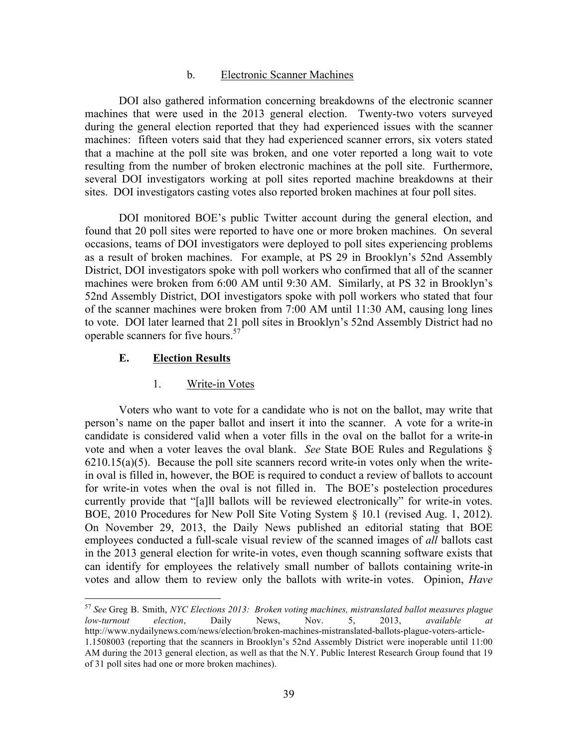### b. Electronic Scanner Machines

DOI also gathered information concerning breakdowns of the electronic scanner machines that were used in the 2013 general election. Twenty-two voters surveyed during the general election reported that they had experienced issues with the scanner machines: fifteen voters said that they had experienced scanner errors, six voters stated that a machine at the poll site was broken, and one voter reported a long wait to vote resulting from the number of broken electronic machines at the poll site. Furthermore, several DOI investigators working at poll sites reported machine breakdowns at their sites. DOI investigators casting votes also reported broken machines at four poll sites.

DOI monitored BOE's public Twitter account during the general election, and found that 20 poll sites were reported to have one or more broken machines. On several occasions, teams of DOI investigators were deployed to poll sites experiencing problems as a result of broken machines. For example, at PS 29 in Brooklyn's 52nd Assembly District, DOI investigators spoke with poll workers who confirmed that all of the scanner machines were broken from 6:00 AM until 9:30 AM. Similarly, at PS 32 in Brooklyn's 52nd Assembly District, DOI investigators spoke with poll workers who stated that four of the scanner machines were broken from 7:00 AM until 11:30 AM, causing long lines to vote. DOI later learned that 21 poll sites in Brooklyn's 52nd Assembly District had no operable scanners for five hours.<sup>57</sup>

### **E. Election Results**

#### 1. Write-in Votes

Voters who want to vote for a candidate who is not on the ballot, may write that person's name on the paper ballot and insert it into the scanner. A vote for a write-in candidate is considered valid when a voter fills in the oval on the ballot for a write-in vote and when a voter leaves the oval blank. *See* State BOE Rules and Regulations §  $6210.15(a)(5)$ . Because the poll site scanners record write-in votes only when the writein oval is filled in, however, the BOE is required to conduct a review of ballots to account for write-in votes when the oval is not filled in. The BOE's postelection procedures currently provide that "[a]ll ballots will be reviewed electronically" for write-in votes. BOE, 2010 Procedures for New Poll Site Voting System § 10.1 (revised Aug. 1, 2012). On November 29, 2013, the Daily News published an editorial stating that BOE employees conducted a full-scale visual review of the scanned images of *all* ballots cast in the 2013 general election for write-in votes, even though scanning software exists that can identify for employees the relatively small number of ballots containing write-in votes and allow them to review only the ballots with write-in votes. Opinion, *Have* 

 <sup>57</sup> *See* Greg B. Smith, *NYC Elections 2013: Broken voting machines, mistranslated ballot measures plague low-turnout election*, Daily News, Nov. 5, 2013, *available at* http://www.nydailynews.com/news/election/broken-machines-mistranslated-ballots-plague-voters-article-1.1508003 (reporting that the scanners in Brooklyn's 52nd Assembly District were inoperable until 11:00 AM during the 2013 general election, as well as that the N.Y. Public Interest Research Group found that 19 of 31 poll sites had one or more broken machines).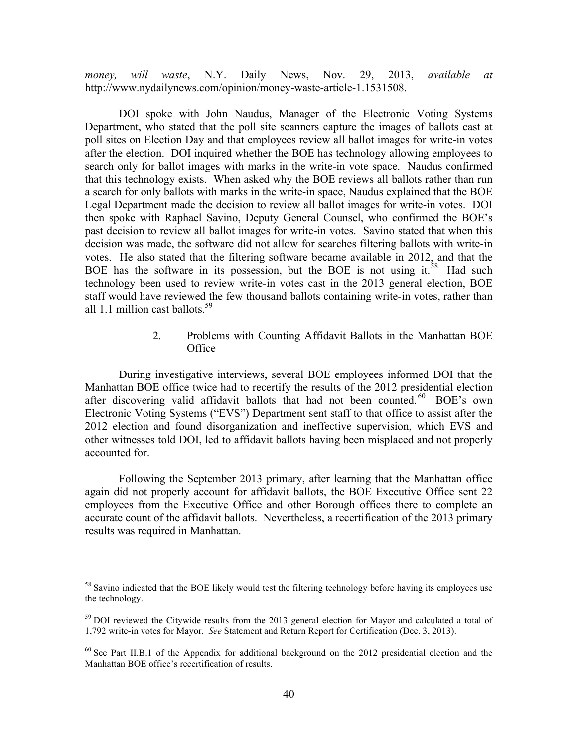*money, will waste*, N.Y. Daily News, Nov. 29, 2013, *available at* http://www.nydailynews.com/opinion/money-waste-article-1.1531508.

DOI spoke with John Naudus, Manager of the Electronic Voting Systems Department, who stated that the poll site scanners capture the images of ballots cast at poll sites on Election Day and that employees review all ballot images for write-in votes after the election. DOI inquired whether the BOE has technology allowing employees to search only for ballot images with marks in the write-in vote space. Naudus confirmed that this technology exists. When asked why the BOE reviews all ballots rather than run a search for only ballots with marks in the write-in space, Naudus explained that the BOE Legal Department made the decision to review all ballot images for write-in votes. DOI then spoke with Raphael Savino, Deputy General Counsel, who confirmed the BOE's past decision to review all ballot images for write-in votes. Savino stated that when this decision was made, the software did not allow for searches filtering ballots with write-in votes. He also stated that the filtering software became available in 2012, and that the BOE has the software in its possession, but the BOE is not using it.<sup>58</sup> Had such technology been used to review write-in votes cast in the 2013 general election, BOE staff would have reviewed the few thousand ballots containing write-in votes, rather than all 1.1 million cast ballots  $59<sup>59</sup>$ .

# 2. Problems with Counting Affidavit Ballots in the Manhattan BOE **Office**

During investigative interviews, several BOE employees informed DOI that the Manhattan BOE office twice had to recertify the results of the 2012 presidential election after discovering valid affidavit ballots that had not been counted.<sup>60</sup> BOE's own Electronic Voting Systems ("EVS") Department sent staff to that office to assist after the 2012 election and found disorganization and ineffective supervision, which EVS and other witnesses told DOI, led to affidavit ballots having been misplaced and not properly accounted for.

Following the September 2013 primary, after learning that the Manhattan office again did not properly account for affidavit ballots, the BOE Executive Office sent 22 employees from the Executive Office and other Borough offices there to complete an accurate count of the affidavit ballots. Nevertheless, a recertification of the 2013 primary results was required in Manhattan.

<sup>&</sup>lt;sup>58</sup> Savino indicated that the BOE likely would test the filtering technology before having its employees use the technology.

 $59$  DOI reviewed the Citywide results from the 2013 general election for Mayor and calculated a total of 1,792 write-in votes for Mayor. *See* Statement and Return Report for Certification (Dec. 3, 2013).

 $60$  See Part II.B.1 of the Appendix for additional background on the 2012 presidential election and the Manhattan BOE office's recertification of results.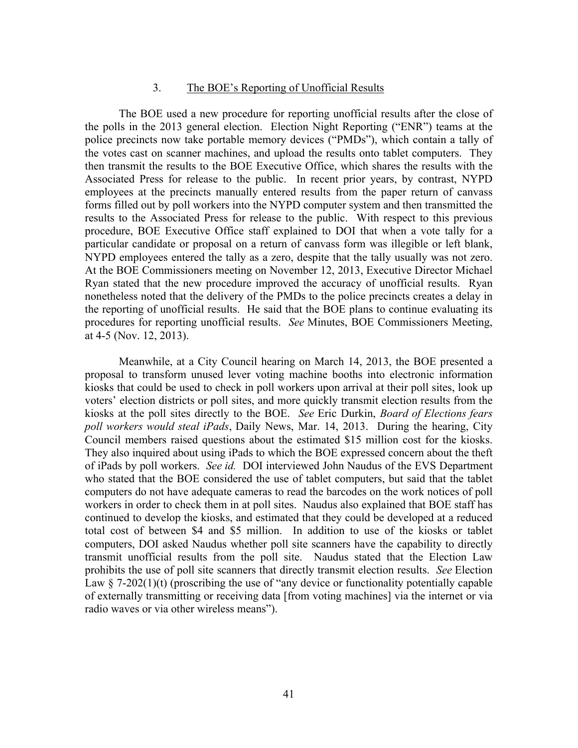### 3. The BOE's Reporting of Unofficial Results

The BOE used a new procedure for reporting unofficial results after the close of the polls in the 2013 general election. Election Night Reporting ("ENR") teams at the police precincts now take portable memory devices ("PMDs"), which contain a tally of the votes cast on scanner machines, and upload the results onto tablet computers. They then transmit the results to the BOE Executive Office, which shares the results with the Associated Press for release to the public. In recent prior years, by contrast, NYPD employees at the precincts manually entered results from the paper return of canvass forms filled out by poll workers into the NYPD computer system and then transmitted the results to the Associated Press for release to the public. With respect to this previous procedure, BOE Executive Office staff explained to DOI that when a vote tally for a particular candidate or proposal on a return of canvass form was illegible or left blank, NYPD employees entered the tally as a zero, despite that the tally usually was not zero. At the BOE Commissioners meeting on November 12, 2013, Executive Director Michael Ryan stated that the new procedure improved the accuracy of unofficial results. Ryan nonetheless noted that the delivery of the PMDs to the police precincts creates a delay in the reporting of unofficial results. He said that the BOE plans to continue evaluating its procedures for reporting unofficial results. *See* Minutes, BOE Commissioners Meeting, at 4-5 (Nov. 12, 2013).

Meanwhile, at a City Council hearing on March 14, 2013, the BOE presented a proposal to transform unused lever voting machine booths into electronic information kiosks that could be used to check in poll workers upon arrival at their poll sites, look up voters' election districts or poll sites, and more quickly transmit election results from the kiosks at the poll sites directly to the BOE. *See* Eric Durkin, *Board of Elections fears poll workers would steal iPads*, Daily News, Mar. 14, 2013. During the hearing, City Council members raised questions about the estimated \$15 million cost for the kiosks. They also inquired about using iPads to which the BOE expressed concern about the theft of iPads by poll workers. *See id.* DOI interviewed John Naudus of the EVS Department who stated that the BOE considered the use of tablet computers, but said that the tablet computers do not have adequate cameras to read the barcodes on the work notices of poll workers in order to check them in at poll sites. Naudus also explained that BOE staff has continued to develop the kiosks, and estimated that they could be developed at a reduced total cost of between \$4 and \$5 million. In addition to use of the kiosks or tablet computers, DOI asked Naudus whether poll site scanners have the capability to directly transmit unofficial results from the poll site. Naudus stated that the Election Law prohibits the use of poll site scanners that directly transmit election results. *See* Election Law  $\S$  7-202(1)(t) (proscribing the use of "any device or functionality potentially capable of externally transmitting or receiving data [from voting machines] via the internet or via radio waves or via other wireless means").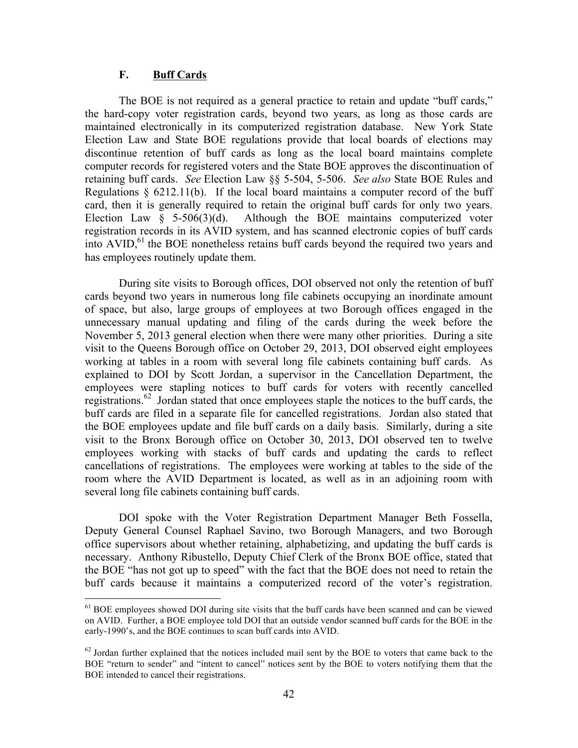# **F. Buff Cards**

The BOE is not required as a general practice to retain and update "buff cards," the hard-copy voter registration cards, beyond two years, as long as those cards are maintained electronically in its computerized registration database. New York State Election Law and State BOE regulations provide that local boards of elections may discontinue retention of buff cards as long as the local board maintains complete computer records for registered voters and the State BOE approves the discontinuation of retaining buff cards. *See* Election Law §§ 5-504, 5-506. *See also* State BOE Rules and Regulations  $\S$  6212.11(b). If the local board maintains a computer record of the buff card, then it is generally required to retain the original buff cards for only two years. Election Law  $\S$  5-506(3)(d). Although the BOE maintains computerized voter registration records in its AVID system, and has scanned electronic copies of buff cards into  $AVID<sub>1</sub><sup>61</sup>$  the BOE nonetheless retains buff cards beyond the required two years and has employees routinely update them.

During site visits to Borough offices, DOI observed not only the retention of buff cards beyond two years in numerous long file cabinets occupying an inordinate amount of space, but also, large groups of employees at two Borough offices engaged in the unnecessary manual updating and filing of the cards during the week before the November 5, 2013 general election when there were many other priorities. During a site visit to the Queens Borough office on October 29, 2013, DOI observed eight employees working at tables in a room with several long file cabinets containing buff cards. As explained to DOI by Scott Jordan, a supervisor in the Cancellation Department, the employees were stapling notices to buff cards for voters with recently cancelled registrations.<sup>62</sup> Jordan stated that once employees staple the notices to the buff cards, the buff cards are filed in a separate file for cancelled registrations. Jordan also stated that the BOE employees update and file buff cards on a daily basis. Similarly, during a site visit to the Bronx Borough office on October 30, 2013, DOI observed ten to twelve employees working with stacks of buff cards and updating the cards to reflect cancellations of registrations. The employees were working at tables to the side of the room where the AVID Department is located, as well as in an adjoining room with several long file cabinets containing buff cards.

DOI spoke with the Voter Registration Department Manager Beth Fossella, Deputy General Counsel Raphael Savino, two Borough Managers, and two Borough office supervisors about whether retaining, alphabetizing, and updating the buff cards is necessary. Anthony Ribustello, Deputy Chief Clerk of the Bronx BOE office, stated that the BOE "has not got up to speed" with the fact that the BOE does not need to retain the buff cards because it maintains a computerized record of the voter's registration.

<sup>&</sup>lt;sup>61</sup> BOE employees showed DOI during site visits that the buff cards have been scanned and can be viewed on AVID. Further, a BOE employee told DOI that an outside vendor scanned buff cards for the BOE in the early-1990's, and the BOE continues to scan buff cards into AVID.

 $62$  Jordan further explained that the notices included mail sent by the BOE to voters that came back to the BOE "return to sender" and "intent to cancel" notices sent by the BOE to voters notifying them that the BOE intended to cancel their registrations.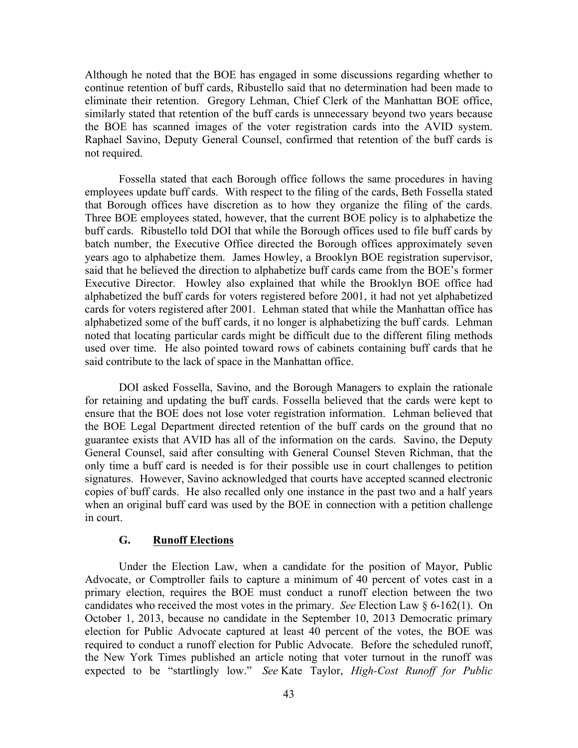Although he noted that the BOE has engaged in some discussions regarding whether to continue retention of buff cards, Ribustello said that no determination had been made to eliminate their retention. Gregory Lehman, Chief Clerk of the Manhattan BOE office, similarly stated that retention of the buff cards is unnecessary beyond two years because the BOE has scanned images of the voter registration cards into the AVID system. Raphael Savino, Deputy General Counsel, confirmed that retention of the buff cards is not required.

Fossella stated that each Borough office follows the same procedures in having employees update buff cards. With respect to the filing of the cards, Beth Fossella stated that Borough offices have discretion as to how they organize the filing of the cards. Three BOE employees stated, however, that the current BOE policy is to alphabetize the buff cards. Ribustello told DOI that while the Borough offices used to file buff cards by batch number, the Executive Office directed the Borough offices approximately seven years ago to alphabetize them. James Howley, a Brooklyn BOE registration supervisor, said that he believed the direction to alphabetize buff cards came from the BOE's former Executive Director. Howley also explained that while the Brooklyn BOE office had alphabetized the buff cards for voters registered before 2001, it had not yet alphabetized cards for voters registered after 2001. Lehman stated that while the Manhattan office has alphabetized some of the buff cards, it no longer is alphabetizing the buff cards. Lehman noted that locating particular cards might be difficult due to the different filing methods used over time. He also pointed toward rows of cabinets containing buff cards that he said contribute to the lack of space in the Manhattan office.

DOI asked Fossella, Savino, and the Borough Managers to explain the rationale for retaining and updating the buff cards. Fossella believed that the cards were kept to ensure that the BOE does not lose voter registration information. Lehman believed that the BOE Legal Department directed retention of the buff cards on the ground that no guarantee exists that AVID has all of the information on the cards. Savino, the Deputy General Counsel, said after consulting with General Counsel Steven Richman, that the only time a buff card is needed is for their possible use in court challenges to petition signatures. However, Savino acknowledged that courts have accepted scanned electronic copies of buff cards. He also recalled only one instance in the past two and a half years when an original buff card was used by the BOE in connection with a petition challenge in court.

# **G. Runoff Elections**

Under the Election Law, when a candidate for the position of Mayor, Public Advocate, or Comptroller fails to capture a minimum of 40 percent of votes cast in a primary election, requires the BOE must conduct a runoff election between the two candidates who received the most votes in the primary. *See* Election Law § 6-162(1). On October 1, 2013, because no candidate in the September 10, 2013 Democratic primary election for Public Advocate captured at least 40 percent of the votes, the BOE was required to conduct a runoff election for Public Advocate. Before the scheduled runoff, the New York Times published an article noting that voter turnout in the runoff was expected to be "startlingly low." *See* Kate Taylor, *High-Cost Runoff for Public*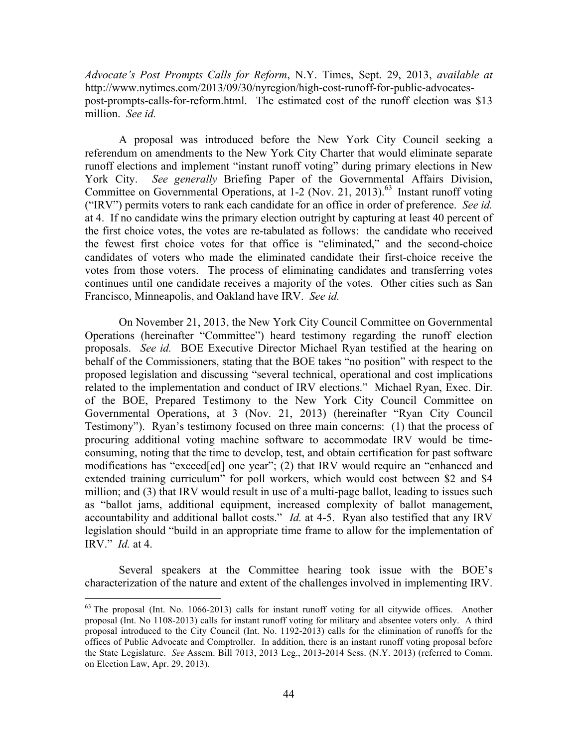*Advocate's Post Prompts Calls for Reform*, N.Y. Times, Sept. 29, 2013, *available at* http://www.nytimes.com/2013/09/30/nyregion/high-cost-runoff-for-public-advocatespost-prompts-calls-for-reform.html. The estimated cost of the runoff election was \$13 million. *See id.*

A proposal was introduced before the New York City Council seeking a referendum on amendments to the New York City Charter that would eliminate separate runoff elections and implement "instant runoff voting" during primary elections in New York City. *See generally* Briefing Paper of the Governmental Affairs Division, Committee on Governmental Operations, at 1-2 (Nov. 21, 2013).<sup>63</sup> Instant runoff voting ("IRV") permits voters to rank each candidate for an office in order of preference. *See id.*  at 4. If no candidate wins the primary election outright by capturing at least 40 percent of the first choice votes, the votes are re-tabulated as follows: the candidate who received the fewest first choice votes for that office is "eliminated," and the second-choice candidates of voters who made the eliminated candidate their first-choice receive the votes from those voters. The process of eliminating candidates and transferring votes continues until one candidate receives a majority of the votes. Other cities such as San Francisco, Minneapolis, and Oakland have IRV. *See id.*

On November 21, 2013, the New York City Council Committee on Governmental Operations (hereinafter "Committee") heard testimony regarding the runoff election proposals. *See id.* BOE Executive Director Michael Ryan testified at the hearing on behalf of the Commissioners, stating that the BOE takes "no position" with respect to the proposed legislation and discussing "several technical, operational and cost implications related to the implementation and conduct of IRV elections." Michael Ryan, Exec. Dir. of the BOE, Prepared Testimony to the New York City Council Committee on Governmental Operations, at 3 (Nov. 21, 2013) (hereinafter "Ryan City Council Testimony"). Ryan's testimony focused on three main concerns: (1) that the process of procuring additional voting machine software to accommodate IRV would be timeconsuming, noting that the time to develop, test, and obtain certification for past software modifications has "exceed[ed] one year"; (2) that IRV would require an "enhanced and extended training curriculum" for poll workers, which would cost between \$2 and \$4 million; and (3) that IRV would result in use of a multi-page ballot, leading to issues such as "ballot jams, additional equipment, increased complexity of ballot management, accountability and additional ballot costs." *Id.* at 4-5. Ryan also testified that any IRV legislation should "build in an appropriate time frame to allow for the implementation of IRV." *Id.* at 4.

Several speakers at the Committee hearing took issue with the BOE's characterization of the nature and extent of the challenges involved in implementing IRV.

 <sup>63</sup> The proposal (Int. No. 1066-2013) calls for instant runoff voting for all citywide offices. Another proposal (Int. No 1108-2013) calls for instant runoff voting for military and absentee voters only. A third proposal introduced to the City Council (Int. No. 1192-2013) calls for the elimination of runoffs for the offices of Public Advocate and Comptroller. In addition, there is an instant runoff voting proposal before the State Legislature. *See* Assem. Bill 7013, 2013 Leg., 2013-2014 Sess. (N.Y. 2013) (referred to Comm. on Election Law, Apr. 29, 2013).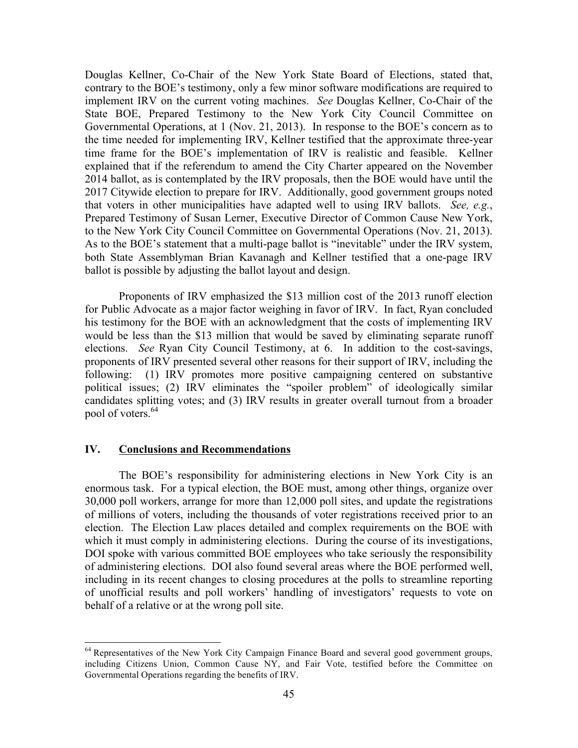Douglas Kellner, Co-Chair of the New York State Board of Elections, stated that, contrary to the BOE's testimony, only a few minor software modifications are required to implement IRV on the current voting machines. *See* Douglas Kellner, Co-Chair of the State BOE, Prepared Testimony to the New York City Council Committee on Governmental Operations, at 1 (Nov. 21, 2013). In response to the BOE's concern as to the time needed for implementing IRV, Kellner testified that the approximate three-year time frame for the BOE's implementation of IRV is realistic and feasible. Kellner explained that if the referendum to amend the City Charter appeared on the November 2014 ballot, as is contemplated by the IRV proposals, then the BOE would have until the 2017 Citywide election to prepare for IRV. Additionally, good government groups noted that voters in other municipalities have adapted well to using IRV ballots. *See, e.g.*, Prepared Testimony of Susan Lerner, Executive Director of Common Cause New York, to the New York City Council Committee on Governmental Operations (Nov. 21, 2013). As to the BOE's statement that a multi-page ballot is "inevitable" under the IRV system, both State Assemblyman Brian Kavanagh and Kellner testified that a one-page IRV ballot is possible by adjusting the ballot layout and design.

Proponents of IRV emphasized the \$13 million cost of the 2013 runoff election for Public Advocate as a major factor weighing in favor of IRV. In fact, Ryan concluded his testimony for the BOE with an acknowledgment that the costs of implementing IRV would be less than the \$13 million that would be saved by eliminating separate runoff elections. *See* Ryan City Council Testimony, at 6. In addition to the cost-savings, proponents of IRV presented several other reasons for their support of IRV, including the following: (1) IRV promotes more positive campaigning centered on substantive political issues; (2) IRV eliminates the "spoiler problem" of ideologically similar candidates splitting votes; and (3) IRV results in greater overall turnout from a broader pool of voters.<sup>64</sup>

# **IV. Conclusions and Recommendations**

The BOE's responsibility for administering elections in New York City is an enormous task. For a typical election, the BOE must, among other things, organize over 30,000 poll workers, arrange for more than 12,000 poll sites, and update the registrations of millions of voters, including the thousands of voter registrations received prior to an election. The Election Law places detailed and complex requirements on the BOE with which it must comply in administering elections. During the course of its investigations, DOI spoke with various committed BOE employees who take seriously the responsibility of administering elections. DOI also found several areas where the BOE performed well, including in its recent changes to closing procedures at the polls to streamline reporting of unofficial results and poll workers' handling of investigators' requests to vote on behalf of a relative or at the wrong poll site.

<sup>&</sup>lt;sup>64</sup> Representatives of the New York City Campaign Finance Board and several good government groups, including Citizens Union, Common Cause NY, and Fair Vote, testified before the Committee on Governmental Operations regarding the benefits of IRV.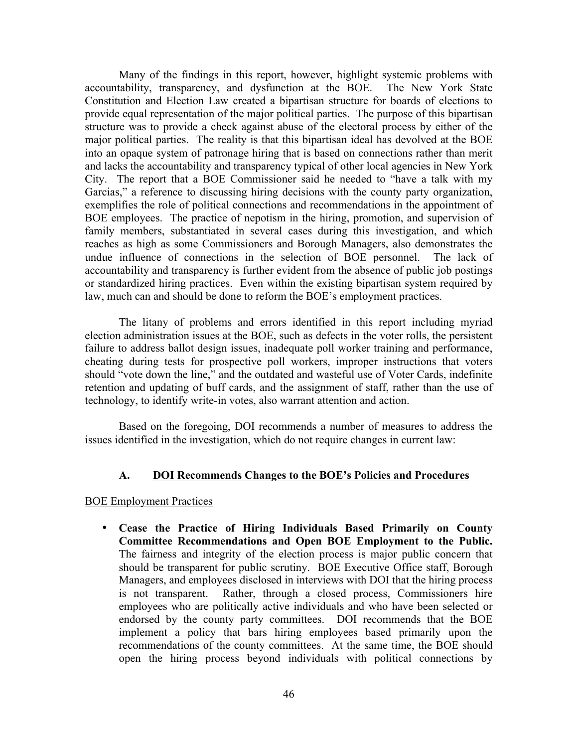Many of the findings in this report, however, highlight systemic problems with accountability, transparency, and dysfunction at the BOE. The New York State Constitution and Election Law created a bipartisan structure for boards of elections to provide equal representation of the major political parties. The purpose of this bipartisan structure was to provide a check against abuse of the electoral process by either of the major political parties. The reality is that this bipartisan ideal has devolved at the BOE into an opaque system of patronage hiring that is based on connections rather than merit and lacks the accountability and transparency typical of other local agencies in New York City. The report that a BOE Commissioner said he needed to "have a talk with my Garcias," a reference to discussing hiring decisions with the county party organization, exemplifies the role of political connections and recommendations in the appointment of BOE employees. The practice of nepotism in the hiring, promotion, and supervision of family members, substantiated in several cases during this investigation, and which reaches as high as some Commissioners and Borough Managers, also demonstrates the undue influence of connections in the selection of BOE personnel. The lack of accountability and transparency is further evident from the absence of public job postings or standardized hiring practices. Even within the existing bipartisan system required by law, much can and should be done to reform the BOE's employment practices.

The litany of problems and errors identified in this report including myriad election administration issues at the BOE, such as defects in the voter rolls, the persistent failure to address ballot design issues, inadequate poll worker training and performance, cheating during tests for prospective poll workers, improper instructions that voters should "vote down the line," and the outdated and wasteful use of Voter Cards, indefinite retention and updating of buff cards, and the assignment of staff, rather than the use of technology, to identify write-in votes, also warrant attention and action.

Based on the foregoing, DOI recommends a number of measures to address the issues identified in the investigation, which do not require changes in current law:

### **A. DOI Recommends Changes to the BOE's Policies and Procedures**

### BOE Employment Practices

• **Cease the Practice of Hiring Individuals Based Primarily on County Committee Recommendations and Open BOE Employment to the Public.**  The fairness and integrity of the election process is major public concern that should be transparent for public scrutiny. BOE Executive Office staff, Borough Managers, and employees disclosed in interviews with DOI that the hiring process is not transparent. Rather, through a closed process, Commissioners hire employees who are politically active individuals and who have been selected or endorsed by the county party committees. DOI recommends that the BOE implement a policy that bars hiring employees based primarily upon the recommendations of the county committees. At the same time, the BOE should open the hiring process beyond individuals with political connections by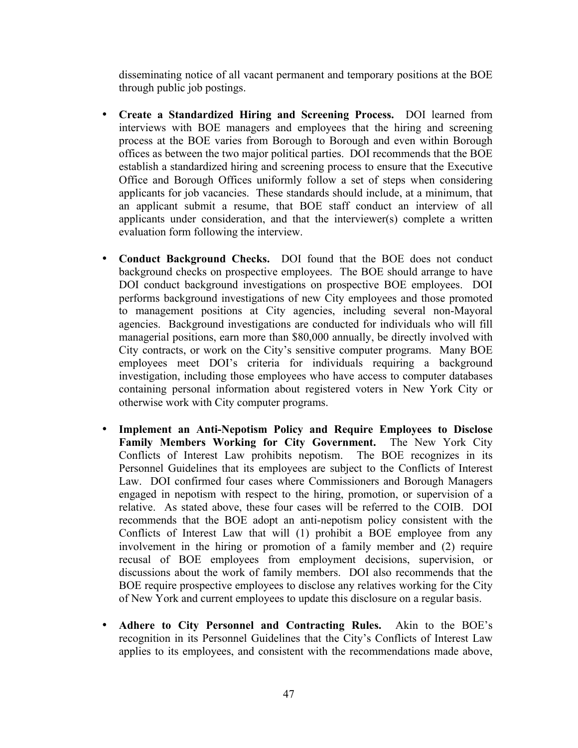disseminating notice of all vacant permanent and temporary positions at the BOE through public job postings.

- **Create a Standardized Hiring and Screening Process.** DOI learned from interviews with BOE managers and employees that the hiring and screening process at the BOE varies from Borough to Borough and even within Borough offices as between the two major political parties. DOI recommends that the BOE establish a standardized hiring and screening process to ensure that the Executive Office and Borough Offices uniformly follow a set of steps when considering applicants for job vacancies. These standards should include, at a minimum, that an applicant submit a resume, that BOE staff conduct an interview of all applicants under consideration, and that the interviewer(s) complete a written evaluation form following the interview.
- **Conduct Background Checks.** DOI found that the BOE does not conduct background checks on prospective employees. The BOE should arrange to have DOI conduct background investigations on prospective BOE employees. DOI performs background investigations of new City employees and those promoted to management positions at City agencies, including several non-Mayoral agencies. Background investigations are conducted for individuals who will fill managerial positions, earn more than \$80,000 annually, be directly involved with City contracts, or work on the City's sensitive computer programs. Many BOE employees meet DOI's criteria for individuals requiring a background investigation, including those employees who have access to computer databases containing personal information about registered voters in New York City or otherwise work with City computer programs.
- **Implement an Anti-Nepotism Policy and Require Employees to Disclose Family Members Working for City Government.** The New York City Conflicts of Interest Law prohibits nepotism. The BOE recognizes in its Personnel Guidelines that its employees are subject to the Conflicts of Interest Law. DOI confirmed four cases where Commissioners and Borough Managers engaged in nepotism with respect to the hiring, promotion, or supervision of a relative. As stated above, these four cases will be referred to the COIB. DOI recommends that the BOE adopt an anti-nepotism policy consistent with the Conflicts of Interest Law that will (1) prohibit a BOE employee from any involvement in the hiring or promotion of a family member and (2) require recusal of BOE employees from employment decisions, supervision, or discussions about the work of family members. DOI also recommends that the BOE require prospective employees to disclose any relatives working for the City of New York and current employees to update this disclosure on a regular basis.
- **Adhere to City Personnel and Contracting Rules.** Akin to the BOE's recognition in its Personnel Guidelines that the City's Conflicts of Interest Law applies to its employees, and consistent with the recommendations made above,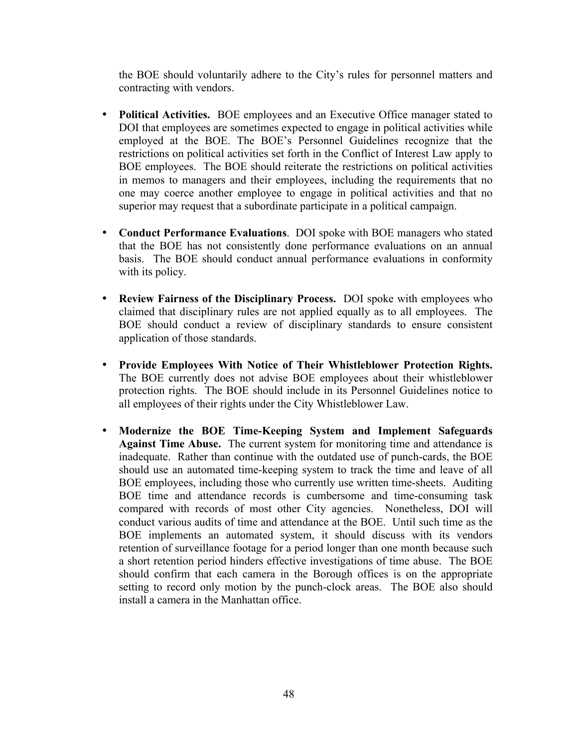the BOE should voluntarily adhere to the City's rules for personnel matters and contracting with vendors.

- **Political Activities.** BOE employees and an Executive Office manager stated to DOI that employees are sometimes expected to engage in political activities while employed at the BOE. The BOE's Personnel Guidelines recognize that the restrictions on political activities set forth in the Conflict of Interest Law apply to BOE employees. The BOE should reiterate the restrictions on political activities in memos to managers and their employees, including the requirements that no one may coerce another employee to engage in political activities and that no superior may request that a subordinate participate in a political campaign.
- **Conduct Performance Evaluations**. DOI spoke with BOE managers who stated that the BOE has not consistently done performance evaluations on an annual basis. The BOE should conduct annual performance evaluations in conformity with its policy.
- **Review Fairness of the Disciplinary Process.** DOI spoke with employees who claimed that disciplinary rules are not applied equally as to all employees. The BOE should conduct a review of disciplinary standards to ensure consistent application of those standards.
- **Provide Employees With Notice of Their Whistleblower Protection Rights.**  The BOE currently does not advise BOE employees about their whistleblower protection rights. The BOE should include in its Personnel Guidelines notice to all employees of their rights under the City Whistleblower Law.
- **Modernize the BOE Time-Keeping System and Implement Safeguards Against Time Abuse.** The current system for monitoring time and attendance is inadequate. Rather than continue with the outdated use of punch-cards, the BOE should use an automated time-keeping system to track the time and leave of all BOE employees, including those who currently use written time-sheets. Auditing BOE time and attendance records is cumbersome and time-consuming task compared with records of most other City agencies. Nonetheless, DOI will conduct various audits of time and attendance at the BOE. Until such time as the BOE implements an automated system, it should discuss with its vendors retention of surveillance footage for a period longer than one month because such a short retention period hinders effective investigations of time abuse. The BOE should confirm that each camera in the Borough offices is on the appropriate setting to record only motion by the punch-clock areas. The BOE also should install a camera in the Manhattan office.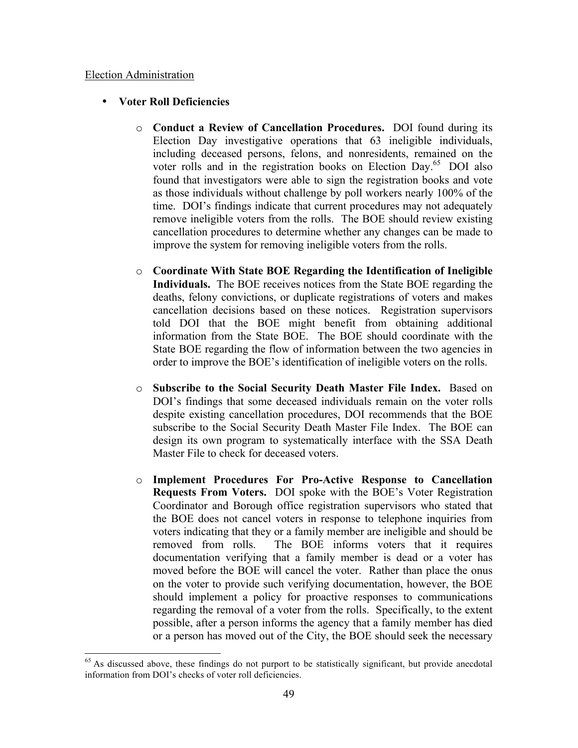### Election Administration

# • **Voter Roll Deficiencies**

- o **Conduct a Review of Cancellation Procedures.** DOI found during its Election Day investigative operations that 63 ineligible individuals, including deceased persons, felons, and nonresidents, remained on the voter rolls and in the registration books on Election Day.<sup>65</sup> DOI also found that investigators were able to sign the registration books and vote as those individuals without challenge by poll workers nearly 100% of the time. DOI's findings indicate that current procedures may not adequately remove ineligible voters from the rolls. The BOE should review existing cancellation procedures to determine whether any changes can be made to improve the system for removing ineligible voters from the rolls.
- o **Coordinate With State BOE Regarding the Identification of Ineligible Individuals.** The BOE receives notices from the State BOE regarding the deaths, felony convictions, or duplicate registrations of voters and makes cancellation decisions based on these notices. Registration supervisors told DOI that the BOE might benefit from obtaining additional information from the State BOE. The BOE should coordinate with the State BOE regarding the flow of information between the two agencies in order to improve the BOE's identification of ineligible voters on the rolls.
- o **Subscribe to the Social Security Death Master File Index.** Based on DOI's findings that some deceased individuals remain on the voter rolls despite existing cancellation procedures, DOI recommends that the BOE subscribe to the Social Security Death Master File Index. The BOE can design its own program to systematically interface with the SSA Death Master File to check for deceased voters.
- o **Implement Procedures For Pro-Active Response to Cancellation Requests From Voters.** DOI spoke with the BOE's Voter Registration Coordinator and Borough office registration supervisors who stated that the BOE does not cancel voters in response to telephone inquiries from voters indicating that they or a family member are ineligible and should be removed from rolls. The BOE informs voters that it requires documentation verifying that a family member is dead or a voter has moved before the BOE will cancel the voter. Rather than place the onus on the voter to provide such verifying documentation, however, the BOE should implement a policy for proactive responses to communications regarding the removal of a voter from the rolls. Specifically, to the extent possible, after a person informs the agency that a family member has died or a person has moved out of the City, the BOE should seek the necessary

<sup>&</sup>lt;sup>65</sup> As discussed above, these findings do not purport to be statistically significant, but provide anecdotal information from DOI's checks of voter roll deficiencies.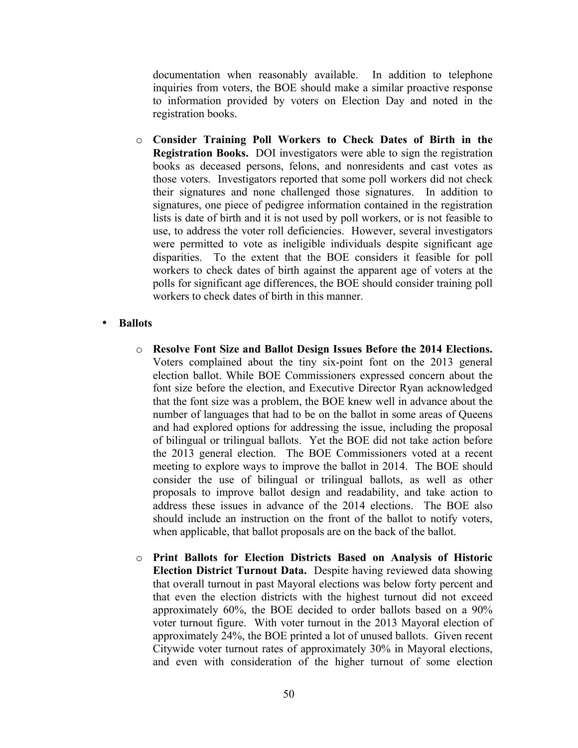documentation when reasonably available. In addition to telephone inquiries from voters, the BOE should make a similar proactive response to information provided by voters on Election Day and noted in the registration books.

o **Consider Training Poll Workers to Check Dates of Birth in the Registration Books.** DOI investigators were able to sign the registration books as deceased persons, felons, and nonresidents and cast votes as those voters. Investigators reported that some poll workers did not check their signatures and none challenged those signatures. In addition to signatures, one piece of pedigree information contained in the registration lists is date of birth and it is not used by poll workers, or is not feasible to use, to address the voter roll deficiencies. However, several investigators were permitted to vote as ineligible individuals despite significant age disparities. To the extent that the BOE considers it feasible for poll workers to check dates of birth against the apparent age of voters at the polls for significant age differences, the BOE should consider training poll workers to check dates of birth in this manner.

# • **Ballots**

- o **Resolve Font Size and Ballot Design Issues Before the 2014 Elections.**  Voters complained about the tiny six-point font on the 2013 general election ballot. While BOE Commissioners expressed concern about the font size before the election, and Executive Director Ryan acknowledged that the font size was a problem, the BOE knew well in advance about the number of languages that had to be on the ballot in some areas of Queens and had explored options for addressing the issue, including the proposal of bilingual or trilingual ballots. Yet the BOE did not take action before the 2013 general election. The BOE Commissioners voted at a recent meeting to explore ways to improve the ballot in 2014. The BOE should consider the use of bilingual or trilingual ballots, as well as other proposals to improve ballot design and readability, and take action to address these issues in advance of the 2014 elections. The BOE also should include an instruction on the front of the ballot to notify voters, when applicable, that ballot proposals are on the back of the ballot.
- o **Print Ballots for Election Districts Based on Analysis of Historic Election District Turnout Data.** Despite having reviewed data showing that overall turnout in past Mayoral elections was below forty percent and that even the election districts with the highest turnout did not exceed approximately 60%, the BOE decided to order ballots based on a 90% voter turnout figure. With voter turnout in the 2013 Mayoral election of approximately 24%, the BOE printed a lot of unused ballots. Given recent Citywide voter turnout rates of approximately 30% in Mayoral elections, and even with consideration of the higher turnout of some election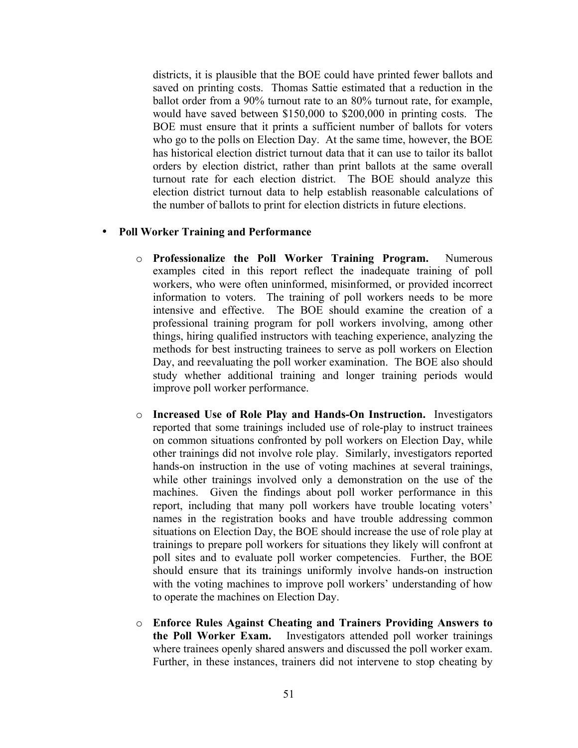districts, it is plausible that the BOE could have printed fewer ballots and saved on printing costs. Thomas Sattie estimated that a reduction in the ballot order from a 90% turnout rate to an 80% turnout rate, for example, would have saved between \$150,000 to \$200,000 in printing costs. The BOE must ensure that it prints a sufficient number of ballots for voters who go to the polls on Election Day. At the same time, however, the BOE has historical election district turnout data that it can use to tailor its ballot orders by election district, rather than print ballots at the same overall turnout rate for each election district. The BOE should analyze this election district turnout data to help establish reasonable calculations of the number of ballots to print for election districts in future elections.

### • **Poll Worker Training and Performance**

- o **Professionalize the Poll Worker Training Program.** Numerous examples cited in this report reflect the inadequate training of poll workers, who were often uninformed, misinformed, or provided incorrect information to voters. The training of poll workers needs to be more intensive and effective. The BOE should examine the creation of a professional training program for poll workers involving, among other things, hiring qualified instructors with teaching experience, analyzing the methods for best instructing trainees to serve as poll workers on Election Day, and reevaluating the poll worker examination. The BOE also should study whether additional training and longer training periods would improve poll worker performance.
- o **Increased Use of Role Play and Hands-On Instruction.** Investigators reported that some trainings included use of role-play to instruct trainees on common situations confronted by poll workers on Election Day, while other trainings did not involve role play. Similarly, investigators reported hands-on instruction in the use of voting machines at several trainings, while other trainings involved only a demonstration on the use of the machines. Given the findings about poll worker performance in this report, including that many poll workers have trouble locating voters' names in the registration books and have trouble addressing common situations on Election Day, the BOE should increase the use of role play at trainings to prepare poll workers for situations they likely will confront at poll sites and to evaluate poll worker competencies. Further, the BOE should ensure that its trainings uniformly involve hands-on instruction with the voting machines to improve poll workers' understanding of how to operate the machines on Election Day.
- o **Enforce Rules Against Cheating and Trainers Providing Answers to the Poll Worker Exam.** Investigators attended poll worker trainings where trainees openly shared answers and discussed the poll worker exam. Further, in these instances, trainers did not intervene to stop cheating by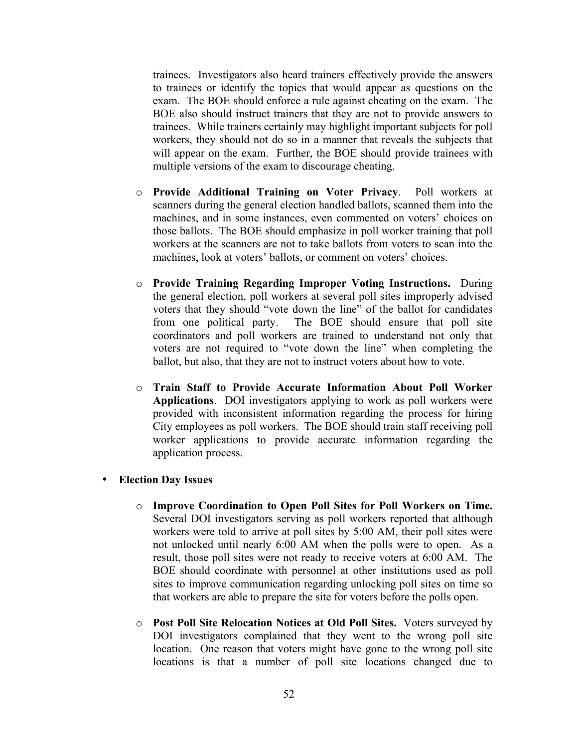trainees. Investigators also heard trainers effectively provide the answers to trainees or identify the topics that would appear as questions on the exam. The BOE should enforce a rule against cheating on the exam. The BOE also should instruct trainers that they are not to provide answers to trainees. While trainers certainly may highlight important subjects for poll workers, they should not do so in a manner that reveals the subjects that will appear on the exam. Further, the BOE should provide trainees with multiple versions of the exam to discourage cheating.

- o **Provide Additional Training on Voter Privacy**. Poll workers at scanners during the general election handled ballots, scanned them into the machines, and in some instances, even commented on voters' choices on those ballots. The BOE should emphasize in poll worker training that poll workers at the scanners are not to take ballots from voters to scan into the machines, look at voters' ballots, or comment on voters' choices.
- o **Provide Training Regarding Improper Voting Instructions.** During the general election, poll workers at several poll sites improperly advised voters that they should "vote down the line" of the ballot for candidates from one political party. The BOE should ensure that poll site coordinators and poll workers are trained to understand not only that voters are not required to "vote down the line" when completing the ballot, but also, that they are not to instruct voters about how to vote.
- o **Train Staff to Provide Accurate Information About Poll Worker Applications**. DOI investigators applying to work as poll workers were provided with inconsistent information regarding the process for hiring City employees as poll workers. The BOE should train staff receiving poll worker applications to provide accurate information regarding the application process.
- **Election Day Issues**
	- o **Improve Coordination to Open Poll Sites for Poll Workers on Time.**  Several DOI investigators serving as poll workers reported that although workers were told to arrive at poll sites by 5:00 AM, their poll sites were not unlocked until nearly 6:00 AM when the polls were to open. As a result, those poll sites were not ready to receive voters at 6:00 AM. The BOE should coordinate with personnel at other institutions used as poll sites to improve communication regarding unlocking poll sites on time so that workers are able to prepare the site for voters before the polls open.
	- o **Post Poll Site Relocation Notices at Old Poll Sites.** Voters surveyed by DOI investigators complained that they went to the wrong poll site location. One reason that voters might have gone to the wrong poll site locations is that a number of poll site locations changed due to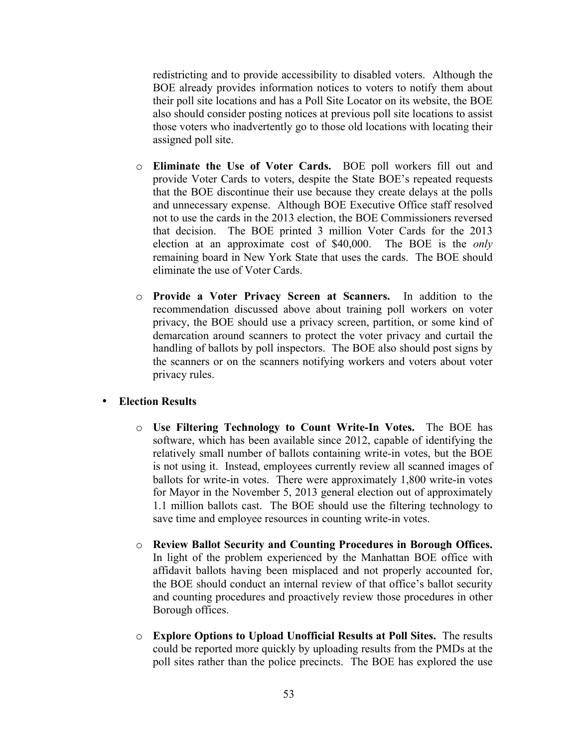redistricting and to provide accessibility to disabled voters. Although the BOE already provides information notices to voters to notify them about their poll site locations and has a Poll Site Locator on its website, the BOE also should consider posting notices at previous poll site locations to assist those voters who inadvertently go to those old locations with locating their assigned poll site.

- o **Eliminate the Use of Voter Cards.** BOE poll workers fill out and provide Voter Cards to voters, despite the State BOE's repeated requests that the BOE discontinue their use because they create delays at the polls and unnecessary expense. Although BOE Executive Office staff resolved not to use the cards in the 2013 election, the BOE Commissioners reversed that decision. The BOE printed 3 million Voter Cards for the 2013 election at an approximate cost of \$40,000. The BOE is the *only*  remaining board in New York State that uses the cards. The BOE should eliminate the use of Voter Cards.
- o **Provide a Voter Privacy Screen at Scanners.** In addition to the recommendation discussed above about training poll workers on voter privacy, the BOE should use a privacy screen, partition, or some kind of demarcation around scanners to protect the voter privacy and curtail the handling of ballots by poll inspectors. The BOE also should post signs by the scanners or on the scanners notifying workers and voters about voter privacy rules.

### • **Election Results**

- o **Use Filtering Technology to Count Write-In Votes.** The BOE has software, which has been available since 2012, capable of identifying the relatively small number of ballots containing write-in votes, but the BOE is not using it. Instead, employees currently review all scanned images of ballots for write-in votes. There were approximately 1,800 write-in votes for Mayor in the November 5, 2013 general election out of approximately 1.1 million ballots cast. The BOE should use the filtering technology to save time and employee resources in counting write-in votes.
- o **Review Ballot Security and Counting Procedures in Borough Offices.**  In light of the problem experienced by the Manhattan BOE office with affidavit ballots having been misplaced and not properly accounted for, the BOE should conduct an internal review of that office's ballot security and counting procedures and proactively review those procedures in other Borough offices.
- o **Explore Options to Upload Unofficial Results at Poll Sites.** The results could be reported more quickly by uploading results from the PMDs at the poll sites rather than the police precincts. The BOE has explored the use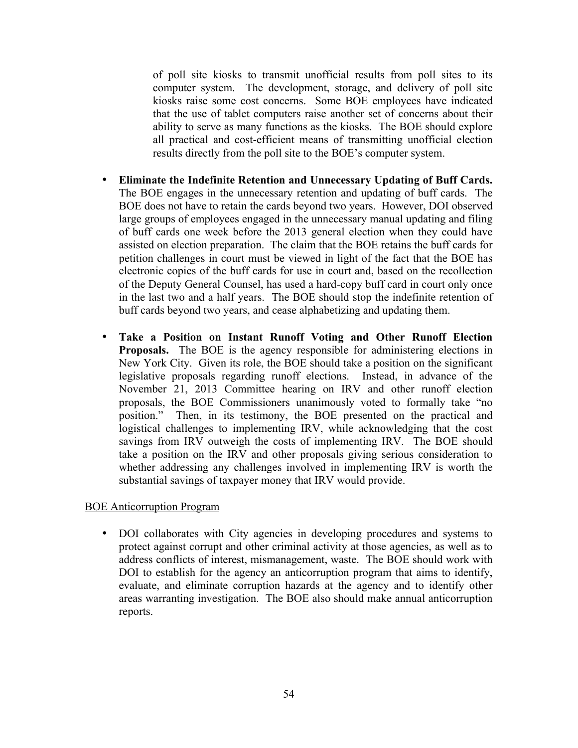of poll site kiosks to transmit unofficial results from poll sites to its computer system. The development, storage, and delivery of poll site kiosks raise some cost concerns. Some BOE employees have indicated that the use of tablet computers raise another set of concerns about their ability to serve as many functions as the kiosks. The BOE should explore all practical and cost-efficient means of transmitting unofficial election results directly from the poll site to the BOE's computer system.

- **Eliminate the Indefinite Retention and Unnecessary Updating of Buff Cards.**  The BOE engages in the unnecessary retention and updating of buff cards. The BOE does not have to retain the cards beyond two years. However, DOI observed large groups of employees engaged in the unnecessary manual updating and filing of buff cards one week before the 2013 general election when they could have assisted on election preparation. The claim that the BOE retains the buff cards for petition challenges in court must be viewed in light of the fact that the BOE has electronic copies of the buff cards for use in court and, based on the recollection of the Deputy General Counsel, has used a hard-copy buff card in court only once in the last two and a half years. The BOE should stop the indefinite retention of buff cards beyond two years, and cease alphabetizing and updating them.
- **Take a Position on Instant Runoff Voting and Other Runoff Election Proposals.** The BOE is the agency responsible for administering elections in New York City. Given its role, the BOE should take a position on the significant legislative proposals regarding runoff elections. Instead, in advance of the November 21, 2013 Committee hearing on IRV and other runoff election proposals, the BOE Commissioners unanimously voted to formally take "no position." Then, in its testimony, the BOE presented on the practical and logistical challenges to implementing IRV, while acknowledging that the cost savings from IRV outweigh the costs of implementing IRV. The BOE should take a position on the IRV and other proposals giving serious consideration to whether addressing any challenges involved in implementing IRV is worth the substantial savings of taxpayer money that IRV would provide.

# BOE Anticorruption Program

• DOI collaborates with City agencies in developing procedures and systems to protect against corrupt and other criminal activity at those agencies, as well as to address conflicts of interest, mismanagement, waste. The BOE should work with DOI to establish for the agency an anticorruption program that aims to identify, evaluate, and eliminate corruption hazards at the agency and to identify other areas warranting investigation. The BOE also should make annual anticorruption reports.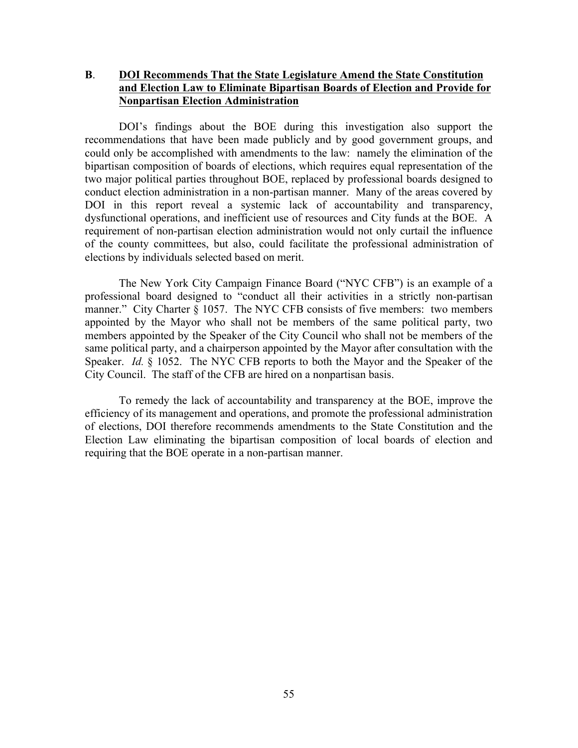# **B**. **DOI Recommends That the State Legislature Amend the State Constitution and Election Law to Eliminate Bipartisan Boards of Election and Provide for Nonpartisan Election Administration**

DOI's findings about the BOE during this investigation also support the recommendations that have been made publicly and by good government groups, and could only be accomplished with amendments to the law: namely the elimination of the bipartisan composition of boards of elections, which requires equal representation of the two major political parties throughout BOE, replaced by professional boards designed to conduct election administration in a non-partisan manner. Many of the areas covered by DOI in this report reveal a systemic lack of accountability and transparency, dysfunctional operations, and inefficient use of resources and City funds at the BOE. A requirement of non-partisan election administration would not only curtail the influence of the county committees, but also, could facilitate the professional administration of elections by individuals selected based on merit.

The New York City Campaign Finance Board ("NYC CFB") is an example of a professional board designed to "conduct all their activities in a strictly non-partisan manner." City Charter § 1057. The NYC CFB consists of five members: two members appointed by the Mayor who shall not be members of the same political party, two members appointed by the Speaker of the City Council who shall not be members of the same political party, and a chairperson appointed by the Mayor after consultation with the Speaker. *Id.* § 1052. The NYC CFB reports to both the Mayor and the Speaker of the City Council. The staff of the CFB are hired on a nonpartisan basis.

To remedy the lack of accountability and transparency at the BOE, improve the efficiency of its management and operations, and promote the professional administration of elections, DOI therefore recommends amendments to the State Constitution and the Election Law eliminating the bipartisan composition of local boards of election and requiring that the BOE operate in a non-partisan manner.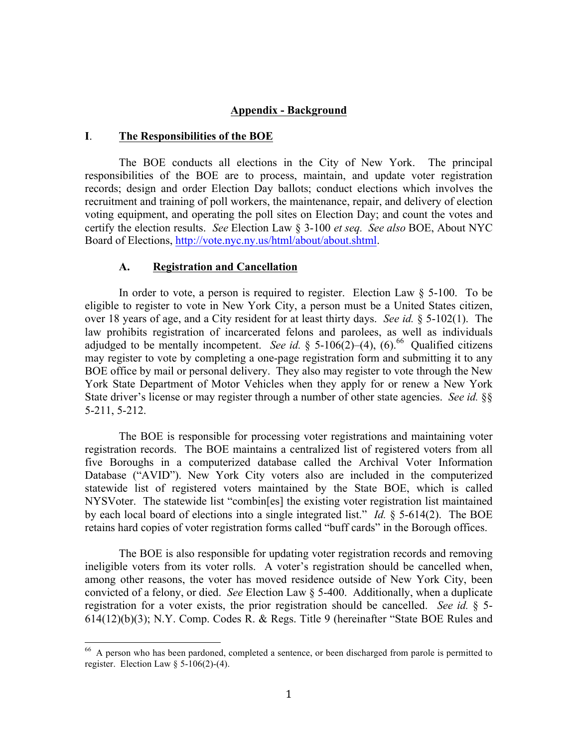### **Appendix - Background**

### **I**. **The Responsibilities of the BOE**

The BOE conducts all elections in the City of New York. The principal responsibilities of the BOE are to process, maintain, and update voter registration records; design and order Election Day ballots; conduct elections which involves the recruitment and training of poll workers, the maintenance, repair, and delivery of election voting equipment, and operating the poll sites on Election Day; and count the votes and certify the election results. *See* Election Law § 3-100 *et seq. See also* BOE, About NYC Board of Elections, http://vote.nyc.ny.us/html/about/about.shtml.

### **A. Registration and Cancellation**

In order to vote, a person is required to register. Election Law  $\S$  5-100. To be eligible to register to vote in New York City, a person must be a United States citizen, over 18 years of age, and a City resident for at least thirty days. *See id.* § 5-102(1). The law prohibits registration of incarcerated felons and parolees, as well as individuals adjudged to be mentally incompetent. *See id.* § 5-106(2)–(4), (6).<sup>66</sup> Qualified citizens may register to vote by completing a one-page registration form and submitting it to any BOE office by mail or personal delivery. They also may register to vote through the New York State Department of Motor Vehicles when they apply for or renew a New York State driver's license or may register through a number of other state agencies. *See id.* §§ 5-211, 5-212.

The BOE is responsible for processing voter registrations and maintaining voter registration records. The BOE maintains a centralized list of registered voters from all five Boroughs in a computerized database called the Archival Voter Information Database ("AVID"). New York City voters also are included in the computerized statewide list of registered voters maintained by the State BOE, which is called NYSVoter. The statewide list "combin[es] the existing voter registration list maintained by each local board of elections into a single integrated list." *Id.* § 5-614(2). The BOE retains hard copies of voter registration forms called "buff cards" in the Borough offices.

The BOE is also responsible for updating voter registration records and removing ineligible voters from its voter rolls. A voter's registration should be cancelled when, among other reasons, the voter has moved residence outside of New York City, been convicted of a felony, or died. *See* Election Law § 5-400. Additionally, when a duplicate registration for a voter exists, the prior registration should be cancelled. *See id.* § 5- 614(12)(b)(3); N.Y. Comp. Codes R. & Regs. Title 9 (hereinafter "State BOE Rules and

<sup>&</sup>lt;sup>66</sup> A person who has been pardoned, completed a sentence, or been discharged from parole is permitted to register. Election Law  $\S$  5-106(2)-(4).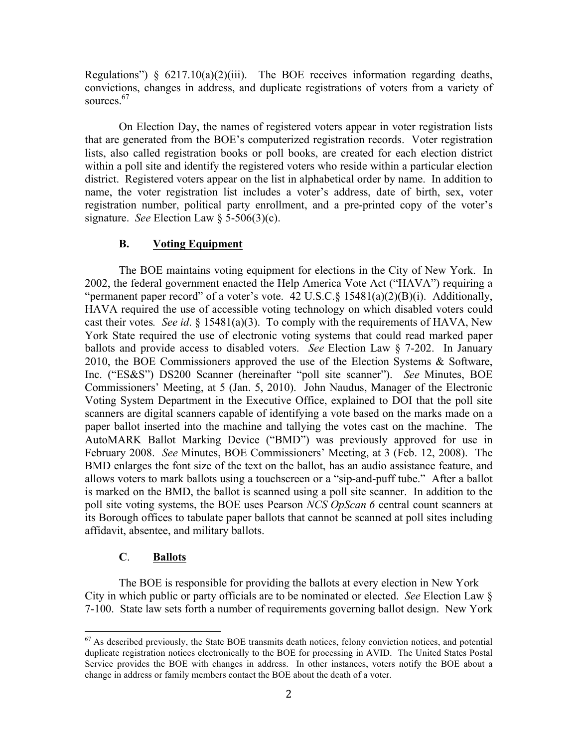Regulations")  $§ 6217.10(a)(2)(iii)$ . The BOE receives information regarding deaths, convictions, changes in address, and duplicate registrations of voters from a variety of sources.<sup>67</sup>

On Election Day, the names of registered voters appear in voter registration lists that are generated from the BOE's computerized registration records. Voter registration lists, also called registration books or poll books, are created for each election district within a poll site and identify the registered voters who reside within a particular election district. Registered voters appear on the list in alphabetical order by name. In addition to name, the voter registration list includes a voter's address, date of birth, sex, voter registration number, political party enrollment, and a pre-printed copy of the voter's signature. *See* Election Law § 5-506(3)(c).

# **B. Voting Equipment**

The BOE maintains voting equipment for elections in the City of New York. In 2002, the federal government enacted the Help America Vote Act ("HAVA") requiring a "permanent paper record" of a voter's vote. 42 U.S.C.§ 15481(a)(2)(B)(i). Additionally, HAVA required the use of accessible voting technology on which disabled voters could cast their votes*. See id*. § 15481(a)(3). To comply with the requirements of HAVA, New York State required the use of electronic voting systems that could read marked paper ballots and provide access to disabled voters. *See* Election Law § 7-202. In January 2010, the BOE Commissioners approved the use of the Election Systems & Software, Inc. ("ES&S") DS200 Scanner (hereinafter "poll site scanner"). *See* Minutes, BOE Commissioners' Meeting, at 5 (Jan. 5, 2010). John Naudus, Manager of the Electronic Voting System Department in the Executive Office, explained to DOI that the poll site scanners are digital scanners capable of identifying a vote based on the marks made on a paper ballot inserted into the machine and tallying the votes cast on the machine. The AutoMARK Ballot Marking Device ("BMD") was previously approved for use in February 2008. *See* Minutes, BOE Commissioners' Meeting, at 3 (Feb. 12, 2008). The BMD enlarges the font size of the text on the ballot, has an audio assistance feature, and allows voters to mark ballots using a touchscreen or a "sip-and-puff tube." After a ballot is marked on the BMD, the ballot is scanned using a poll site scanner. In addition to the poll site voting systems, the BOE uses Pearson *NCS OpScan 6* central count scanners at its Borough offices to tabulate paper ballots that cannot be scanned at poll sites including affidavit, absentee, and military ballots.

### **C**. **Ballots**

The BOE is responsible for providing the ballots at every election in New York City in which public or party officials are to be nominated or elected. *See* Election Law § 7-100. State law sets forth a number of requirements governing ballot design. New York

 $67$  As described previously, the State BOE transmits death notices, felony conviction notices, and potential duplicate registration notices electronically to the BOE for processing in AVID. The United States Postal Service provides the BOE with changes in address. In other instances, voters notify the BOE about a change in address or family members contact the BOE about the death of a voter.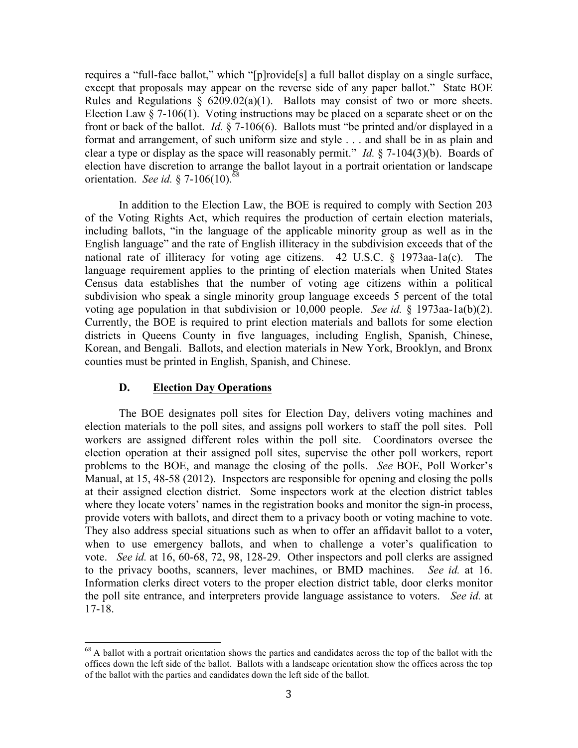requires a "full-face ballot," which "[p]rovide[s] a full ballot display on a single surface, except that proposals may appear on the reverse side of any paper ballot." State BOE Rules and Regulations  $\S$  6209.02(a)(1). Ballots may consist of two or more sheets. Election Law  $\S$  7-106(1). Voting instructions may be placed on a separate sheet or on the front or back of the ballot. *Id.* § 7-106(6). Ballots must "be printed and/or displayed in a format and arrangement, of such uniform size and style . . . and shall be in as plain and clear a type or display as the space will reasonably permit." *Id.* § 7-104(3)(b). Boards of election have discretion to arrange the ballot layout in a portrait orientation or landscape orientation. *See id.* § 7-106(10).<sup>68</sup>

In addition to the Election Law, the BOE is required to comply with Section 203 of the Voting Rights Act, which requires the production of certain election materials, including ballots, "in the language of the applicable minority group as well as in the English language" and the rate of English illiteracy in the subdivision exceeds that of the national rate of illiteracy for voting age citizens. 42 U.S.C.  $\S$  1973aa-1a(c). language requirement applies to the printing of election materials when United States Census data establishes that the number of voting age citizens within a political subdivision who speak a single minority group language exceeds 5 percent of the total voting age population in that subdivision or 10,000 people. *See id.* § 1973aa-1a(b)(2). Currently, the BOE is required to print election materials and ballots for some election districts in Queens County in five languages, including English, Spanish, Chinese, Korean, and Bengali. Ballots, and election materials in New York, Brooklyn, and Bronx counties must be printed in English, Spanish, and Chinese.

# **D. Election Day Operations**

The BOE designates poll sites for Election Day, delivers voting machines and election materials to the poll sites, and assigns poll workers to staff the poll sites. Poll workers are assigned different roles within the poll site. Coordinators oversee the election operation at their assigned poll sites, supervise the other poll workers, report problems to the BOE, and manage the closing of the polls. *See* BOE, Poll Worker's Manual, at 15, 48-58 (2012). Inspectors are responsible for opening and closing the polls at their assigned election district. Some inspectors work at the election district tables where they locate voters' names in the registration books and monitor the sign-in process, provide voters with ballots, and direct them to a privacy booth or voting machine to vote. They also address special situations such as when to offer an affidavit ballot to a voter, when to use emergency ballots, and when to challenge a voter's qualification to vote. *See id.* at 16, 60-68, 72, 98, 128-29. Other inspectors and poll clerks are assigned to the privacy booths, scanners, lever machines, or BMD machines. *See id.* at 16. Information clerks direct voters to the proper election district table, door clerks monitor the poll site entrance, and interpreters provide language assistance to voters. *See id.* at 17-18.

<sup>&</sup>lt;sup>68</sup> A ballot with a portrait orientation shows the parties and candidates across the top of the ballot with the offices down the left side of the ballot. Ballots with a landscape orientation show the offices across the top of the ballot with the parties and candidates down the left side of the ballot.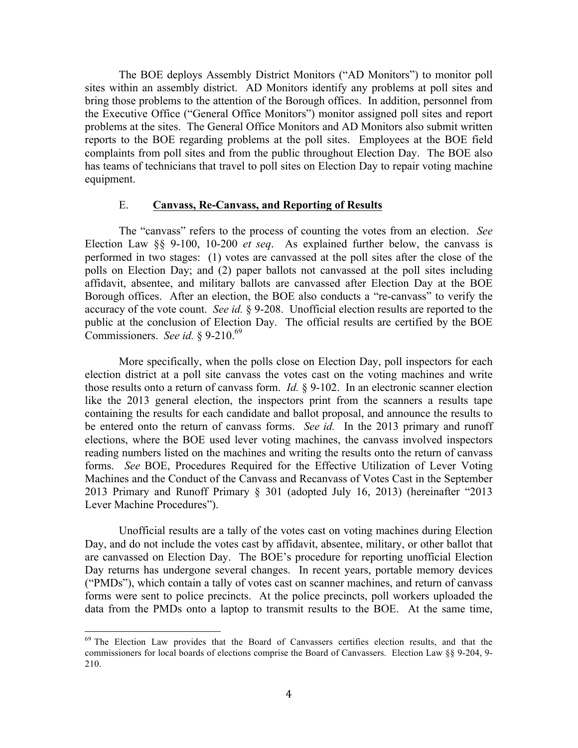The BOE deploys Assembly District Monitors ("AD Monitors") to monitor poll sites within an assembly district. AD Monitors identify any problems at poll sites and bring those problems to the attention of the Borough offices. In addition, personnel from the Executive Office ("General Office Monitors") monitor assigned poll sites and report problems at the sites. The General Office Monitors and AD Monitors also submit written reports to the BOE regarding problems at the poll sites. Employees at the BOE field complaints from poll sites and from the public throughout Election Day. The BOE also has teams of technicians that travel to poll sites on Election Day to repair voting machine equipment.

#### E. **Canvass, Re-Canvass, and Reporting of Results**

The "canvass" refers to the process of counting the votes from an election. *See* Election Law §§ 9-100, 10-200 *et seq*. As explained further below, the canvass is performed in two stages: (1) votes are canvassed at the poll sites after the close of the polls on Election Day; and (2) paper ballots not canvassed at the poll sites including affidavit, absentee, and military ballots are canvassed after Election Day at the BOE Borough offices. After an election, the BOE also conducts a "re-canvass" to verify the accuracy of the vote count. *See id.* § 9-208. Unofficial election results are reported to the public at the conclusion of Election Day. The official results are certified by the BOE Commissioners. *See id.* § 9-210.<sup>69</sup>

More specifically, when the polls close on Election Day, poll inspectors for each election district at a poll site canvass the votes cast on the voting machines and write those results onto a return of canvass form. *Id.* § 9-102. In an electronic scanner election like the 2013 general election, the inspectors print from the scanners a results tape containing the results for each candidate and ballot proposal, and announce the results to be entered onto the return of canvass forms. *See id.* In the 2013 primary and runoff elections, where the BOE used lever voting machines, the canvass involved inspectors reading numbers listed on the machines and writing the results onto the return of canvass forms. *See* BOE, Procedures Required for the Effective Utilization of Lever Voting Machines and the Conduct of the Canvass and Recanvass of Votes Cast in the September 2013 Primary and Runoff Primary § 301 (adopted July 16, 2013) (hereinafter "2013 Lever Machine Procedures").

Unofficial results are a tally of the votes cast on voting machines during Election Day, and do not include the votes cast by affidavit, absentee, military, or other ballot that are canvassed on Election Day. The BOE's procedure for reporting unofficial Election Day returns has undergone several changes. In recent years, portable memory devices ("PMDs"), which contain a tally of votes cast on scanner machines, and return of canvass forms were sent to police precincts. At the police precincts, poll workers uploaded the data from the PMDs onto a laptop to transmit results to the BOE. At the same time,

<sup>&</sup>lt;sup>69</sup> The Election Law provides that the Board of Canvassers certifies election results, and that the commissioners for local boards of elections comprise the Board of Canvassers. Election Law §§ 9-204, 9- 210.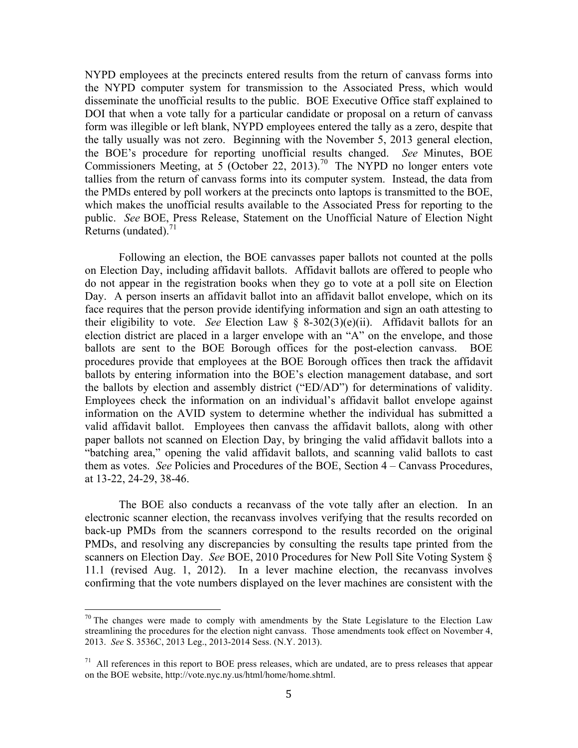NYPD employees at the precincts entered results from the return of canvass forms into the NYPD computer system for transmission to the Associated Press, which would disseminate the unofficial results to the public. BOE Executive Office staff explained to DOI that when a vote tally for a particular candidate or proposal on a return of canvass form was illegible or left blank, NYPD employees entered the tally as a zero, despite that the tally usually was not zero. Beginning with the November 5, 2013 general election, the BOE's procedure for reporting unofficial results changed. *See* Minutes, BOE Commissioners Meeting, at  $5$  (October 22, 2013).<sup>70</sup> The NYPD no longer enters vote tallies from the return of canvass forms into its computer system. Instead, the data from the PMDs entered by poll workers at the precincts onto laptops is transmitted to the BOE, which makes the unofficial results available to the Associated Press for reporting to the public. *See* BOE, Press Release, Statement on the Unofficial Nature of Election Night Returns (undated). $^{71}$ 

Following an election, the BOE canvasses paper ballots not counted at the polls on Election Day, including affidavit ballots. Affidavit ballots are offered to people who do not appear in the registration books when they go to vote at a poll site on Election Day. A person inserts an affidavit ballot into an affidavit ballot envelope, which on its face requires that the person provide identifying information and sign an oath attesting to their eligibility to vote. *See* Election Law § 8-302(3)(e)(ii). Affidavit ballots for an election district are placed in a larger envelope with an "A" on the envelope, and those ballots are sent to the BOE Borough offices for the post-election canvass. BOE procedures provide that employees at the BOE Borough offices then track the affidavit ballots by entering information into the BOE's election management database, and sort the ballots by election and assembly district ("ED/AD") for determinations of validity. Employees check the information on an individual's affidavit ballot envelope against information on the AVID system to determine whether the individual has submitted a valid affidavit ballot. Employees then canvass the affidavit ballots, along with other paper ballots not scanned on Election Day, by bringing the valid affidavit ballots into a "batching area," opening the valid affidavit ballots, and scanning valid ballots to cast them as votes. *See* Policies and Procedures of the BOE, Section 4 – Canvass Procedures, at 13-22, 24-29, 38-46.

The BOE also conducts a recanvass of the vote tally after an election. In an electronic scanner election, the recanvass involves verifying that the results recorded on back-up PMDs from the scanners correspond to the results recorded on the original PMDs, and resolving any discrepancies by consulting the results tape printed from the scanners on Election Day. *See* BOE, 2010 Procedures for New Poll Site Voting System § 11.1 (revised Aug. 1, 2012). In a lever machine election, the recanvass involves confirming that the vote numbers displayed on the lever machines are consistent with the

 $70$  The changes were made to comply with amendments by the State Legislature to the Election Law streamlining the procedures for the election night canvass. Those amendments took effect on November 4, 2013. *See* S. 3536C, 2013 Leg., 2013-2014 Sess. (N.Y. 2013).

 $71$  All references in this report to BOE press releases, which are undated, are to press releases that appear on the BOE website, http://vote.nyc.ny.us/html/home/home.shtml.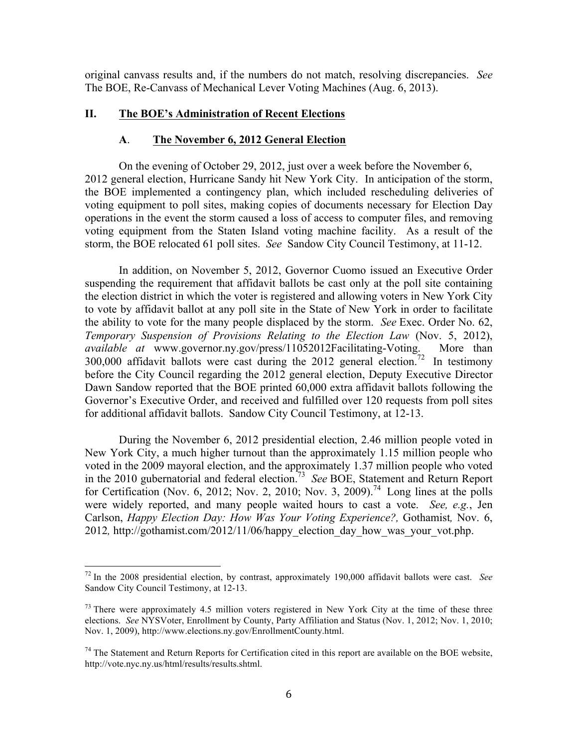original canvass results and, if the numbers do not match, resolving discrepancies. *See*  The BOE, Re-Canvass of Mechanical Lever Voting Machines (Aug. 6, 2013).

### **II. The BOE's Administration of Recent Elections**

#### **A**. **The November 6, 2012 General Election**

On the evening of October 29, 2012, just over a week before the November 6, 2012 general election, Hurricane Sandy hit New York City. In anticipation of the storm, the BOE implemented a contingency plan, which included rescheduling deliveries of voting equipment to poll sites, making copies of documents necessary for Election Day operations in the event the storm caused a loss of access to computer files, and removing voting equipment from the Staten Island voting machine facility. As a result of the storm, the BOE relocated 61 poll sites. *See* Sandow City Council Testimony, at 11-12.

In addition, on November 5, 2012, Governor Cuomo issued an Executive Order suspending the requirement that affidavit ballots be cast only at the poll site containing the election district in which the voter is registered and allowing voters in New York City to vote by affidavit ballot at any poll site in the State of New York in order to facilitate the ability to vote for the many people displaced by the storm. *See* Exec. Order No. 62, *Temporary Suspension of Provisions Relating to the Election Law* (Nov. 5, 2012), *available at* www.governor.ny.gov/press/11052012Facilitating-Voting. More than 300,000 affidavit ballots were cast during the 2012 general election.<sup>72</sup> In testimony before the City Council regarding the 2012 general election, Deputy Executive Director Dawn Sandow reported that the BOE printed 60,000 extra affidavit ballots following the Governor's Executive Order, and received and fulfilled over 120 requests from poll sites for additional affidavit ballots. Sandow City Council Testimony, at 12-13.

During the November 6, 2012 presidential election, 2.46 million people voted in New York City, a much higher turnout than the approximately 1.15 million people who voted in the 2009 mayoral election, and the approximately 1.37 million people who voted in the 2010 gubernatorial and federal election.73 *See* BOE, Statement and Return Report for Certification (Nov. 6, 2012; Nov. 2, 2010; Nov. 3, 2009).<sup>74</sup> Long lines at the polls were widely reported, and many people waited hours to cast a vote. *See, e.g.*, Jen Carlson, *Happy Election Day: How Was Your Voting Experience?,* Gothamist*,* Nov. 6, 2012*,* http://gothamist.com/2012/11/06/happy\_election\_day\_how\_was\_your\_vot.php.

 <sup>72</sup> In the 2008 presidential election, by contrast, approximately 190,000 affidavit ballots were cast. *See*  Sandow City Council Testimony, at 12-13.

 $73$  There were approximately 4.5 million voters registered in New York City at the time of these three elections. *See* NYSVoter, Enrollment by County, Party Affiliation and Status (Nov. 1, 2012; Nov. 1, 2010; Nov. 1, 2009), http://www.elections.ny.gov/EnrollmentCounty.html.

 $74$  The Statement and Return Reports for Certification cited in this report are available on the BOE website, http://vote.nyc.ny.us/html/results/results.shtml.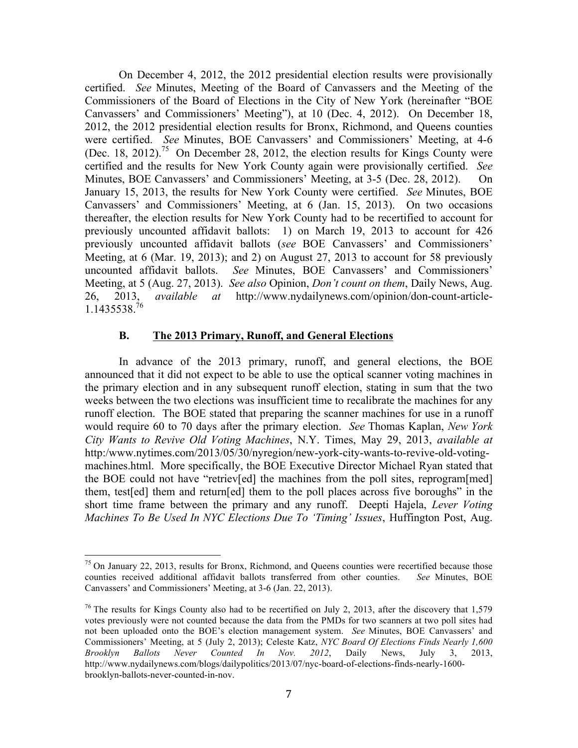On December 4, 2012, the 2012 presidential election results were provisionally certified. *See* Minutes, Meeting of the Board of Canvassers and the Meeting of the Commissioners of the Board of Elections in the City of New York (hereinafter "BOE Canvassers' and Commissioners' Meeting"), at 10 (Dec. 4, 2012). On December 18, 2012, the 2012 presidential election results for Bronx, Richmond, and Queens counties were certified. *See* Minutes, BOE Canvassers' and Commissioners' Meeting, at 4-6 (Dec. 18, 2012).<sup>75</sup> On December 28, 2012, the election results for Kings County were certified and the results for New York County again were provisionally certified. *See*  Minutes, BOE Canvassers' and Commissioners' Meeting, at 3-5 (Dec. 28, 2012). On January 15, 2013, the results for New York County were certified. *See* Minutes, BOE Canvassers' and Commissioners' Meeting, at 6 (Jan. 15, 2013). On two occasions thereafter, the election results for New York County had to be recertified to account for previously uncounted affidavit ballots: 1) on March 19, 2013 to account for 426 previously uncounted affidavit ballots (*see* BOE Canvassers' and Commissioners' Meeting, at 6 (Mar. 19, 2013); and 2) on August 27, 2013 to account for 58 previously uncounted affidavit ballots. *See* Minutes, BOE Canvassers' and Commissioners' Meeting, at 5 (Aug. 27, 2013). *See also* Opinion, *Don't count on them*, Daily News, Aug. 26, 2013, *available at* http://www.nydailynews.com/opinion/don-count-article-1.1435538. 76

### **B. The 2013 Primary, Runoff, and General Elections**

In advance of the 2013 primary, runoff, and general elections, the BOE announced that it did not expect to be able to use the optical scanner voting machines in the primary election and in any subsequent runoff election, stating in sum that the two weeks between the two elections was insufficient time to recalibrate the machines for any runoff election. The BOE stated that preparing the scanner machines for use in a runoff would require 60 to 70 days after the primary election. *See* Thomas Kaplan, *New York City Wants to Revive Old Voting Machines*, N.Y. Times, May 29, 2013, *available at* http:/www.nytimes.com/2013/05/30/nyregion/new-york-city-wants-to-revive-old-votingmachines.html. More specifically, the BOE Executive Director Michael Ryan stated that the BOE could not have "retriev[ed] the machines from the poll sites, reprogram[med] them, test[ed] them and return[ed] them to the poll places across five boroughs" in the short time frame between the primary and any runoff. Deepti Hajela, *Lever Voting Machines To Be Used In NYC Elections Due To 'Timing' Issues*, Huffington Post, Aug.

<sup>&</sup>lt;sup>75</sup> On January 22, 2013, results for Bronx, Richmond, and Queens counties were recertified because those counties received additional affidavit ballots transferred from other counties. *See* Minutes, BOE Canvassers' and Commissioners' Meeting, at 3-6 (Jan. 22, 2013).

<sup>&</sup>lt;sup>76</sup> The results for Kings County also had to be recertified on July 2, 2013, after the discovery that 1,579 votes previously were not counted because the data from the PMDs for two scanners at two poll sites had not been uploaded onto the BOE's election management system. *See* Minutes, BOE Canvassers' and Commissioners' Meeting, at 5 (July 2, 2013); Celeste Katz, *NYC Board Of Elections Finds Nearly 1,600 Brooklyn Ballots Never Counted In Nov. 2012*, Daily News, July 3, 2013, http://www.nydailynews.com/blogs/dailypolitics/2013/07/nyc-board-of-elections-finds-nearly-1600 brooklyn-ballots-never-counted-in-nov.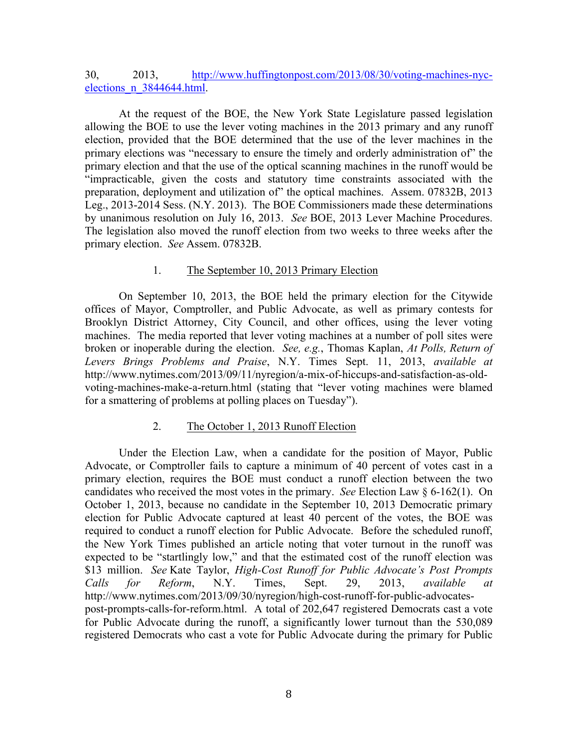# 30, 2013, http://www.huffingtonpost.com/2013/08/30/voting-machines-nycelections\_n\_3844644.html.

At the request of the BOE, the New York State Legislature passed legislation allowing the BOE to use the lever voting machines in the 2013 primary and any runoff election, provided that the BOE determined that the use of the lever machines in the primary elections was "necessary to ensure the timely and orderly administration of" the primary election and that the use of the optical scanning machines in the runoff would be "impracticable, given the costs and statutory time constraints associated with the preparation, deployment and utilization of" the optical machines. Assem. 07832B, 2013 Leg., 2013-2014 Sess. (N.Y. 2013). The BOE Commissioners made these determinations by unanimous resolution on July 16, 2013. *See* BOE, 2013 Lever Machine Procedures. The legislation also moved the runoff election from two weeks to three weeks after the primary election. *See* Assem. 07832B.

# 1. The September 10, 2013 Primary Election

On September 10, 2013, the BOE held the primary election for the Citywide offices of Mayor, Comptroller, and Public Advocate, as well as primary contests for Brooklyn District Attorney, City Council, and other offices, using the lever voting machines. The media reported that lever voting machines at a number of poll sites were broken or inoperable during the election. *See, e.g.*, Thomas Kaplan, *At Polls, Return of Levers Brings Problems and Praise*, N.Y. Times Sept. 11, 2013, *available at* http://www.nytimes.com/2013/09/11/nyregion/a-mix-of-hiccups-and-satisfaction-as-oldvoting-machines-make-a-return.html (stating that "lever voting machines were blamed for a smattering of problems at polling places on Tuesday").

# 2. The October 1, 2013 Runoff Election

Under the Election Law, when a candidate for the position of Mayor, Public Advocate, or Comptroller fails to capture a minimum of 40 percent of votes cast in a primary election, requires the BOE must conduct a runoff election between the two candidates who received the most votes in the primary. *See* Election Law § 6-162(1). On October 1, 2013, because no candidate in the September 10, 2013 Democratic primary election for Public Advocate captured at least 40 percent of the votes, the BOE was required to conduct a runoff election for Public Advocate. Before the scheduled runoff, the New York Times published an article noting that voter turnout in the runoff was expected to be "startlingly low," and that the estimated cost of the runoff election was \$13 million. *See* Kate Taylor, *High-Cost Runoff for Public Advocate's Post Prompts Calls for Reform*, N.Y. Times, Sept. 29, 2013, *available at* http://www.nytimes.com/2013/09/30/nyregion/high-cost-runoff-for-public-advocatespost-prompts-calls-for-reform.html. A total of 202,647 registered Democrats cast a vote for Public Advocate during the runoff, a significantly lower turnout than the 530,089 registered Democrats who cast a vote for Public Advocate during the primary for Public